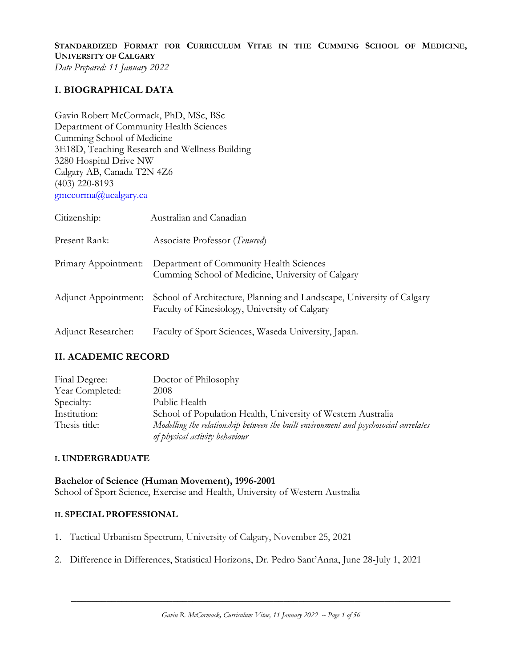**STANDARDIZED FORMAT FOR CURRICULUM VITAE IN THE CUMMING SCHOOL OF MEDICINE, UNIVERSITY OF CALGARY** *Date Prepared: 11 January 2022*

### **I. BIOGRAPHICAL DATA**

Gavin Robert McCormack, PhD, MSc, BSc Department of Community Health Sciences Cumming School of Medicine 3E18D, Teaching Research and Wellness Building 3280 Hospital Drive NW Calgary AB, Canada T2N 4Z6 (403) 220-8193 [gmccorma@ucalgary.ca](mailto:gmccorma@ucalgary.ca)

| Citizenship:         | Australian and Canadian                                                                                                |
|----------------------|------------------------------------------------------------------------------------------------------------------------|
| Present Rank:        | Associate Professor (Tenured)                                                                                          |
| Primary Appointment: | Department of Community Health Sciences<br>Cumming School of Medicine, University of Calgary                           |
| Adjunct Appointment: | School of Architecture, Planning and Landscape, University of Calgary<br>Faculty of Kinesiology, University of Calgary |
| Adjunct Researcher:  | Faculty of Sport Sciences, Waseda University, Japan.                                                                   |

### **II. ACADEMIC RECORD**

| Final Degree:   | Doctor of Philosophy                                                                                                   |
|-----------------|------------------------------------------------------------------------------------------------------------------------|
| Year Completed: | 2008                                                                                                                   |
| Specialty:      | Public Health                                                                                                          |
| Institution:    | School of Population Health, University of Western Australia                                                           |
| Thesis title:   | Modelling the relationship between the built environment and psychosocial correlates<br>of physical activity behaviour |

### **I. UNDERGRADUATE**

**Bachelor of Science (Human Movement), 1996-2001** School of Sport Science, Exercise and Health, University of Western Australia

#### **II. SPECIAL PROFESSIONAL**

- 1. Tactical Urbanism Spectrum, University of Calgary, November 25, 2021
- 2. Difference in Differences, Statistical Horizons, Dr. Pedro Sant'Anna, June 28-July 1, 2021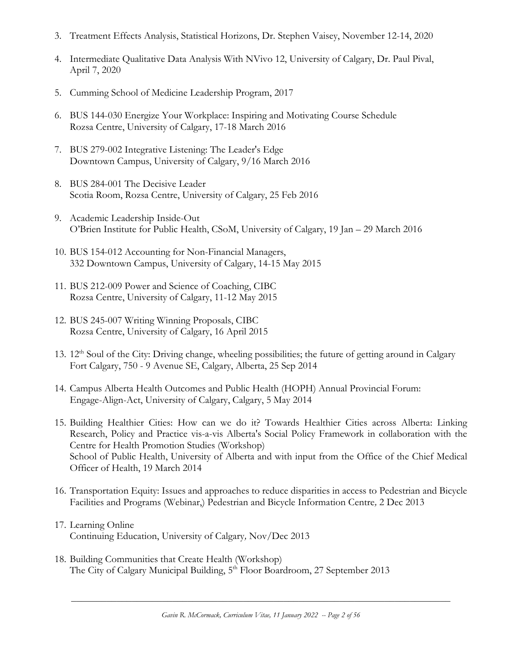- 3. Treatment Effects Analysis, Statistical Horizons, Dr. Stephen Vaisey, November 12-14, 2020
- 4. Intermediate Qualitative Data Analysis With NVivo 12, University of Calgary, Dr. Paul Pival, April 7, 2020
- 5. Cumming School of Medicine Leadership Program, 2017
- 6. BUS 144-030 Energize Your Workplace: Inspiring and Motivating Course Schedule Rozsa Centre, University of Calgary, 17-18 March 2016
- 7. BUS 279-002 Integrative Listening: The Leader's Edge Downtown Campus, University of Calgary, 9/16 March 2016
- 8. BUS 284-001 The Decisive Leader Scotia Room, Rozsa Centre, University of Calgary, 25 Feb 2016
- 9. Academic Leadership Inside-Out O'Brien Institute for Public Health, CSoM, University of Calgary, 19 Jan – 29 March 2016
- 10. BUS 154-012 Accounting for Non-Financial Managers, 332 Downtown Campus, University of Calgary, 14-15 May 2015
- 11. BUS 212-009 Power and Science of Coaching, CIBC Rozsa Centre, University of Calgary, 11-12 May 2015
- 12. BUS 245-007 Writing Winning Proposals, CIBC Rozsa Centre, University of Calgary, 16 April 2015
- 13. 12<sup>th</sup> Soul of the City: Driving change, wheeling possibilities; the future of getting around in Calgary Fort Calgary, 750 - 9 Avenue SE, Calgary, Alberta, 25 Sep 2014
- 14. Campus Alberta Health Outcomes and Public Health (HOPH) Annual Provincial Forum: Engage-Align-Act, University of Calgary, Calgary, 5 May 2014
- 15. Building Healthier Cities: How can we do it? Towards Healthier Cities across Alberta: Linking Research, Policy and Practice vis-a-vis Alberta's Social Policy Framework in collaboration with the Centre for Health Promotion Studies (Workshop) School of Public Health, University of Alberta and with input from the Office of the Chief Medical Officer of Health, 19 March 2014
- 16. Transportation Equity: Issues and approaches to reduce disparities in access to Pedestrian and Bicycle Facilities and Programs (Webinar,) Pedestrian and Bicycle Information Centre*,* 2 Dec 2013
- 17. Learning Online Continuing Education, University of Calgary*,* Nov/Dec 2013
- 18. Building Communities that Create Health (Workshop) The City of Calgary Municipal Building, 5<sup>th</sup> Floor Boardroom, 27 September 2013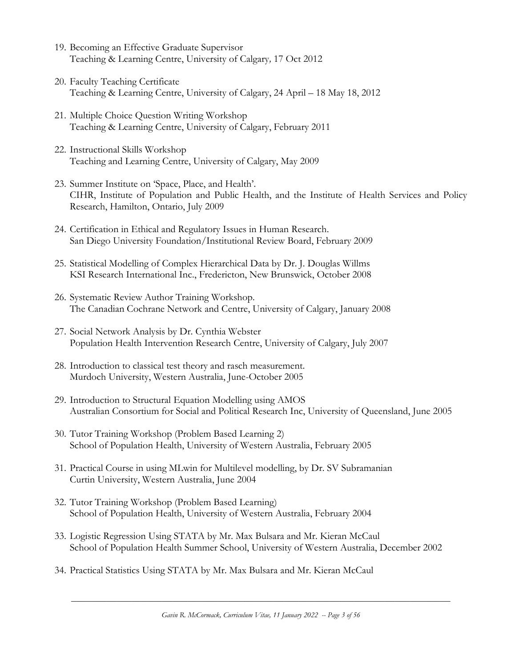- 19. Becoming an Effective Graduate Supervisor Teaching & Learning Centre, University of Calgary*,* 17 Oct 2012
- 20. Faculty Teaching Certificate Teaching & Learning Centre, University of Calgary, 24 April – 18 May 18, 2012
- 21. Multiple Choice Question Writing Workshop Teaching & Learning Centre, University of Calgary, February 2011
- 22. Instructional Skills Workshop Teaching and Learning Centre, University of Calgary, May 2009
- 23. Summer Institute on 'Space, Place, and Health'. CIHR, Institute of Population and Public Health, and the Institute of Health Services and Policy Research, Hamilton, Ontario, July 2009
- 24. Certification in Ethical and Regulatory Issues in Human Research. San Diego University Foundation/Institutional Review Board, February 2009
- 25. Statistical Modelling of Complex Hierarchical Data by Dr. J. Douglas Willms KSI Research International Inc., Fredericton, New Brunswick, October 2008
- 26. Systematic Review Author Training Workshop. The Canadian Cochrane Network and Centre, University of Calgary, January 2008
- 27. Social Network Analysis by Dr. Cynthia Webster Population Health Intervention Research Centre, University of Calgary, July 2007
- 28. Introduction to classical test theory and rasch measurement. Murdoch University, Western Australia, June-October 2005
- 29. Introduction to Structural Equation Modelling using AMOS Australian Consortium for Social and Political Research Inc, University of Queensland, June 2005
- 30. Tutor Training Workshop (Problem Based Learning 2) School of Population Health, University of Western Australia, February 2005
- 31. Practical Course in using MLwin for Multilevel modelling, by Dr. SV Subramanian Curtin University, Western Australia, June 2004
- 32. Tutor Training Workshop (Problem Based Learning) School of Population Health, University of Western Australia, February 2004
- 33. Logistic Regression Using STATA by Mr. Max Bulsara and Mr. Kieran McCaul School of Population Health Summer School, University of Western Australia, December 2002
- 34. Practical Statistics Using STATA by Mr. Max Bulsara and Mr. Kieran McCaul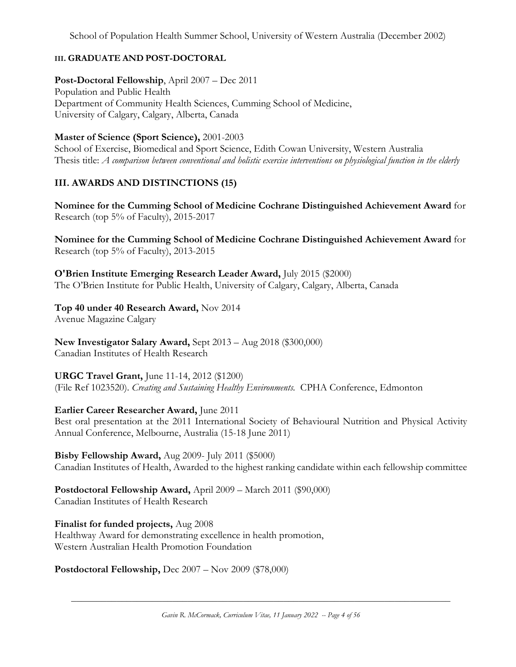## **III. GRADUATE AND POST-DOCTORAL**

### **Post-Doctoral Fellowship**, April 2007 – Dec 2011

Population and Public Health Department of Community Health Sciences, Cumming School of Medicine, University of Calgary, Calgary, Alberta, Canada

**Master of Science (Sport Science),** 2001-2003

School of Exercise, Biomedical and Sport Science, Edith Cowan University, Western Australia Thesis title: *A comparison between conventional and holistic exercise interventions on physiological function in the elderly*

## **III. AWARDS AND DISTINCTIONS (15)**

**Nominee for the Cumming School of Medicine Cochrane Distinguished Achievement Award** for Research (top 5% of Faculty), 2015-2017

**Nominee for the Cumming School of Medicine Cochrane Distinguished Achievement Award** for Research (top 5% of Faculty), 2013-2015

**O'Brien Institute Emerging Research Leader Award,** July 2015 (\$2000) The O'Brien Institute for Public Health, University of Calgary, Calgary, Alberta, Canada

**Top 40 under 40 Research Award,** Nov 2014 Avenue Magazine Calgary

**New Investigator Salary Award,** Sept 2013 – Aug 2018 (\$300,000) Canadian Institutes of Health Research

**URGC Travel Grant,** June 11-14, 2012 (\$1200) (File Ref 1023520). *Creating and Sustaining Healthy Environments.* CPHA Conference, Edmonton

**Earlier Career Researcher Award,** June 2011

Best oral presentation at the 2011 International Society of Behavioural Nutrition and Physical Activity Annual Conference, Melbourne, Australia (15-18 June 2011)

**Bisby Fellowship Award,** Aug 2009- July 2011 (\$5000) Canadian Institutes of Health, Awarded to the highest ranking candidate within each fellowship committee

**Postdoctoral Fellowship Award,** April 2009 – March 2011 (\$90,000) Canadian Institutes of Health Research

**Finalist for funded projects,** Aug 2008 Healthway Award for demonstrating excellence in health promotion, Western Australian Health Promotion Foundation

**Postdoctoral Fellowship,** Dec 2007 – Nov 2009 (\$78,000)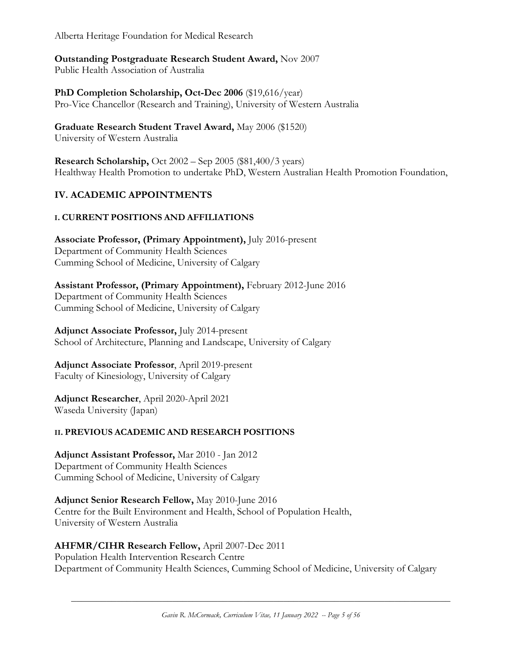Alberta Heritage Foundation for Medical Research

## **Outstanding Postgraduate Research Student Award,** Nov 2007

Public Health Association of Australia

**PhD Completion Scholarship, Oct-Dec 2006** (\$19,616/year) Pro-Vice Chancellor (Research and Training), University of Western Australia

## **Graduate Research Student Travel Award,** May 2006 (\$1520)

University of Western Australia

**Research Scholarship,** Oct 2002 – Sep 2005 (\$81,400/3 years) Healthway Health Promotion to undertake PhD, Western Australian Health Promotion Foundation,

## **IV. ACADEMIC APPOINTMENTS**

## **I. CURRENT POSITIONS AND AFFILIATIONS**

**Associate Professor, (Primary Appointment),** July 2016-present Department of Community Health Sciences Cumming School of Medicine, University of Calgary

**Assistant Professor, (Primary Appointment),** February 2012-June 2016 Department of Community Health Sciences Cumming School of Medicine, University of Calgary

**Adjunct Associate Professor,** July 2014-present School of Architecture, Planning and Landscape, University of Calgary

### **Adjunct Associate Professor**, April 2019-present Faculty of Kinesiology, University of Calgary

**Adjunct Researcher**, April 2020-April 2021 Waseda University (Japan)

### **II. PREVIOUS ACADEMIC AND RESEARCH POSITIONS**

**Adjunct Assistant Professor,** Mar 2010 - Jan 2012 Department of Community Health Sciences Cumming School of Medicine, University of Calgary

**Adjunct Senior Research Fellow,** May 2010-June 2016 Centre for the Built Environment and Health, School of Population Health, University of Western Australia

## **AHFMR/CIHR Research Fellow,** April 2007-Dec 2011

Population Health Intervention Research Centre Department of Community Health Sciences, Cumming School of Medicine, University of Calgary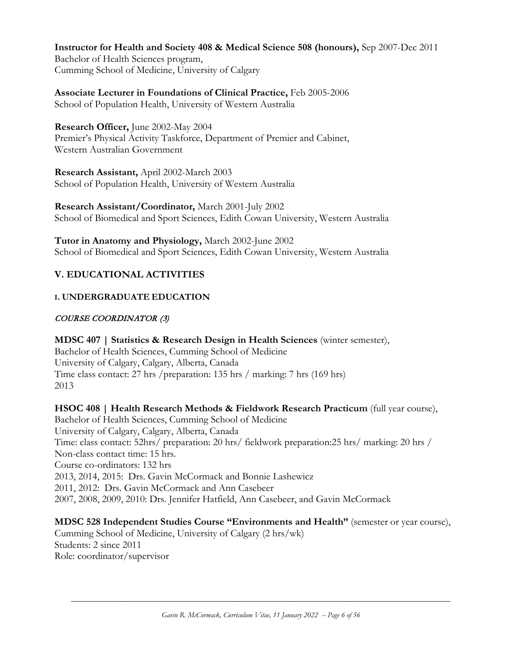**Instructor for Health and Society 408 & Medical Science 508 (honours),** Sep 2007-Dec 2011 Bachelor of Health Sciences program, Cumming School of Medicine, University of Calgary

**Associate Lecturer in Foundations of Clinical Practice,** Feb 2005-2006 School of Population Health, University of Western Australia

**Research Officer,** June 2002-May 2004 Premier's Physical Activity Taskforce, Department of Premier and Cabinet, Western Australian Government

**Research Assistant,** April 2002-March 2003 School of Population Health, University of Western Australia

**Research Assistant/Coordinator,** March 2001-July 2002 School of Biomedical and Sport Sciences, Edith Cowan University, Western Australia

**Tutor in Anatomy and Physiology,** March 2002-June 2002 School of Biomedical and Sport Sciences, Edith Cowan University, Western Australia

## **V. EDUCATIONAL ACTIVITIES**

## **I. UNDERGRADUATE EDUCATION**

### COURSE COORDINATOR (3)

**MDSC 407 | Statistics & Research Design in Health Sciences** (winter semester), Bachelor of Health Sciences, Cumming School of Medicine University of Calgary, Calgary, Alberta, Canada Time class contact: 27 hrs /preparation: 135 hrs / marking: 7 hrs (169 hrs) 2013

## **HSOC 408 | Health Research Methods & Fieldwork Research Practicum** (full year course),

Bachelor of Health Sciences, Cumming School of Medicine University of Calgary, Calgary, Alberta, Canada Time: class contact: 52hrs/ preparation: 20 hrs/ fieldwork preparation:25 hrs/ marking: 20 hrs / Non-class contact time: 15 hrs. Course co-ordinators: 132 hrs 2013, 2014, 2015: Drs. Gavin McCormack and Bonnie Lashewicz 2011, 2012: Drs. Gavin McCormack and Ann Casebeer 2007, 2008, 2009, 2010: Drs. Jennifer Hatfield, Ann Casebeer, and Gavin McCormack

**MDSC 528 Independent Studies Course "Environments and Health"** (semester or year course), Cumming School of Medicine, University of Calgary (2 hrs/wk) Students: 2 since 2011 Role: coordinator/supervisor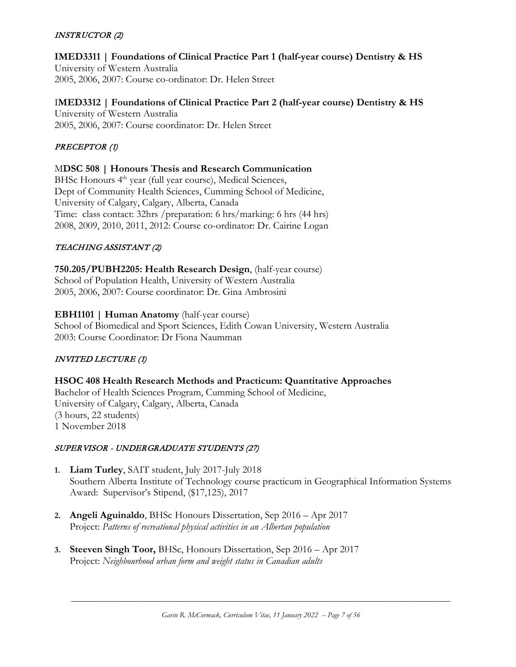### INSTRUCTOR (2)

# **IMED3311 | Foundations of Clinical Practice Part 1 (half-year course) Dentistry & HS**

University of Western Australia 2005, 2006, 2007: Course co-ordinator: Dr. Helen Street

### I**MED3312 | Foundations of Clinical Practice Part 2 (half-year course) Dentistry & HS**

University of Western Australia 2005, 2006, 2007: Course coordinator: Dr. Helen Street

### PRECEPTOR (1)

### M**DSC 508 | Honours Thesis and Research Communication**

BHSc Honours 4<sup>th</sup> year (full year course), Medical Sciences, Dept of Community Health Sciences, Cumming School of Medicine, University of Calgary, Calgary, Alberta, Canada Time: class contact: 32hrs /preparation: 6 hrs/marking: 6 hrs (44 hrs) 2008, 2009, 2010, 2011, 2012: Course co-ordinator: Dr. Cairine Logan

### TEACHING ASSISTANT (2)

**750.205/PUBH2205: Health Research Design**, (half-year course) School of Population Health, University of Western Australia 2005, 2006, 2007: Course coordinator: Dr. Gina Ambrosini

### **[EBH1101](http://webservicespopup.web.ecu.edu.au/future-students/course-view-unit.php?id=EBH1101) | Human Anatomy** (half-year course)

School of Biomedical and Sport Sciences, Edith Cowan University, Western Australia 2003: Course Coordinator: Dr Fiona Naumman

### INVITED LECTURE (1)

### **HSOC 408 Health Research Methods and Practicum: Quantitative Approaches** Bachelor of Health Sciences Program, Cumming School of Medicine, University of Calgary, Calgary, Alberta, Canada (3 hours, 22 students) 1 November 2018

### SUPERVISOR - UNDERGRADUATE STUDENTS (27)

- **1. Liam Turley**, SAIT student, July 2017-July 2018 Southern Alberta Institute of Technology course practicum in Geographical Information Systems Award: Supervisor's Stipend, (\$17,125), 2017
- **2. Angeli Aguinaldo**, BHSc Honours Dissertation, Sep 2016 Apr 2017 Project: *Patterns of recreational physical activities in an Albertan population*
- **3. Steeven Singh Toor,** BHSc, Honours Dissertation, Sep 2016 Apr 2017 Project: *Neighbourhood urban form and weight status in Canadian adults*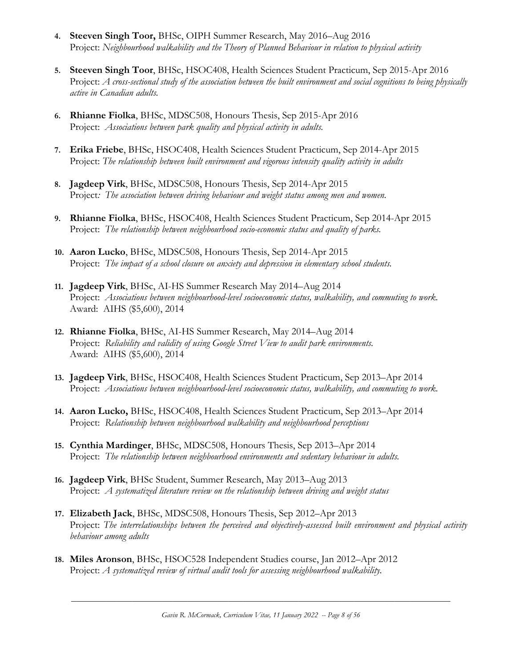- **4. Steeven Singh Toor,** BHSc, OIPH Summer Research, May 2016–Aug 2016 Project: *Neighbourhood walkability and the Theory of Planned Behaviour in relation to physical activity*
- **5. Steeven Singh Toor**, BHSc, HSOC408, Health Sciences Student Practicum, Sep 2015-Apr 2016 Project: *A cross-sectional study of the association between the built environment and social cognitions to being physically active in Canadian adults.*
- **6. Rhianne Fiolka**, BHSc, MDSC508, Honours Thesis, Sep 2015-Apr 2016 Project: *Associations between park quality and physical activity in adults.*
- **7. Erika Friebe**, BHSc, HSOC408, Health Sciences Student Practicum, Sep 2014-Apr 2015 Project: *The relationship between built environment and vigorous intensity quality activity in adults*
- **8. Jagdeep Virk**, BHSc, MDSC508, Honours Thesis, Sep 2014-Apr 2015 Project*: The association between driving behaviour and weight status among men and women.*
- **9. Rhianne Fiolka**, BHSc, HSOC408, Health Sciences Student Practicum, Sep 2014-Apr 2015 Project: *The relationship between neighbourhood socio-economic status and quality of parks.*
- **10. Aaron Lucko**, BHSc, MDSC508, Honours Thesis, Sep 2014-Apr 2015 Project: *The impact of a school closure on anxiety and depression in elementary school students.*
- **11. Jagdeep Virk**, BHSc, AI-HS Summer Research May 2014–Aug 2014 Project: *Associations between neighbourhood-level socioeconomic status, walkability, and commuting to work.* Award: AIHS (\$5,600), 2014
- **12. Rhianne Fiolka**, BHSc, AI-HS Summer Research, May 2014–Aug 2014 Project: *Reliability and validity of using Google Street View to audit park environments.* Award: AIHS (\$5,600), 2014
- **13. Jagdeep Virk**, BHSc, HSOC408, Health Sciences Student Practicum, Sep 2013–Apr 2014 Project: *Associations between neighbourhood-level socioeconomic status, walkability, and commuting to work.*
- **14. Aaron Lucko,** BHSc, HSOC408, Health Sciences Student Practicum, Sep 2013–Apr 2014 Project: *Relationship between neighbourhood walkability and neighbourhood perceptions*
- **15. Cynthia Mardinger**, BHSc, MDSC508, Honours Thesis, Sep 2013–Apr 2014 Project: *The relationship between neighbourhood environments and sedentary behaviour in adults.*
- **16. Jagdeep Virk**, BHSc Student, Summer Research, May 2013–Aug 2013 Project: *A systematized literature review on the relationship between driving and weight status*
- **17. Elizabeth Jack**, BHSc, MDSC508, Honours Thesis, Sep 2012–Apr 2013 Project: *The interrelationships between the perceived and objectively-assessed built environment and physical activity behaviour among adults*
- **18. Miles Aronson**, BHSc, HSOC528 Independent Studies course, Jan 2012–Apr 2012 Project: *A systematized review of virtual audit tools for assessing neighbourhood walkability.*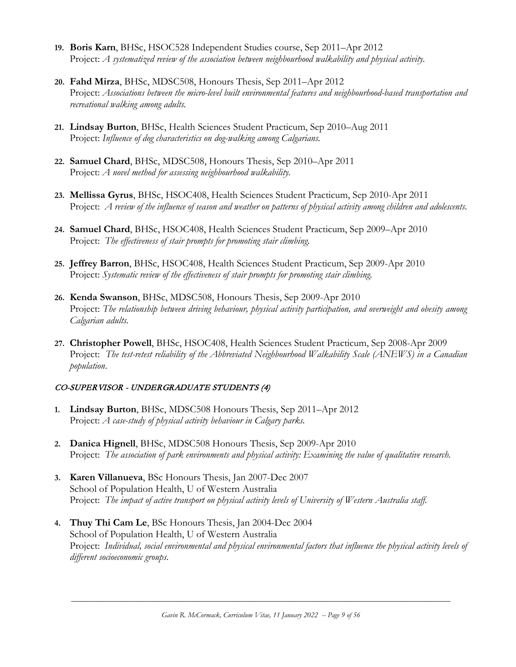- **19. Boris Karn**, BHSc, HSOC528 Independent Studies course, Sep 2011–Apr 2012 Project: *A systematized review of the association between neighbourhood walkability and physical activity.*
- **20. Fahd Mirza**, BHSc, MDSC508, Honours Thesis, Sep 2011–Apr 2012 Project: *Associations between the micro-level built environmental features and neighbourhood-based transportation and recreational walking among adults.*
- **21. Lindsay Burton**, BHSc, Health Sciences Student Practicum, Sep 2010–Aug 2011 Project: *Influence of dog characteristics on dog-walking among Calgarians.*
- **22. Samuel Chard**, BHSc, MDSC508, Honours Thesis, Sep 2010–Apr 2011 Project: *A novel method for assessing neighbourhood walkability.*
- **23. Mellissa Gyrus**, BHSc, HSOC408, Health Sciences Student Practicum, Sep 2010-Apr 2011 Project: *A review of the influence of season and weather on patterns of physical activity among children and adolescents*.
- **24. Samuel Chard**, BHSc, HSOC408, Health Sciences Student Practicum, Sep 2009–Apr 2010 Project: *The effectiveness of stair prompts for promoting stair climbing.*
- **25. Jeffrey Barron**, BHSc, HSOC408, Health Sciences Student Practicum, Sep 2009-Apr 2010 Project: *Systematic review of the effectiveness of stair prompts for promoting stair climbing.*
- **26. Kenda Swanson**, BHSc, MDSC508, Honours Thesis, Sep 2009-Apr 2010 Project: *The relationship between driving behaviour, physical activity participation, and overweight and obesity among Calgarian adults.*
- **27. Christopher Powell**, BHSc, HSOC408, Health Sciences Student Practicum, Sep 2008-Apr 2009 Project: *The test-retest reliability of the Abbreviated Neighbourhood Walkability Scale (ANEWS) in a Canadian population*.

### CO-SUPERVISOR - UNDERGRADUATE STUDENTS (4)

- **1. Lindsay Burton**, BHSc, MDSC508 Honours Thesis, Sep 2011–Apr 2012 Project: *A case-study of physical activity behaviour in Calgary parks.*
- **2. Danica Hignell**, BHSc, MDSC508 Honours Thesis, Sep 2009-Apr 2010 Project: *The association of park environments and physical activity: Examining the value of qualitative research.*
- **3. Karen Villanueva**, BSc Honours Thesis, Jan 2007-Dec 2007 School of Population Health, U of Western Australia Project: *The impact of active transport on physical activity levels of University of Western Australia staff.*
- **4. Thuy Thi Cam Le**, BSc Honours Thesis, Jan 2004-Dec 2004 School of Population Health, U of Western Australia Project: *Individual, social environmental and physical environmental factors that influence the physical activity levels of different socioeconomic groups*.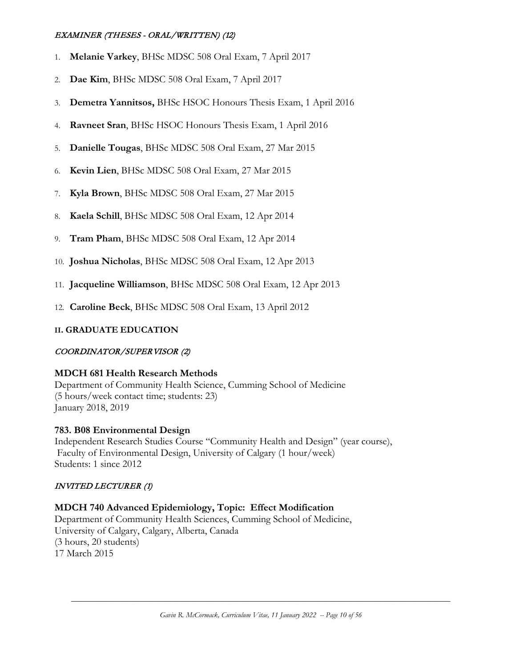### EXAMINER (THESES - ORAL/WRITTEN) (12)

- 1. **Melanie Varkey**, BHSc MDSC 508 Oral Exam, 7 April 2017
- 2. **Dae Kim**, BHSc MDSC 508 Oral Exam, 7 April 2017
- 3. **Demetra Yannitsos,** BHSc HSOC Honours Thesis Exam, 1 April 2016
- 4. **Ravneet Sran**, BHSc HSOC Honours Thesis Exam, 1 April 2016
- 5. **Danielle Tougas**, BHSc MDSC 508 Oral Exam, 27 Mar 2015
- 6. **Kevin Lien**, BHSc MDSC 508 Oral Exam, 27 Mar 2015
- 7. **Kyla Brown**, BHSc MDSC 508 Oral Exam, 27 Mar 2015
- 8. **Kaela Schill**, BHSc MDSC 508 Oral Exam, 12 Apr 2014
- 9. **Tram Pham**, BHSc MDSC 508 Oral Exam, 12 Apr 2014
- 10. **Joshua Nicholas**, BHSc MDSC 508 Oral Exam, 12 Apr 2013
- 11. **Jacqueline Williamson**, BHSc MDSC 508 Oral Exam, 12 Apr 2013
- 12. **Caroline Beck**, BHSc MDSC 508 Oral Exam, 13 April 2012

### **II. GRADUATE EDUCATION**

### COORDINATOR/SUPERVISOR (2)

### **MDCH 681 Health Research Methods**

Department of Community Health Science, Cumming School of Medicine (5 hours/week contact time; students: 23) January 2018, 2019

#### **783. B08 Environmental Design**

Independent Research Studies Course "Community Health and Design" (year course), Faculty of Environmental Design, University of Calgary (1 hour/week) Students: 1 since 2012

#### INVITED LECTURER (1)

### **MDCH 740 Advanced Epidemiology, Topic: Effect Modification**

Department of Community Health Sciences, Cumming School of Medicine, University of Calgary, Calgary, Alberta, Canada (3 hours, 20 students) 17 March 2015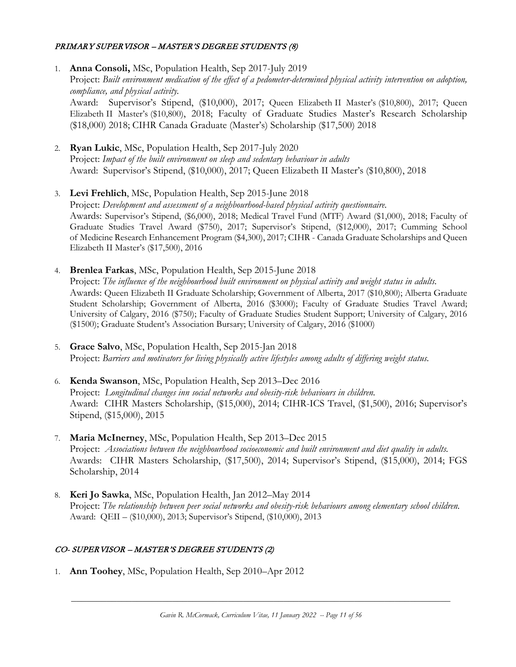### PRIMARY SUPERVISOR – MASTER'S DEGREE STUDENTS (8)

- 1. **Anna Consoli,** MSc, Population Health, Sep 2017-July 2019 Project: *Built environment medication of the effect of a pedometer-determined physical activity intervention on adoption, compliance, and physical activity.* Award: Supervisor's Stipend, (\$10,000), 2017; Queen Elizabeth II Master's (\$10,800), 2017; Queen Elizabeth II Master's (\$10,800), 2018; Faculty of Graduate Studies Master's Research Scholarship (\$18,000) 2018; CIHR Canada Graduate (Master's) Scholarship (\$17,500) 2018
- 2. **Ryan Lukic**, MSc, Population Health, Sep 2017-July 2020 Project: *Impact of the built environment on sleep and sedentary behaviour in adults* Award: Supervisor's Stipend, (\$10,000), 2017; Queen Elizabeth II Master's (\$10,800), 2018
- 3. **Levi Frehlich**, MSc, Population Health, Sep 2015-June 2018 Project: *Development and assessment of a neighbourhood-based physical activity questionnaire.* Awards: Supervisor's Stipend, (\$6,000), 2018; Medical Travel Fund (MTF) Award (\$1,000), 2018; Faculty of Graduate Studies Travel Award (\$750), 2017; Supervisor's Stipend, (\$12,000), 2017; Cumming School of Medicine Research Enhancement Program (\$4,300), 2017; CIHR - Canada Graduate Scholarships and Queen Elizabeth II Master's (\$17,500), 2016
- 4. **Brenlea Farkas**, MSc, Population Health, Sep 2015-June 2018 Project: *The influence of the neighbourhood built environment on physical activity and weight status in adults.* Awards: Queen Elizabeth II Graduate Scholarship; Government of Alberta, 2017 (\$10,800); Alberta Graduate Student Scholarship; Government of Alberta, 2016 (\$3000); Faculty of Graduate Studies Travel Award; University of Calgary, 2016 (\$750); Faculty of Graduate Studies Student Support; University of Calgary, 2016
- 5. **Grace Salvo**, MSc, Population Health, Sep 2015-Jan 2018 Project: *Barriers and motivators for living physically active lifestyles among adults of differing weight status.*

(\$1500); Graduate Student's Association Bursary; University of Calgary, 2016 (\$1000)

- 6. **Kenda Swanson**, MSc, Population Health, Sep 2013–Dec 2016 Project: *Longitudinal changes inn social networks and obesity-risk behaviours in children.* Award: CIHR Masters Scholarship, (\$15,000), 2014; CIHR-ICS Travel, (\$1,500), 2016; Supervisor's Stipend, (\$15,000), 2015
- 7. **Maria McInerney**, MSc, Population Health, Sep 2013–Dec 2015 Project: *Associations between the neighbourhood socioeconomic and built environment and diet quality in adults.* Awards: CIHR Masters Scholarship, (\$17,500), 2014; Supervisor's Stipend, (\$15,000), 2014; FGS Scholarship, 2014
- 8. **Keri Jo Sawka**, MSc, Population Health, Jan 2012–May 2014 Project: *The relationship between peer social networks and obesity-risk behaviours among elementary school children.* Award: QEII – (\$10,000), 2013; Supervisor's Stipend, (\$10,000), 2013

### CO- SUPERVISOR – MASTER'S DEGREE STUDENTS (2)

1. **Ann Toohey**, MSc, Population Health, Sep 2010–Apr 2012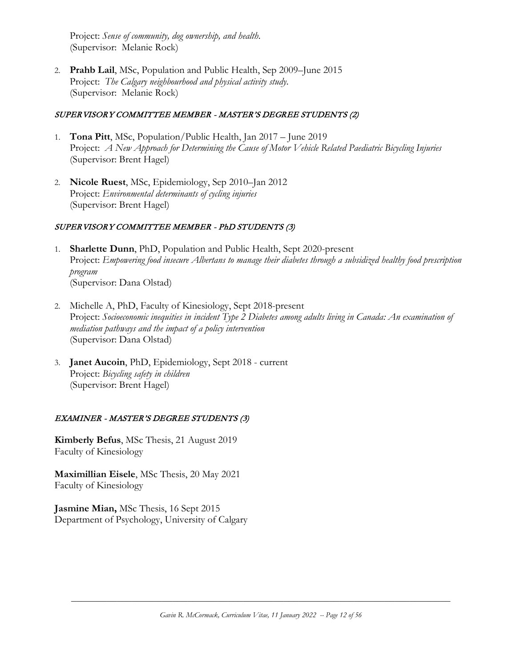Project: *Sense of community, dog ownership, and health*. (Supervisor: Melanie Rock)

2. **Prahb Lail**, MSc, Population and Public Health, Sep 2009–June 2015 Project: *The Calgary neighbourhood and physical activity study*. (Supervisor: Melanie Rock)

#### SUPERVISORY COMMITTEE MEMBER - MASTER'S DEGREE STUDENTS (2)

- 1. **Tona Pitt**, MSc, Population/Public Health, Jan 2017 June 2019 Project: *A New Approach for Determining the Cause of Motor Vehicle Related Paediatric Bicycling Injuries* (Supervisor: Brent Hagel)
- 2. **Nicole Ruest**, MSc, Epidemiology, Sep 2010–Jan 2012 Project: *Environmental determinants of cycling injuries* (Supervisor: Brent Hagel)

### SUPERVISORY COMMITTEE MEMBER - PhD STUDENTS (3)

- 1. **Sharlette Dunn**, PhD, Population and Public Health, Sept 2020-present Project: *Empowering food insecure Albertans to manage their diabetes through a subsidized healthy food prescription program* (Supervisor: Dana Olstad)
- 2. Michelle A, PhD, Faculty of Kinesiology, Sept 2018-present Project: *Socioeconomic inequities in incident Type 2 Diabetes among adults living in Canada: An examination of mediation pathways and the impact of a policy intervention* (Supervisor: Dana Olstad)
- 3. **Janet Aucoin**, PhD, Epidemiology, Sept 2018 current Project: *Bicycling safety in children* (Supervisor: Brent Hagel)

### EXAMINER - MASTER'S DEGREE STUDENTS (3)

**Kimberly Befus**, MSc Thesis, 21 August 2019 Faculty of Kinesiology

**Maximillian Eisele**, MSc Thesis, 20 May 2021 Faculty of Kinesiology

**Jasmine Mian,** MSc Thesis, 16 Sept 2015 Department of Psychology, University of Calgary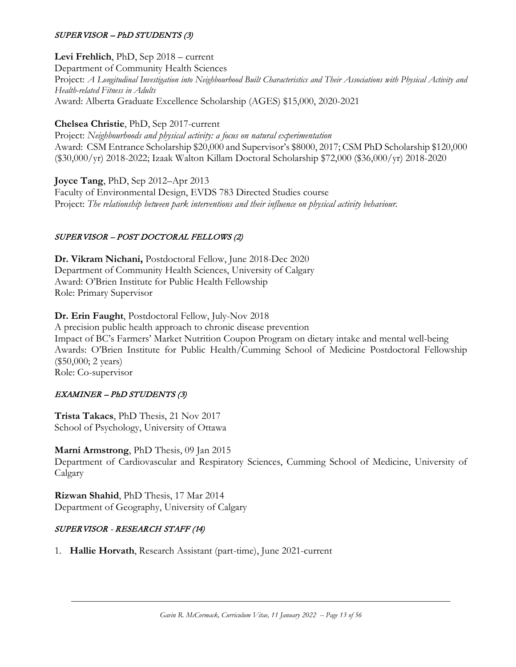### SUPERVISOR – PhD STUDENTS (3)

**Levi Frehlich**, PhD, Sep 2018 – current

Department of Community Health Sciences Project: *A Longitudinal Investigation into Neighbourhood Built Characteristics and Their Associations with Physical Activity and Health-related Fitness in Adults* Award: Alberta Graduate Excellence Scholarship (AGES) \$15,000, 2020-2021

**Chelsea Christie**, PhD, Sep 2017-current

Project: *Neighbourhoods and physical activity: a focus on natural experimentation* Award: CSM Entrance Scholarship \$20,000 and Supervisor's \$8000, 2017; CSM PhD Scholarship \$120,000 (\$30,000/yr) 2018-2022; Izaak Walton Killam Doctoral Scholarship \$72,000 (\$36,000/yr) 2018-2020

**Joyce Tang**, PhD, Sep 2012–Apr 2013 Faculty of Environmental Design, EVDS 783 Directed Studies course Project: *The relationship between park interventions and their influence on physical activity behaviour.*

### SUPERVISOR – POST DOCTORAL FELLOWS (2)

**Dr. Vikram Nichani,** Postdoctoral Fellow, June 2018-Dec 2020 Department of Community Health Sciences, University of Calgary Award: O'Brien Institute for Public Health Fellowship Role: Primary Supervisor

**Dr. Erin Faught**, Postdoctoral Fellow, July-Nov 2018 A precision public health approach to chronic disease prevention Impact of BC's Farmers' Market Nutrition Coupon Program on dietary intake and mental well-being Awards: O'Brien Institute for Public Health/Cumming School of Medicine Postdoctoral Fellowship (\$50,000; 2 years) Role: Co-supervisor

### EXAMINER – PhD STUDENTS (3)

**Trista Takacs**, PhD Thesis, 21 Nov 2017 School of Psychology, University of Ottawa

### **Marni Armstrong**, PhD Thesis, 09 Jan 2015

Department of Cardiovascular and Respiratory Sciences, Cumming School of Medicine, University of Calgary

**Rizwan Shahid**, PhD Thesis, 17 Mar 2014 Department of Geography, University of Calgary

### SUPERVISOR - RESEARCH STAFF (14)

1. **Hallie Horvath**, Research Assistant (part-time), June 2021-current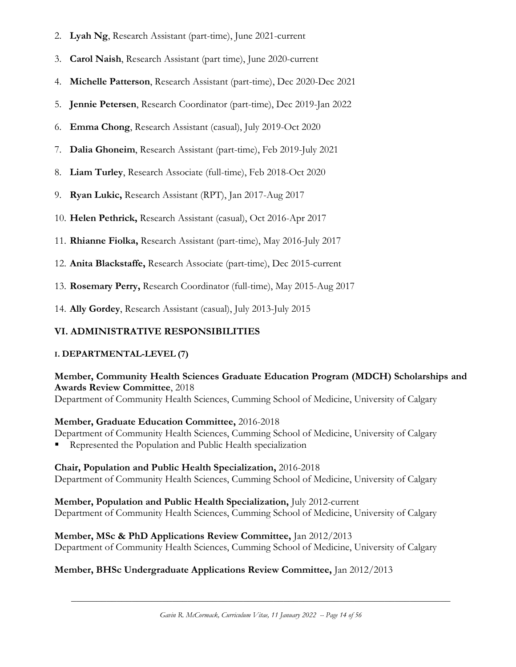- 2. **Lyah Ng**, Research Assistant (part-time), June 2021-current
- 3. **Carol Naish**, Research Assistant (part time), June 2020-current
- 4. **Michelle Patterson**, Research Assistant (part-time), Dec 2020-Dec 2021
- 5. **Jennie Petersen**, Research Coordinator (part-time), Dec 2019-Jan 2022
- 6. **Emma Chong**, Research Assistant (casual), July 2019-Oct 2020
- 7. **Dalia Ghoneim**, Research Assistant (part-time), Feb 2019-July 2021
- 8. **Liam Turley**, Research Associate (full-time), Feb 2018-Oct 2020
- 9. **Ryan Lukic,** Research Assistant (RPT), Jan 2017-Aug 2017
- 10. **Helen Pethrick,** Research Assistant (casual), Oct 2016-Apr 2017
- 11. **Rhianne Fiolka,** Research Assistant (part-time), May 2016-July 2017
- 12. **Anita Blackstaffe,** Research Associate (part-time), Dec 2015-current
- 13. **Rosemary Perry,** Research Coordinator (full-time), May 2015-Aug 2017
- 14. **Ally Gordey**, Research Assistant (casual), July 2013-July 2015

### **VI. ADMINISTRATIVE RESPONSIBILITIES**

### **I. DEPARTMENTAL-LEVEL (7)**

## **Member, Community Health Sciences Graduate Education Program (MDCH) Scholarships and Awards Review Committee**, 2018

Department of Community Health Sciences, Cumming School of Medicine, University of Calgary

### **Member, Graduate Education Committee,** 2016-2018

Department of Community Health Sciences, Cumming School of Medicine, University of Calgary

Represented the Population and Public Health specialization

### **Chair, Population and Public Health Specialization,** 2016-2018

Department of Community Health Sciences, Cumming School of Medicine, University of Calgary

### **Member, Population and Public Health Specialization,** July 2012-current

Department of Community Health Sciences, Cumming School of Medicine, University of Calgary

### **Member, MSc & PhD Applications Review Committee,** Jan 2012/2013

Department of Community Health Sciences, Cumming School of Medicine, University of Calgary

### **Member, BHSc Undergraduate Applications Review Committee,** Jan 2012/2013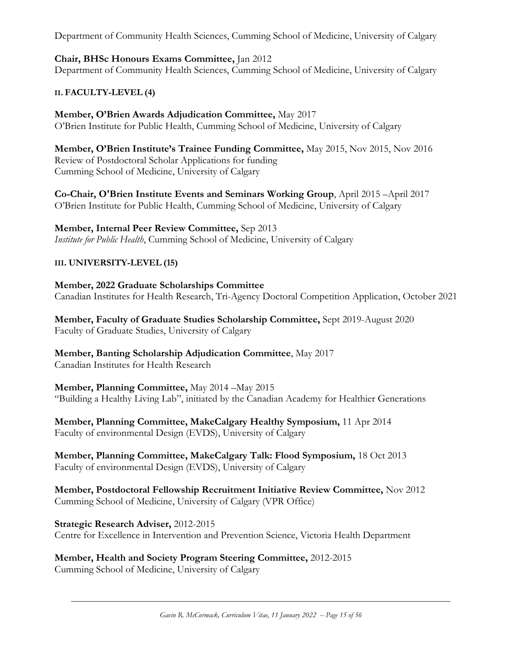Department of Community Health Sciences, Cumming School of Medicine, University of Calgary

## **Chair, BHSc Honours Exams Committee,** Jan 2012

Department of Community Health Sciences, Cumming School of Medicine, University of Calgary

## **II. FACULTY-LEVEL (4)**

**Member, O'Brien Awards Adjudication Committee,** May 2017 O'Brien Institute for Public Health, Cumming School of Medicine, University of Calgary

**Member, O'Brien Institute's Trainee Funding Committee,** May 2015, Nov 2015, Nov 2016 Review of Postdoctoral Scholar Applications for funding Cumming School of Medicine, University of Calgary

**Co-Chair, O'Brien Institute Events and Seminars Working Group**, April 2015 –April 2017 O'Brien Institute for Public Health, Cumming School of Medicine, University of Calgary

## **Member, Internal Peer Review Committee,** Sep 2013

*Institute for Public Health*, Cumming School of Medicine, University of Calgary

## **III. UNIVERSITY-LEVEL (15)**

**Member, 2022 Graduate Scholarships Committee** Canadian Institutes for Health Research, Tri-Agency Doctoral Competition Application, October 2021

**Member, Faculty of Graduate Studies Scholarship Committee,** Sept 2019-August 2020 Faculty of Graduate Studies, University of Calgary

**Member, Banting Scholarship Adjudication Committee**, May 2017 Canadian Institutes for Health Research

## **Member, Planning Committee,** May 2014 –May 2015

"Building a Healthy Living Lab", initiated by the Canadian Academy for Healthier Generations

**Member, Planning Committee, MakeCalgary Healthy Symposium,** 11 Apr 2014 Faculty of environmental Design (EVDS), University of Calgary

**Member, Planning Committee, MakeCalgary Talk: Flood Symposium,** 18 Oct 2013 Faculty of environmental Design (EVDS), University of Calgary

**Member, Postdoctoral Fellowship Recruitment Initiative Review Committee,** Nov 2012 Cumming School of Medicine, University of Calgary (VPR Office)

**Strategic Research Adviser,** 2012-2015 Centre for Excellence in Intervention and Prevention Science, Victoria Health Department

**Member, Health and Society Program Steering Committee,** 2012-2015 Cumming School of Medicine, University of Calgary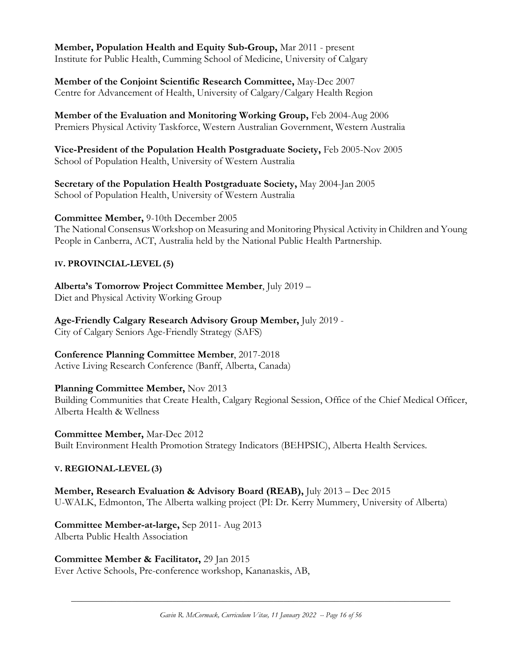**Member, Population Health and Equity Sub-Group,** Mar 2011 - present Institute for Public Health, Cumming School of Medicine, University of Calgary

**Member of the Conjoint Scientific Research Committee,** May-Dec 2007 Centre for Advancement of Health, University of Calgary/Calgary Health Region

**Member of the Evaluation and Monitoring Working Group,** Feb 2004-Aug 2006 Premiers Physical Activity Taskforce, Western Australian Government, Western Australia

**Vice-President of the Population Health Postgraduate Society,** Feb 2005-Nov 2005 School of Population Health, University of Western Australia

**Secretary of the Population Health Postgraduate Society,** May 2004-Jan 2005 School of Population Health, University of Western Australia

**Committee Member,** 9-10th December 2005

The National Consensus Workshop on Measuring and Monitoring Physical Activity in Children and Young People in Canberra, ACT, Australia held by the National Public Health Partnership.

### **IV. PROVINCIAL-LEVEL (5)**

**Alberta's Tomorrow Project Committee Member**, July 2019 – Diet and Physical Activity Working Group

**Age-Friendly Calgary Research Advisory Group Member,** July 2019 - City of Calgary Seniors Age-Friendly Strategy (SAFS)

**Conference Planning Committee Member**, 2017-2018

Active Living Research Conference (Banff, Alberta, Canada)

### **Planning Committee Member,** Nov 2013

Building Communities that Create Health, Calgary Regional Session, Office of the Chief Medical Officer, Alberta Health & Wellness

**Committee Member,** Mar-Dec 2012 Built Environment Health Promotion Strategy Indicators (BEHPSIC), Alberta Health Services.

### **V. REGIONAL-LEVEL (3)**

**Member, Research Evaluation & Advisory Board (REAB),** July 2013 – Dec 2015 U-WALK, Edmonton, The Alberta walking project (PI: Dr. Kerry Mummery, University of Alberta)

**Committee Member-at-large,** Sep 2011- Aug 2013 Alberta Public Health Association

**Committee Member & Facilitator,** 29 Jan 2015

Ever Active Schools, Pre-conference workshop, Kananaskis, AB,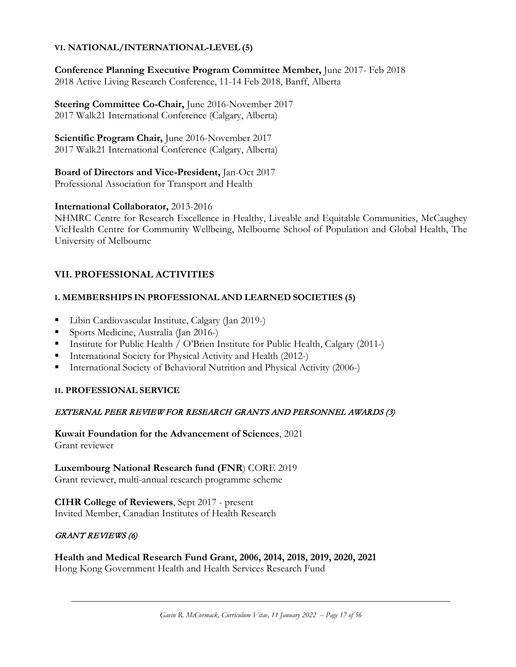### **VI. NATIONAL/INTERNATIONAL-LEVEL (5)**

**Conference Planning Executive Program Committee Member,** June 2017- Feb 2018 2018 Active Living Research Conference, 11-14 Feb 2018, Banff, Alberta

**Steering Committee Co-Chair,** June 2016-November 2017 2017 Walk21 International Conference (Calgary, Alberta)

**Scientific Program Chair,** June 2016-November 2017 2017 Walk21 International Conference (Calgary, Alberta)

**Board of Directors and Vice-President,** Jan-Oct 2017 Professional Association for Transport and Health

### **International Collaborator,** 2013-2016

NHMRC Centre for Research Excellence in Healthy, Liveable and Equitable Communities, [McCaughey](http://www.mccaugheycentre.unimelb.edu.au/)  [VicHealth Centre for Community Wellbeing,](http://www.mccaugheycentre.unimelb.edu.au/) Melbourne School of Population and Global Health, The University of Melbourne

## **VII. PROFESSIONAL ACTIVITIES**

### **I. MEMBERSHIPS IN PROFESSIONAL AND LEARNED SOCIETIES (5)**

- Libin Cardiovascular Institute, Calgary (Jan 2019-)
- Sports Medicine, Australia (Jan 2016-)
- Institute for Public Health / O'Brien Institute for Public Health, Calgary (2011-)
- **International Society for Physical Activity and Health (2012-)**
- International Society of Behavioral Nutrition and Physical Activity (2006-)

### **II. PROFESSIONAL SERVICE**

### EXTERNAL PEER REVIEW FOR RESEARCH GRANTS AND PERSONNEL AWARDS (3)

**Kuwait Foundation for the Advancement of Sciences**, 2021 Grant reviewer

**Luxembourg National Research fund (FNR**) CORE 2019 Grant reviewer, multi-annual research programme scheme

**CIHR College of Reviewers**, Sept 2017 - present Invited Member, Canadian Institutes of Health Research

### GRANT REVIEWS (6)

**Health and Medical Research Fund Grant, 2006, 2014, 2018, 2019, 2020, 2021** Hong Kong Government Health and Health Services Research Fund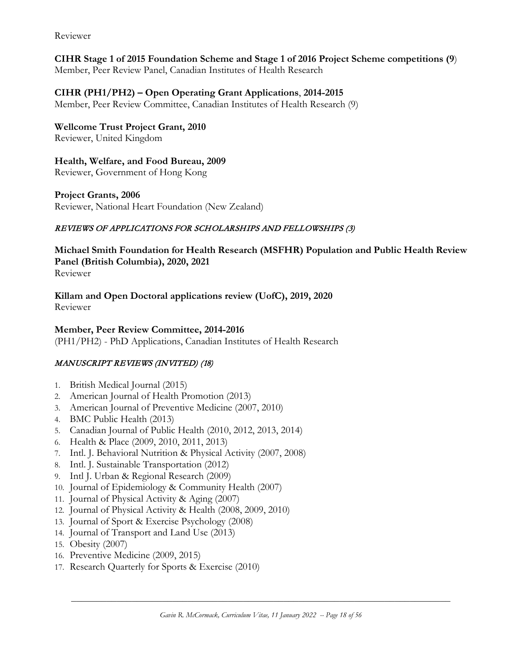Reviewer

## **CIHR Stage 1 of 2015 Foundation Scheme and Stage 1 of 2016 Project Scheme competitions (9**)

Member, Peer Review Panel, Canadian Institutes of Health Research

## **CIHR (PH1/PH2) – Open Operating Grant Applications**, **2014-2015**

Member, Peer Review Committee, Canadian Institutes of Health Research (9)

**Wellcome Trust Project Grant, 2010** Reviewer, United Kingdom

**Health, Welfare, and Food Bureau, 2009** Reviewer, Government of Hong Kong

### **Project Grants, 2006**

Reviewer, National Heart Foundation (New Zealand)

### REVIEWS OF APPLICATIONS FOR SCHOLARSHIPS AND FELLOWSHIPS (3)

**Michael Smith Foundation for Health Research (MSFHR) Population and Public Health Review Panel (British Columbia), 2020, 2021** Reviewer

**Killam and Open Doctoral applications review (UofC), 2019, 2020**

Reviewer

### **Member, Peer Review Committee, 2014-2016**

(PH1/PH2) - PhD Applications, Canadian Institutes of Health Research

### MANUSCRIPT REVIEWS (INVITED) (18)

- 1. British Medical Journal (2015)
- 2. American Journal of Health Promotion (2013)
- 3. American Journal of Preventive Medicine (2007, 2010)
- 4. BMC Public Health (2013)
- 5. Canadian Journal of Public Health (2010, 2012, 2013, 2014)
- 6. Health & Place (2009, 2010, 2011, 2013)
- 7. Intl. J. Behavioral Nutrition & Physical Activity (2007, 2008)
- 8. Intl. J. Sustainable Transportation (2012)
- 9. Intl J. Urban & Regional Research (2009)
- 10. Journal of Epidemiology & Community Health (2007)
- 11. Journal of Physical Activity & Aging (2007)
- 12. Journal of Physical Activity & Health (2008, 2009, 2010)
- 13. Journal of Sport & Exercise Psychology (2008)
- 14. Journal of Transport and Land Use (2013)
- 15. Obesity (2007)
- 16. Preventive Medicine (2009, 2015)
- 17. Research Quarterly for Sports & Exercise (2010)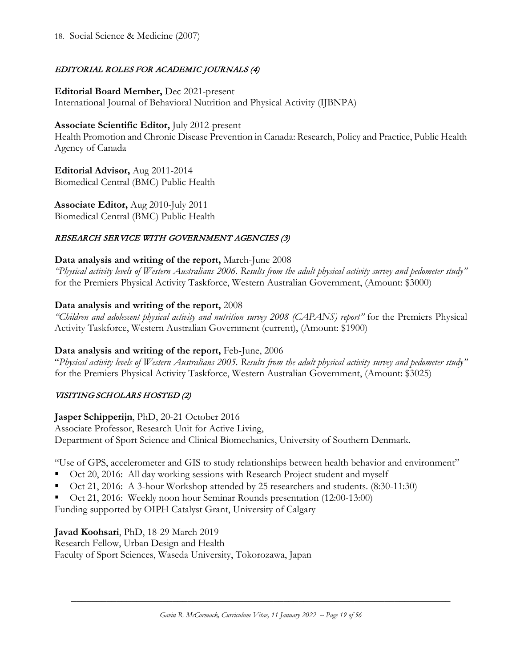### EDITORIAL ROLES FOR ACADEMIC JOURNALS (4)

#### **Editorial Board Member,** Dec 2021-present

International Journal of Behavioral Nutrition and Physical Activity (IJBNPA)

### **Associate Scientific Editor,** July 2012-present

Health Promotion and Chronic Disease Prevention in Canada: Research, Policy and Practice, Public Health Agency of Canada

**Editorial Advisor,** Aug 2011-2014 Biomedical Central (BMC) Public Health

**Associate Editor,** Aug 2010-July 2011 Biomedical Central (BMC) Public Health

### RESEARCH SERVICE WITH GOVERNMENT AGENCIES (3)

### **Data analysis and writing of the report,** March-June 2008

*"Physical activity levels of Western Australians 2006. Results from the adult physical activity survey and pedometer study"* for the Premiers Physical Activity Taskforce, Western Australian Government, (Amount: \$3000)

### **Data analysis and writing of the report,** 2008

*"Children and adolescent physical activity and nutrition survey 2008 (CAPANS) report"* for the Premiers Physical Activity Taskforce, Western Australian Government (current), (Amount: \$1900)

### **Data analysis and writing of the report,** Feb-June, 2006

"*Physical activity levels of Western Australians 2005. Results from the adult physical activity survey and pedometer study"*  for the Premiers Physical Activity Taskforce, Western Australian Government, (Amount: \$3025)

### VISITING SCHOLARS HOSTED (2)

### **Jasper Schipperijn**, PhD, 20-21 October 2016

Associate Professor, Research Unit for Active Living, Department of Sport Science and Clinical Biomechanics, University of Southern Denmark.

"Use of GPS, accelerometer and GIS to study relationships between health behavior and environment"

- Oct 20, 2016: All day working sessions with Research Project student and myself
- Oct 21, 2016: A 3-hour Workshop attended by 25 researchers and students. (8:30-11:30)
- Oct 21, 2016: Weekly noon hour Seminar Rounds presentation (12:00-13:00)

Funding supported by OIPH Catalyst Grant, University of Calgary

**Javad Koohsari**, PhD, 18-29 March 2019

Research Fellow, Urban Design and Health Faculty of Sport Sciences, Waseda University, Tokorozawa, Japan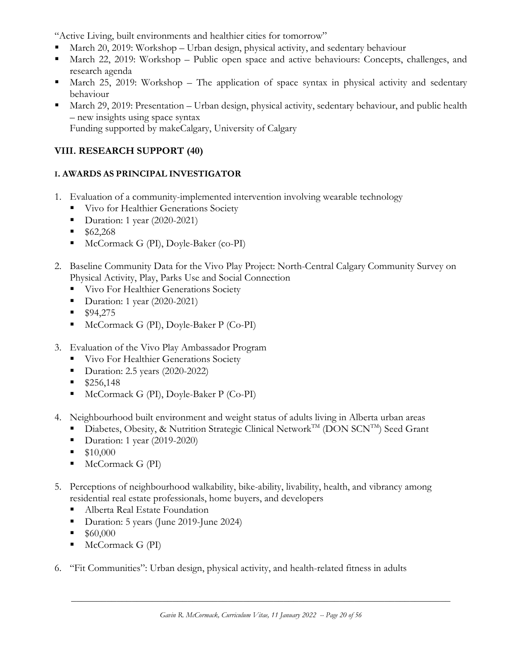"Active Living, built environments and healthier cities for tomorrow"

- March 20, 2019: Workshop Urban design, physical activity, and sedentary behaviour
- March 22, 2019: Workshop Public open space and active behaviours: Concepts, challenges, and research agenda
- March 25, 2019: Workshop The application of space syntax in physical activity and sedentary behaviour
- March 29, 2019: Presentation Urban design, physical activity, sedentary behaviour, and public health – new insights using space syntax Funding supported by makeCalgary, University of Calgary

## **VIII. RESEARCH SUPPORT (40)**

## **I. AWARDS AS PRINCIPAL INVESTIGATOR**

- 1. Evaluation of a community-implemented intervention involving wearable technology
	- Vivo for Healthier Generations Society
	- Duration: 1 year (2020-2021)
	- $$62,268$
	- McCormack G (PI), Doyle-Baker (co-PI)
- 2. Baseline Community Data for the Vivo Play Project: North-Central Calgary Community Survey on Physical Activity, Play, Parks Use and Social Connection
	- **Vivo For Healthier Generations Society**
	- Duration: 1 year (2020-2021)
	- $$94,275$
	- McCormack G (PI), Doyle-Baker P (Co-PI)
- 3. Evaluation of the Vivo Play Ambassador Program
	- **Vivo For Healthier Generations Society**
	- Duration: 2.5 years (2020-2022)
	- $$256,148$
	- McCormack G (PI), Doyle-Baker P (Co-PI)
- 4. Neighbourhood built environment and weight status of adults living in Alberta urban areas
	- Diabetes, Obesity, & Nutrition Strategic Clinical Network<sup>TM</sup> (DON SCN<sup>TM</sup>) Seed Grant
	- Duration: 1 year (2019-2020)
	- $\blacksquare$  \$10,000
	- $\blacksquare$  McCormack G (PI)
- 5. Perceptions of neighbourhood walkability, bike-ability, livability, health, and vibrancy among residential real estate professionals, home buyers, and developers
	- Alberta Real Estate Foundation
	- Duration: 5 years (June 2019-June 2024)
	- \$60,000
	- $McComack G (PI)$
- 6. "Fit Communities": Urban design, physical activity, and health-related fitness in adults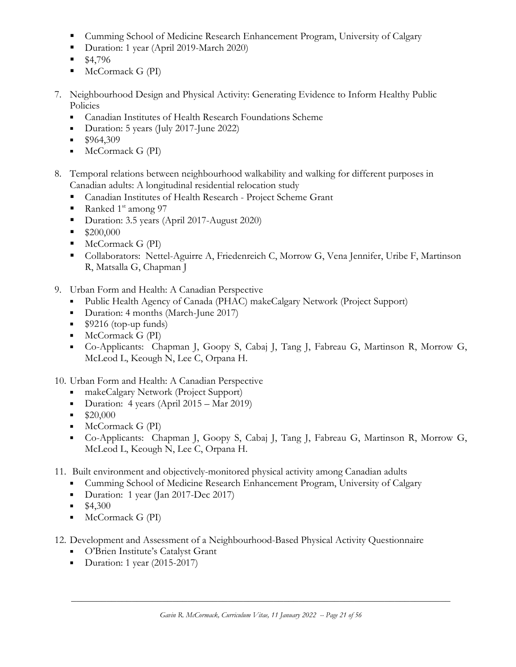- Cumming School of Medicine Research Enhancement Program, University of Calgary
- Duration: 1 year (April 2019-March 2020)
- $\blacksquare$  \$4,796
- $McComack G (PI)$
- 7. Neighbourhood Design and Physical Activity: Generating Evidence to Inform Healthy Public Policies
	- Canadian Institutes of Health Research Foundations Scheme
	- Duration: 5 years (July 2017-June 2022)
	- $\blacksquare$  \$964,309
	- $McComack G (PI)$
- 8. Temporal relations between neighbourhood walkability and walking for different purposes in Canadian adults: A longitudinal residential relocation study
	- Canadian Institutes of Health Research Project Scheme Grant
	- Ranked  $1<sup>st</sup>$  among 97
	- Duration: 3.5 years (April 2017-August 2020)
	- $\blacksquare$  \$200,000
	- $McComack G (PI)$
	- Collaborators: Nettel-Aguirre A, Friedenreich C, Morrow G, Vena Jennifer, Uribe F, Martinson R, Matsalla G, Chapman J
- 9. Urban Form and Health: A Canadian Perspective
	- Public Health Agency of Canada (PHAC) makeCalgary Network (Project Support)
	- Duration: 4 months (March-June 2017)
	- $\bullet$  \$9216 (top-up funds)
	- $\blacksquare$  McCormack G (PI)
	- Co-Applicants: Chapman J, Goopy S, Cabaj J, Tang J, Fabreau G, Martinson R, Morrow G, McLeod L, Keough N, Lee C, Orpana H.

## 10. Urban Form and Health: A Canadian Perspective

- makeCalgary Network (Project Support)
- Duration: 4 years (April 2015 Mar 2019)
- $\bullet$  \$20,000
- $McComack G (PI)$
- Co-Applicants: Chapman J, Goopy S, Cabaj J, Tang J, Fabreau G, Martinson R, Morrow G, McLeod L, Keough N, Lee C, Orpana H.
- 11. Built environment and objectively-monitored physical activity among Canadian adults
	- Cumming School of Medicine Research Enhancement Program, University of Calgary
	- Duration: 1 year (Jan 2017-Dec 2017)
	- $\blacksquare$  \$4,300
	- **McCormack G (PI)**
- 12. Development and Assessment of a Neighbourhood-Based Physical Activity Questionnaire
	- **O'Brien Institute's Catalyst Grant**
	- Duration: 1 year  $(2015-2017)$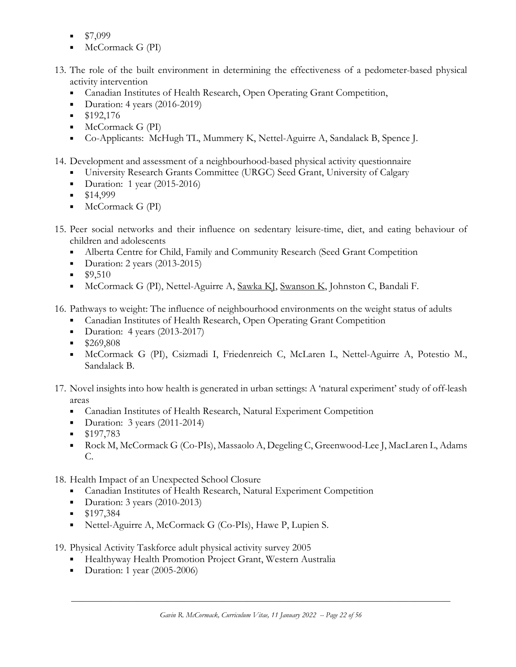- \$7,099
- McCormack G (PI)
- 13. The role of the built environment in determining the effectiveness of a pedometer-based physical activity intervention
	- Canadian Institutes of Health Research, Open Operating Grant Competition,
	- Duration: 4 years  $(2016-2019)$
	- \$192,176
	- $\blacksquare$  McCormack G (PI)
	- Co-Applicants: McHugh TL, Mummery K, Nettel-Aguirre A, Sandalack B, Spence J.
- 14. Development and assessment of a neighbourhood-based physical activity questionnaire
	- University Research Grants Committee (URGC) Seed Grant, University of Calgary
	- $\blacksquare$  Duration: 1 year (2015-2016)
	- $\blacksquare$  \$14,999
	- $McComack G (PI)$
- 15. Peer social networks and their influence on sedentary leisure-time, diet, and eating behaviour of children and adolescents
	- Alberta Centre for Child, Family and Community Research (Seed Grant Competition
	- Duration: 2 years  $(2013-2015)$
	- $$9,510$
	- McCormack G (PI), Nettel-Aguirre A, Sawka KI, Swanson K, Johnston C, Bandali F.
- 16. Pathways to weight: The influence of neighbourhood environments on the weight status of adults
	- Canadian Institutes of Health Research, Open Operating Grant Competition
	- Duration: 4 years  $(2013-2017)$
	- \$269,808
	- McCormack G (PI), Csizmadi I, Friedenreich C, McLaren L, Nettel-Aguirre A, Potestio M., Sandalack B.
- 17. Novel insights into how health is generated in urban settings: A 'natural experiment' study of off-leash areas
	- Canadian Institutes of Health Research, Natural Experiment Competition
	- Duration:  $3$  years (2011-2014)
	- $\blacksquare$  \$197,783
	- Rock M, McCormack G (Co-PIs), Massaolo A, Degeling C, Greenwood-Lee J, MacLaren L, Adams C.
- 18. Health Impact of an Unexpected School Closure
	- Canadian Institutes of Health Research, Natural Experiment Competition
	- Duration: 3 years (2010-2013)
	- $\blacksquare$  \$197,384
	- Nettel-Aguirre A, McCormack G (Co-PIs), Hawe P, Lupien S.
- 19. Physical Activity Taskforce adult physical activity survey 2005
	- **Healthyway Health Promotion Project Grant, Western Australia**
	- Duration: 1 year  $(2005-2006)$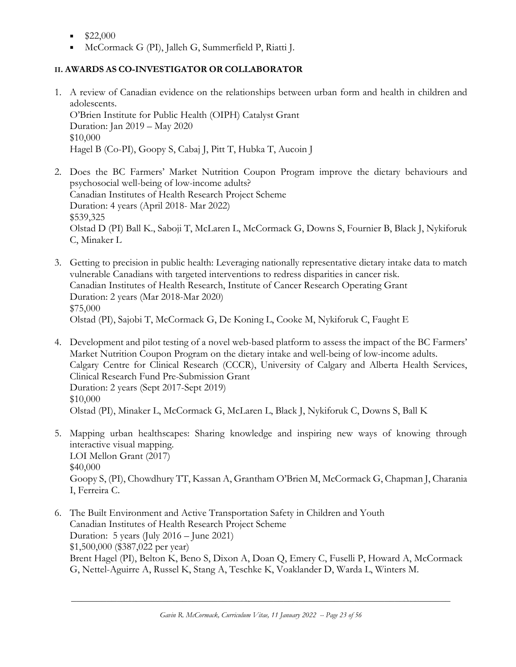- \$22,000
- McCormack G (PI), Jalleh G, Summerfield P, Riatti J.

## **II. AWARDS AS CO-INVESTIGATOR OR COLLABORATOR**

- 1. A review of Canadian evidence on the relationships between urban form and health in children and adolescents. O'Brien Institute for Public Health (OIPH) Catalyst Grant Duration: Jan 2019 – May 2020 \$10,000 Hagel B (Co-PI), Goopy S, Cabaj J, Pitt T, Hubka T, Aucoin J
- 2. Does the BC Farmers' Market Nutrition Coupon Program improve the dietary behaviours and psychosocial well-being of low-income adults? Canadian Institutes of Health Research Project Scheme Duration: 4 years (April 2018- Mar 2022) \$539,325 Olstad D (PI) Ball K., Saboji T, McLaren L, McCormack G, Downs S, Fournier B, Black J, Nykiforuk C, Minaker L
- 3. Getting to precision in public health: Leveraging nationally representative dietary intake data to match vulnerable Canadians with targeted interventions to redress disparities in cancer risk. Canadian Institutes of Health Research, Institute of Cancer Research Operating Grant Duration: 2 years (Mar 2018-Mar 2020) \$75,000 Olstad (PI), Sajobi T, McCormack G, De Koning L, Cooke M, Nykiforuk C, Faught E
- 4. Development and pilot testing of a novel web-based platform to assess the impact of the BC Farmers' Market Nutrition Coupon Program on the dietary intake and well-being of low-income adults. Calgary Centre for Clinical Research (CCCR), University of Calgary and Alberta Health Services, Clinical Research Fund Pre-Submission Grant Duration: 2 years (Sept 2017-Sept 2019) \$10,000 Olstad (PI), Minaker L, McCormack G, McLaren L, Black J, Nykiforuk C, Downs S, Ball K
- 5. Mapping urban healthscapes: Sharing knowledge and inspiring new ways of knowing through interactive visual mapping. LOI Mellon Grant (2017) \$40,000 Goopy S, (PI), Chowdhury TT, Kassan A, Grantham O'Brien M, McCormack G, Chapman J, Charania I, Ferreira C.
- 6. The Built Environment and Active Transportation Safety in Children and Youth Canadian Institutes of Health Research Project Scheme Duration: 5 years (July 2016 – June 2021) \$1,500,000 (\$387,022 per year) Brent Hagel (PI), Belton K, Beno S, Dixon A, Doan Q, Emery C, Fuselli P, Howard A, McCormack G, Nettel-Aguirre A, Russel K, Stang A, Teschke K, Voaklander D, Warda L, Winters M.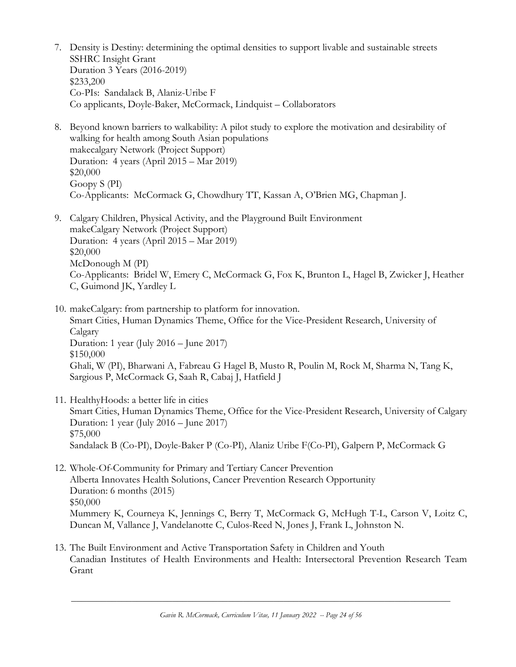- 7. Density is Destiny: determining the optimal densities to support livable and sustainable streets SSHRC Insight Grant Duration 3 Years (2016-2019) \$233,200 Co-PIs: Sandalack B, Alaniz-Uribe F Co applicants, Doyle-Baker, McCormack, Lindquist – Collaborators
- 8. Beyond known barriers to walkability: A pilot study to explore the motivation and desirability of walking for health among South Asian populations makecalgary Network (Project Support) Duration: 4 years (April 2015 – Mar 2019) \$20,000 Goopy S (PI) Co-Applicants: McCormack G, Chowdhury TT, Kassan A, O'Brien MG, Chapman J.
- 9. Calgary Children, Physical Activity, and the Playground Built Environment makeCalgary Network (Project Support) Duration: 4 years (April 2015 – Mar 2019) \$20,000 McDonough M (PI) Co-Applicants: Bridel W, Emery C, McCormack G, Fox K, Brunton L, Hagel B, Zwicker J, Heather C, Guimond JK, Yardley L
- 10. makeCalgary: from partnership to platform for innovation. Smart Cities, Human Dynamics Theme, Office for the Vice-President Research, University of Calgary Duration: 1 year (July 2016 – June 2017) \$150,000 Ghali, W (PI), Bharwani A, Fabreau G Hagel B, Musto R, Poulin M, Rock M, Sharma N, Tang K, Sargious P, McCormack G, Saah R, Cabaj J, Hatfield J
- 11. HealthyHoods: a better life in cities Smart Cities, Human Dynamics Theme, Office for the Vice-President Research, University of Calgary Duration: 1 year (July 2016 – June 2017) \$75,000 Sandalack B (Co-PI), Doyle-Baker P (Co-PI), Alaniz Uribe F(Co-PI), Galpern P, McCormack G
- 12. Whole-Of-Community for Primary and Tertiary Cancer Prevention Alberta Innovates Health Solutions, Cancer Prevention Research Opportunity Duration: 6 months (2015) \$50,000 Mummery K, Courneya K, Jennings C, Berry T, McCormack G, McHugh T-L, Carson V, Loitz C, Duncan M, Vallance J, Vandelanotte C, Culos-Reed N, Jones J, Frank L, Johnston N.
- 13. The Built Environment and Active Transportation Safety in Children and Youth Canadian Institutes of Health Environments and Health: Intersectoral Prevention Research Team Grant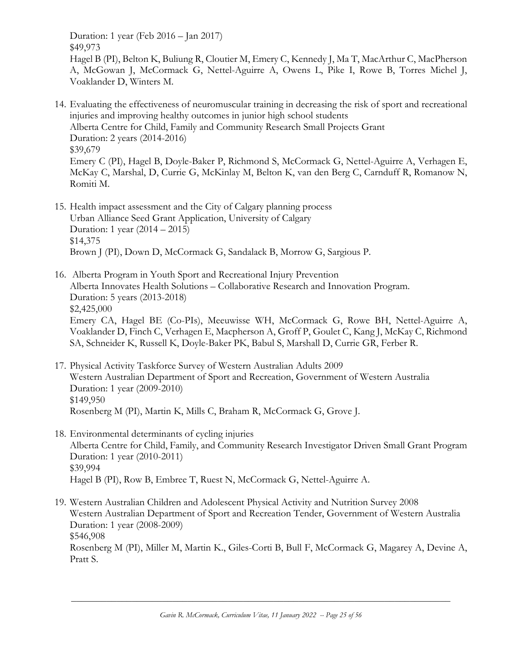Duration: 1 year (Feb 2016 – Jan 2017) \$49,973

Hagel B (PI), Belton K, Buliung R, Cloutier M, Emery C, Kennedy J, Ma T, MacArthur C, MacPherson A, McGowan J, McCormack G, Nettel-Aguirre A, Owens L, Pike I, Rowe B, Torres Michel J, Voaklander D, Winters M.

- 14. Evaluating the effectiveness of neuromuscular training in decreasing the risk of sport and recreational injuries and improving healthy outcomes in junior high school students Alberta Centre for Child, Family and Community Research Small Projects Grant Duration: 2 years (2014-2016) \$39,679 Emery C (PI), Hagel B, Doyle-Baker P, Richmond S, McCormack G, Nettel-Aguirre A, Verhagen E, McKay C, Marshal, D, Currie G, McKinlay M, Belton K, van den Berg C, Carnduff R, Romanow N, Romiti M.
- 15. Health impact assessment and the City of Calgary planning process Urban Alliance Seed Grant Application, University of Calgary Duration: 1 year (2014 – 2015) \$14,375 Brown J (PI), Down D, McCormack G, Sandalack B, Morrow G, Sargious P.
- 16. Alberta Program in Youth Sport and Recreational Injury Prevention Alberta Innovates Health Solutions – Collaborative Research and Innovation Program. Duration: 5 years (2013-2018) \$2,425,000 Emery CA, Hagel BE (Co-PIs), Meeuwisse WH, McCormack G, Rowe BH, Nettel-Aguirre A, Voaklander D, Finch C, Verhagen E, Macpherson A, Groff P, Goulet C, Kang J, McKay C, Richmond SA, Schneider K, Russell K, Doyle-Baker PK, Babul S, Marshall D, Currie GR, Ferber R.
- 17. Physical Activity Taskforce Survey of Western Australian Adults 2009 Western Australian Department of Sport and Recreation, Government of Western Australia Duration: 1 year (2009-2010) \$149,950 Rosenberg M (PI), Martin K, Mills C, Braham R, McCormack G, Grove J.
- 18. Environmental determinants of cycling injuries Alberta Centre for Child, Family, and Community Research Investigator Driven Small Grant Program Duration: 1 year (2010-2011) \$39,994 Hagel B (PI), Row B, Embree T, Ruest N, McCormack G, Nettel-Aguirre A.
- 19. Western Australian Children and Adolescent Physical Activity and Nutrition Survey 2008 Western Australian Department of Sport and Recreation Tender, Government of Western Australia Duration: 1 year (2008-2009) \$546,908 Rosenberg M (PI), Miller M, Martin K., Giles-Corti B, Bull F, McCormack G, Magarey A, Devine A, Pratt S.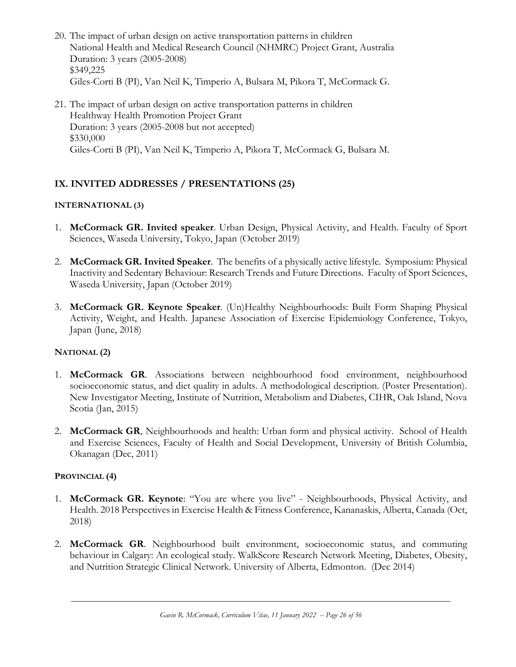- 20. The impact of urban design on active transportation patterns in children National Health and Medical Research Council (NHMRC) Project Grant, Australia Duration: 3 years (2005-2008) \$349,225 Giles-Corti B (PI), Van Neil K, Timperio A, Bulsara M, Pikora T, McCormack G.
- 21. The impact of urban design on active transportation patterns in children Healthway Health Promotion Project Grant Duration: 3 years (2005-2008 but not accepted) \$330,000 Giles-Corti B (PI), Van Neil K, Timperio A, Pikora T, McCormack G, Bulsara M.

## **IX. INVITED ADDRESSES / PRESENTATIONS (25)**

### **INTERNATIONAL (3)**

- 1. **McCormack GR. Invited speaker**. Urban Design, Physical Activity, and Health. Faculty of Sport Sciences, Waseda University, Tokyo, Japan (October 2019)
- 2. **McCormack GR. Invited Speaker**. The benefits of a physically active lifestyle. Symposium: Physical Inactivity and Sedentary Behaviour: Research Trends and Future Directions. Faculty of Sport Sciences, Waseda University, Japan (October 2019)
- 3. **McCormack GR. Keynote Speaker**. (Un)Healthy Neighbourhoods: Built Form Shaping Physical Activity, Weight, and Health. Japanese Association of Exercise Epidemiology Conference, Tokyo, Japan (June, 2018)

### **NATIONAL (2)**

- 1. **McCormack GR**. Associations between neighbourhood food environment, neighbourhood socioeconomic status, and diet quality in adults. A methodological description. (Poster Presentation). New Investigator Meeting, Institute of Nutrition, Metabolism and Diabetes, CIHR, Oak Island, Nova Scotia (Jan, 2015)
- 2. **McCormack GR**. Neighbourhoods and health: Urban form and physical activity. School of Health and Exercise Sciences, Faculty of Health and Social Development, University of British Columbia, Okanagan (Dec, 2011)

### **PROVINCIAL (4)**

- 1. **McCormack GR. Keynote**: "You are where you live" Neighbourhoods, Physical Activity, and Health. 2018 Perspectives in Exercise Health & Fitness Conference, Kananaskis, Alberta, Canada (Oct, 2018)
- 2. **McCormack GR**. Neighbourhood built environment, socioeconomic status, and commuting behaviour in Calgary: An ecological study. WalkScore Research Network Meeting, Diabetes, Obesity, and Nutrition Strategic Clinical Network. University of Alberta, Edmonton. (Dec 2014)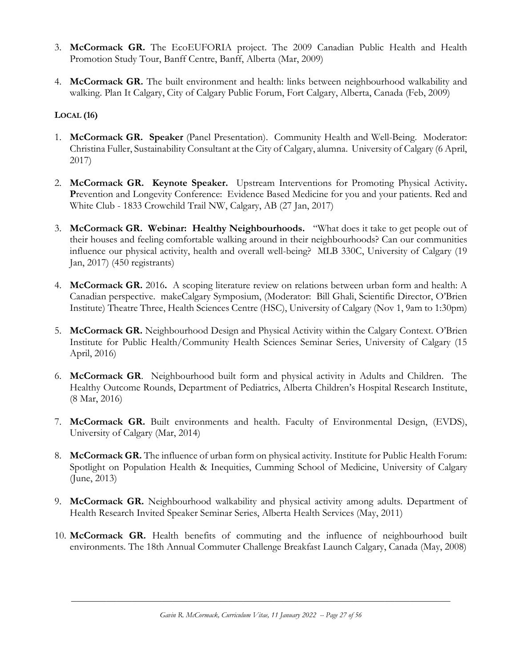- 3. **McCormack GR.** The EcoEUFORIA project. The 2009 Canadian Public Health and Health Promotion Study Tour, Banff Centre, Banff, Alberta (Mar, 2009)
- 4. **McCormack GR.** The built environment and health: links between neighbourhood walkability and walking. Plan It Calgary, City of Calgary Public Forum, Fort Calgary, Alberta, Canada (Feb, 2009)

## **LOCAL (16)**

- 1. **McCormack GR. Speaker** (Panel Presentation). Community Health and Well-Being. Moderator: Christina Fuller, Sustainability Consultant at the City of Calgary, alumna. University of Calgary (6 April, 2017)
- 2. **McCormack GR. Keynote Speaker.** Upstream Interventions for Promoting Physical Activity**.**  Prevention and Longevity Conference: Evidence Based Medicine for you and your patients. Red and White Club - 1833 Crowchild Trail NW, Calgary, AB (27 Jan, 2017)
- 3. **McCormack GR. Webinar: Healthy Neighbourhoods.** "What does it take to get people out of their houses and feeling comfortable walking around in their neighbourhoods? Can our communities influence our physical activity, health and overall well-being? MLB 330C, University of Calgary (19 Jan, 2017) (450 registrants)
- 4. **McCormack GR.** 2016**.** A scoping literature review on relations between urban form and health: A Canadian perspective. makeCalgary Symposium, (Moderator: Bill Ghali, Scientific Director, O'Brien Institute) Theatre Three, Health Sciences Centre (HSC), University of Calgary (Nov 1, 9am to 1:30pm)
- 5. **McCormack GR.** Neighbourhood Design and Physical Activity within the Calgary Context. O'Brien Institute for Public Health/Community Health Sciences Seminar Series, University of Calgary (15 April, 2016)
- 6. **McCormack GR**. Neighbourhood built form and physical activity in Adults and Children. The Healthy Outcome Rounds, Department of Pediatrics, Alberta Children's Hospital Research Institute, (8 Mar, 2016)
- 7. **McCormack GR.** Built environments and health. Faculty of Environmental Design, (EVDS), University of Calgary (Mar, 2014)
- 8. **McCormack GR.** The influence of urban form on physical activity. Institute for Public Health Forum: Spotlight on Population Health & Inequities, Cumming School of Medicine, University of Calgary (June, 2013)
- 9. **McCormack GR.** Neighbourhood walkability and physical activity among adults. Department of Health Research Invited Speaker Seminar Series, Alberta Health Services (May, 2011)
- 10. **McCormack GR.** Health benefits of commuting and the influence of neighbourhood built environments. The 18th Annual Commuter Challenge Breakfast Launch Calgary, Canada (May, 2008)

*Gavin R. McCormack, Curriculum Vitae, 11 January 2022 -- Page 27 of 56*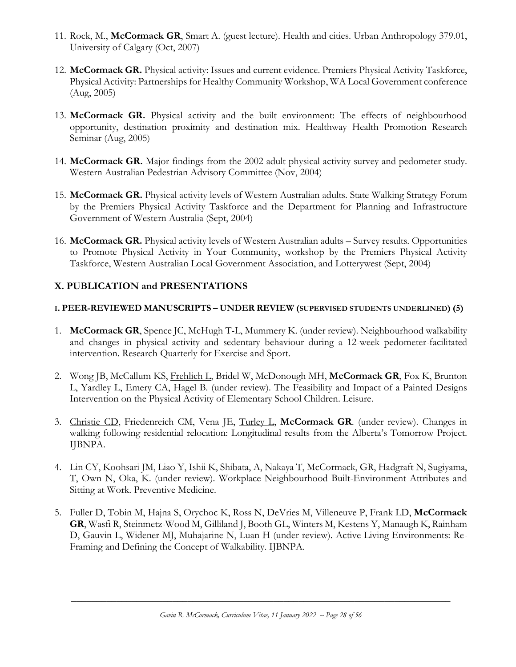- 11. Rock, M., **McCormack GR**, Smart A. (guest lecture). Health and cities. Urban Anthropology 379.01, University of Calgary (Oct, 2007)
- 12. **McCormack GR.** Physical activity: Issues and current evidence. Premiers Physical Activity Taskforce, Physical Activity: Partnerships for Healthy Community Workshop, WA Local Government conference (Aug, 2005)
- 13. **McCormack GR.** Physical activity and the built environment: The effects of neighbourhood opportunity, destination proximity and destination mix. Healthway Health Promotion Research Seminar (Aug, 2005)
- 14. **McCormack GR.** Major findings from the 2002 adult physical activity survey and pedometer study. Western Australian Pedestrian Advisory Committee (Nov, 2004)
- 15. **McCormack GR.** Physical activity levels of Western Australian adults. State Walking Strategy Forum by the Premiers Physical Activity Taskforce and the Department for Planning and Infrastructure Government of Western Australia (Sept, 2004)
- 16. **McCormack GR.** Physical activity levels of Western Australian adults Survey results. Opportunities to Promote Physical Activity in Your Community, workshop by the Premiers Physical Activity Taskforce, Western Australian Local Government Association, and Lotterywest (Sept, 2004)

## **X. PUBLICATION and PRESENTATIONS**

## **I. PEER-REVIEWED MANUSCRIPTS – UNDER REVIEW (SUPERVISED STUDENTS UNDERLINED) (5)**

- 1. **McCormack GR**, Spence JC, McHugh T-L, Mummery K. (under review). Neighbourhood walkability and changes in physical activity and sedentary behaviour during a 12-week pedometer-facilitated intervention. Research Quarterly for Exercise and Sport.
- 2. Wong JB, McCallum KS, Frehlich L, Bridel W, McDonough MH, **McCormack GR**, Fox K, Brunton L, Yardley L, Emery CA, Hagel B. (under review). The Feasibility and Impact of a Painted Designs Intervention on the Physical Activity of Elementary School Children. Leisure.
- 3. Christie CD, Friedenreich CM, Vena JE, Turley L, **McCormack GR**. (under review). Changes in walking following residential relocation: Longitudinal results from the Alberta's Tomorrow Project. IJBNPA.
- 4. Lin CY, Koohsari JM, Liao Y, Ishii K, Shibata, A, Nakaya T, McCormack, GR, Hadgraft N, Sugiyama, T, Own N, Oka, K. (under review). Workplace Neighbourhood Built-Environment Attributes and Sitting at Work. Preventive Medicine.
- 5. Fuller D, Tobin M, Hajna S, Orychoc K, Ross N, DeVries M, Villeneuve P, Frank LD, **McCormack GR**, Wasfi R, Steinmetz-Wood M, Gilliland J, Booth GL, Winters M, Kestens Y, Manaugh K, Rainham D, Gauvin L, Widener MJ, Muhajarine N, Luan H (under review). Active Living Environments: Re-Framing and Defining the Concept of Walkability. IJBNPA.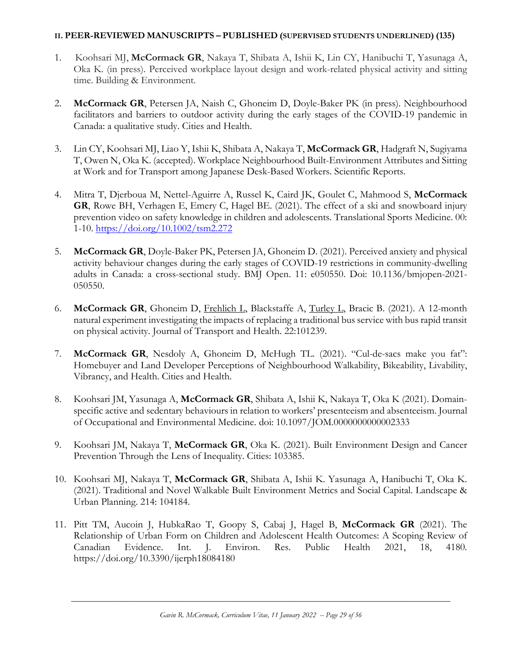#### **II. PEER-REVIEWED MANUSCRIPTS – PUBLISHED (SUPERVISED STUDENTS UNDERLINED) (135)**

- 1. Koohsari MJ, **McCormack GR**, Nakaya T, Shibata A, Ishii K, Lin CY, Hanibuchi T, Yasunaga A, Oka K. (in press). Perceived workplace layout design and work-related physical activity and sitting time. Building & Environment.
- 2. **McCormack GR**, Petersen JA, Naish C, Ghoneim D, Doyle-Baker PK (in press). Neighbourhood facilitators and barriers to outdoor activity during the early stages of the COVID-19 pandemic in Canada: a qualitative study. Cities and Health.
- 3. Lin CY, Koohsari MJ, Liao Y, Ishii K, Shibata A, Nakaya T, **McCormack GR**, Hadgraft N, Sugiyama T, Owen N, Oka K. (accepted). Workplace Neighbourhood Built-Environment Attributes and Sitting at Work and for Transport among Japanese Desk-Based Workers. Scientific Reports.
- 4. Mitra T, Djerboua M, Nettel-Aguirre A, Russel K, Caird JK, Goulet C, Mahmood S, **McCormack GR**, Rowe BH, Verhagen E, Emery C, Hagel BE. (2021). The effect of a ski and snowboard injury prevention video on safety knowledge in children and adolescents. Translational Sports Medicine. 00: 1-10.<https://doi.org/10.1002/tsm2.272>
- 5. **McCormack GR**, Doyle-Baker PK, Petersen JA, Ghoneim D. (2021). Perceived anxiety and physical activity behaviour changes during the early stages of COVID-19 restrictions in community-dwelling adults in Canada: a cross-sectional study. BMJ Open. 11: e050550. Doi: 10.1136/bmjopen-2021- 050550.
- 6. **McCormack GR**, Ghoneim D, Frehlich L, Blackstaffe A, Turley L, Bracic B. (2021). A 12-month natural experiment investigating the impacts of replacing a traditional bus service with bus rapid transit on physical activity. Journal of Transport and Health. 22:101239.
- 7. **McCormack GR**, Nesdoly A, Ghoneim D, McHugh TL. (2021). "Cul-de-sacs make you fat": Homebuyer and Land Developer Perceptions of Neighbourhood Walkability, Bikeability, Livability, Vibrancy, and Health. Cities and Health.
- 8. Koohsari JM, Yasunaga A, **McCormack GR**, Shibata A, Ishii K, Nakaya T, Oka K (2021). Domainspecific active and sedentary behaviours in relation to workers' presenteeism and absenteeism. Journal of Occupational and Environmental Medicine. doi: 10.1097/JOM.0000000000002333
- 9. Koohsari JM, Nakaya T, **McCormack GR**, Oka K. (2021). Built Environment Design and Cancer Prevention Through the Lens of Inequality. Cities: 103385.
- 10. Koohsari MJ, Nakaya T, **McCormack GR**, Shibata A, Ishii K. Yasunaga A, Hanibuchi T, Oka K. (2021). Traditional and Novel Walkable Built Environment Metrics and Social Capital. Landscape & Urban Planning. 214: 104184.
- 11. Pitt TM, Aucoin J, HubkaRao T, Goopy S, Cabaj J, Hagel B, **McCormack GR** (2021). The Relationship of Urban Form on Children and Adolescent Health Outcomes: A Scoping Review of Canadian Evidence. Int. J. Environ. Res. Public Health 2021, 18, 4180. https://doi.org/10.3390/ijerph18084180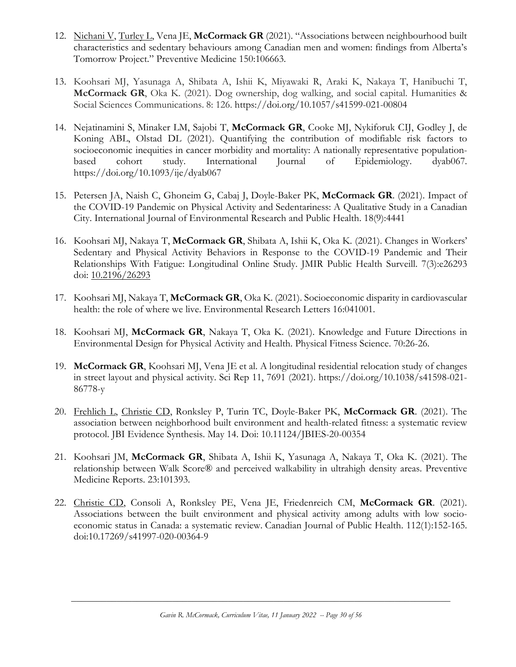- 12. Nichani V, Turley L, Vena JE, **McCormack GR** (2021). "Associations between neighbourhood built characteristics and sedentary behaviours among Canadian men and women: findings from Alberta's Tomorrow Project." Preventive Medicine 150:106663.
- 13. Koohsari MJ, Yasunaga A, Shibata A, Ishii K, Miyawaki R, Araki K, Nakaya T, Hanibuchi T, **McCormack GR**, Oka K. (2021). Dog ownership, dog walking, and social capital. Humanities & Social Sciences Communications. 8: 126. https://doi.org/10.1057/s41599-021-00804
- 14. Nejatinamini S, Minaker LM, Sajobi T, **McCormack GR**, Cooke MJ, Nykiforuk CIJ, Godley J, de Koning ABL, Olstad DL (2021). Quantifying the contribution of modifiable risk factors to socioeconomic inequities in cancer morbidity and mortality: A nationally representative populationbased cohort study. International Journal of Epidemiology. dyab067. https://doi.org/10.1093/ije/dyab067
- 15. Petersen JA, Naish C, Ghoneim G, Cabaj J, Doyle-Baker PK, **McCormack GR**. (2021). Impact of the COVID-19 Pandemic on Physical Activity and Sedentariness: A Qualitative Study in a Canadian City. International Journal of Environmental Research and Public Health. 18(9):4441
- 16. Koohsari MJ, Nakaya T, **McCormack GR**, Shibata A, Ishii K, Oka K. (2021). Changes in Workers' Sedentary and Physical Activity Behaviors in Response to the COVID-19 Pandemic and Their Relationships With Fatigue: Longitudinal Online Study. JMIR Public Health Surveill. 7(3):e26293 doi: [10.2196/26293](https://doi.org/10.2196/26293)
- 17. Koohsari MJ, Nakaya T, **McCormack GR**, Oka K. (2021). Socioeconomic disparity in cardiovascular health: the role of where we live. Environmental Research Letters 16:041001.
- 18. Koohsari MJ, **McCormack GR**, Nakaya T, Oka K. (2021). Knowledge and Future Directions in Environmental Design for Physical Activity and Health. Physical Fitness Science. 70:26-26.
- 19. **McCormack GR**, Koohsari MJ, Vena JE et al. A longitudinal residential relocation study of changes in street layout and physical activity. Sci Rep 11, 7691 (2021). https://doi.org/10.1038/s41598-021- 86778-y
- 20. Frehlich L, Christie CD, Ronksley P, Turin TC, Doyle-Baker PK, **McCormack GR**. (2021). The association between neighborhood built environment and health-related fitness: a systematic review protocol. JBI Evidence Synthesis. May 14. Doi: 10.11124/JBIES-20-00354
- 21. Koohsari JM, **McCormack GR**, Shibata A, Ishii K, Yasunaga A, Nakaya T, Oka K. (2021). The relationship between Walk Score® and perceived walkability in ultrahigh density areas. Preventive Medicine Reports. 23:101393.
- 22. Christie CD, Consoli A, Ronksley PE, Vena JE, Friedenreich CM, **McCormack GR**. (2021). Associations between the built environment and physical activity among adults with low socioeconomic status in Canada: a systematic review. Canadian Journal of Public Health. 112(1):152-165. doi:10.17269/s41997-020-00364-9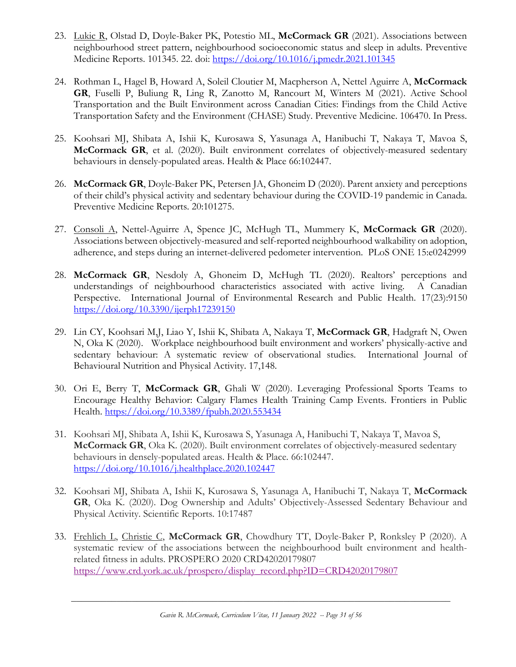- 23. Lukic R, Olstad D, Doyle-Baker PK, Potestio ML, **McCormack GR** (2021). Associations between neighbourhood street pattern, neighbourhood socioeconomic status and sleep in adults. Preventive Medicine Reports. 101345. 22. doi:<https://doi.org/10.1016/j.pmedr.2021.101345>
- 24. Rothman L, Hagel B, Howard A, Soleil Cloutier M, Macpherson A, Nettel Aguirre A, **McCormack GR**, Fuselli P, Buliung R, Ling R, Zanotto M, Rancourt M, Winters M (2021). Active School Transportation and the Built Environment across Canadian Cities: Findings from the Child Active Transportation Safety and the Environment (CHASE) Study. Preventive Medicine. 106470. In Press.
- 25. Koohsari MJ, Shibata A, Ishii K, Kurosawa S, Yasunaga A, Hanibuchi T, Nakaya T, Mavoa S, **McCormack GR**, et al. (2020). Built environment correlates of objectively-measured sedentary behaviours in densely-populated areas. Health & Place 66:102447.
- 26. **McCormack GR**, Doyle-Baker PK, Petersen JA, Ghoneim D (2020). Parent anxiety and perceptions of their child's physical activity and sedentary behaviour during the COVID-19 pandemic in Canada. Preventive Medicine Reports. 20:101275.
- 27. Consoli A, Nettel-Aguirre A, Spence JC, McHugh TL, Mummery K, **McCormack GR** (2020). Associations between objectively-measured and self-reported neighbourhood walkability on adoption, adherence, and steps during an internet-delivered pedometer intervention. PLoS ONE 15:e0242999
- 28. **McCormack GR**, Nesdoly A, Ghoneim D, McHugh TL (2020). Realtors' perceptions and understandings of neighbourhood characteristics associated with active living. A Canadian Perspective. International Journal of Environmental Research and Public Health. 17(23):9150 <https://doi.org/10.3390/ijerph17239150>
- 29. Lin CY, Koohsari M,J, Liao Y, Ishii K, Shibata A, Nakaya T, **McCormack GR**, Hadgraft N, Owen N, Oka K (2020). Workplace neighbourhood built environment and workers' physically-active and sedentary behaviour: A systematic review of observational studies. International Journal of Behavioural Nutrition and Physical Activity. 17,148.
- 30. Ori E, Berry T, **McCormack GR**, Ghali W (2020). Leveraging Professional Sports Teams to Encourage Healthy Behavior: Calgary Flames Health Training Camp Events. Frontiers in Public Health. <https://doi.org/10.3389/fpubh.2020.553434>
- 31. Koohsari MJ, Shibata A, Ishii K, Kurosawa S, Yasunaga A, Hanibuchi T, Nakaya T, Mavoa S, **McCormack GR**, Oka K. (2020). Built environment correlates of objectively-measured sedentary behaviours in densely-populated areas. Health & Place*.* 66:102447. <https://doi.org/10.1016/j.healthplace.2020.102447>
- 32. Koohsari MJ, Shibata A, Ishii K, Kurosawa S, Yasunaga A, Hanibuchi T, Nakaya T, **McCormack GR**, Oka K. (2020). Dog Ownership and Adults' Objectively-Assessed Sedentary Behaviour and Physical Activity. Scientific Reports. 10:17487
- 33. Frehlich L, Christie C, **McCormack GR**, Chowdhury TT, Doyle-Baker P, Ronksley P (2020). A systematic review of the associations between the neighbourhood built environment and healthrelated fitness in adults. PROSPERO 2020 CRD42020179807 [https://www.crd.york.ac.uk/prospero/display\\_record.php?ID=CRD42020179807](https://www.crd.york.ac.uk/prospero/display_record.php?ID=CRD42020179807)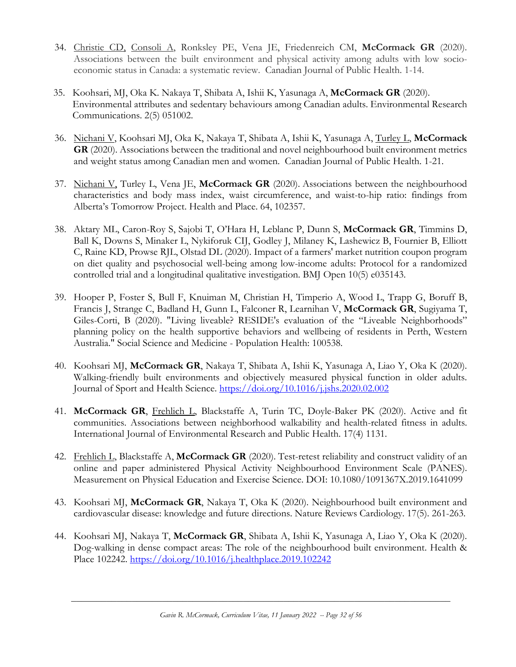- 34. Christie CD, Consoli A, Ronksley PE, Vena JE, Friedenreich CM, **McCormack GR** (2020). Associations between the built environment and physical activity among adults with low socioeconomic status in Canada: a systematic review. Canadian Journal of Public Health. 1-14.
- 35. Koohsari, MJ, Oka K. Nakaya T, Shibata A, Ishii K, Yasunaga A, **McCormack GR** (2020). Environmental attributes and sedentary behaviours among Canadian adults. Environmental Research Communications. 2(5) 051002.
- 36. Nichani V, Koohsari MJ, Oka K, Nakaya T, Shibata A, Ishii K, Yasunaga A, Turley L, **McCormack GR** (2020). Associations between the traditional and novel neighbourhood built environment metrics and weight status among Canadian men and women. Canadian Journal of Public Health. 1-21.
- 37. Nichani V, Turley L, Vena JE, **McCormack GR** (2020). Associations between the neighbourhood characteristics and body mass index, waist circumference, and waist-to-hip ratio: findings from Alberta's Tomorrow Project. Health and Place. 64, 102357.
- 38. Aktary ML, Caron-Roy S, Sajobi T, O'Hara H, Leblanc P, Dunn S, **McCormack GR**, Timmins D, Ball K, Downs S, Minaker L, Nykiforuk CIJ, Godley J, Milaney K, Lashewicz B, Fournier B, Elliott C, Raine KD, Prowse RJL, Olstad DL (2020). Impact of a farmers' market nutrition coupon program on diet quality and psychosocial well-being among low-income adults: Protocol for a randomized controlled trial and a longitudinal qualitative investigation. BMJ Open 10(5) e035143.
- 39. Hooper P, Foster S, Bull F, Knuiman M, Christian H, Timperio A, Wood L, Trapp G, Boruff B, Francis J, Strange C, Badland H, Gunn L, Falconer R, Learnihan V, **McCormack GR**, Sugiyama T, Giles-Corti, B (2020). "Living liveable? RESIDE's evaluation of the "Liveable Neighborhoods" planning policy on the health supportive behaviors and wellbeing of residents in Perth, Western Australia." Social Science and Medicine - Population Health: 100538.
- 40. Koohsari MJ, **McCormack GR**, Nakaya T, Shibata A, Ishii K, Yasunaga A, Liao Y, Oka K (2020). Walking-friendly built environments and objectively measured physical function in older adults. Journal of Sport and Health Science.<https://doi.org/10.1016/j.jshs.2020.02.002>
- 41. **McCormack GR**, Frehlich L, Blackstaffe A, Turin TC, Doyle-Baker PK (2020). Active and fit communities. Associations between neighborhood walkability and health-related fitness in adults. International Journal of Environmental Research and Public Health. 17(4) 1131.
- 42. Frehlich L, Blackstaffe A, **McCormack GR** (2020). Test-retest reliability and construct validity of an online and paper administered Physical Activity Neighbourhood Environment Scale (PANES). Measurement on Physical Education and Exercise Science. DOI: 10.1080/1091367X.2019.1641099
- 43. Koohsari MJ, **McCormack GR**, Nakaya T, Oka K (2020). Neighbourhood built environment and cardiovascular disease: knowledge and future directions. Nature Reviews Cardiology. 17(5). 261-263.
- 44. Koohsari MJ, Nakaya T, **McCormack GR**, Shibata A, Ishii K, Yasunaga A, Liao Y, Oka K (2020). Dog-walking in dense compact areas: The role of the neighbourhood built environment. Health & Place 102242. <https://doi.org/10.1016/j.healthplace.2019.102242>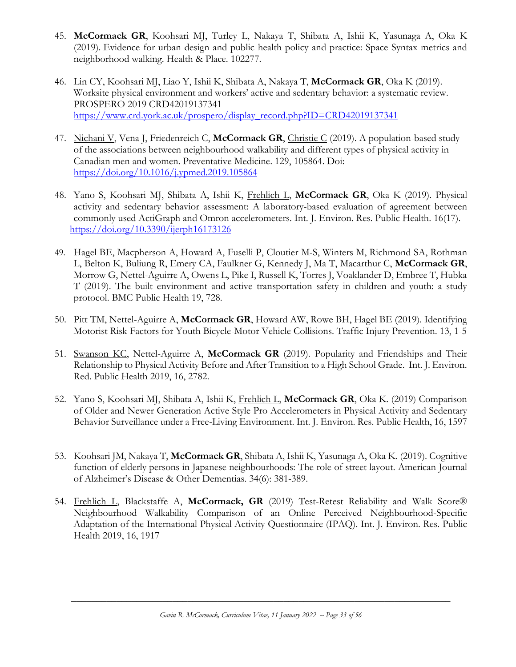- 45. **McCormack GR**, Koohsari MJ, Turley L, Nakaya T, Shibata A, Ishii K, Yasunaga A, Oka K (2019). Evidence for urban design and public health policy and practice: Space Syntax metrics and neighborhood walking. Health & Place. 102277.
- 46. Lin CY, Koohsari MJ, Liao Y, Ishii K, Shibata A, Nakaya T, **McCormack GR**, Oka K (2019). Worksite physical environment and workers' active and sedentary behavior: a systematic review. PROSPERO 2019 CRD42019137341 [https://www.crd.york.ac.uk/prospero/display\\_record.php?ID=CRD42019137341](https://www.crd.york.ac.uk/prospero/display_record.php?ID=CRD42019137341)
- 47. Nichani V, Vena J, Friedenreich C, **McCormack GR**, Christie C (2019). A population-based study of the associations between neighbourhood walkability and different types of physical activity in Canadian men and women. Preventative Medicine. 129, 105864. Doi: <https://doi.org/10.1016/j.ypmed.2019.105864>
- 48. Yano S, Koohsari MJ, Shibata A, Ishii K, Frehlich L, **McCormack GR**, Oka K (2019). Physical activity and sedentary behavior assessment: A laboratory-based evaluation of agreement between commonly used ActiGraph and Omron accelerometers. Int. J. Environ. Res. Public Health. 16(17). <https://doi.org/10.3390/ijerph16173126>
- 49. Hagel BE, Macpherson A, Howard A, Fuselli P, Cloutier M-S, Winters M, Richmond SA, Rothman L, Belton K, Buliung R, Emery CA, Faulkner G, Kennedy J, Ma T, Macarthur C, **McCormack GR**, Morrow G, Nettel-Aguirre A, Owens L, Pike I, Russell K, Torres J, Voaklander D, Embree T, Hubka T (2019). The built environment and active transportation safety in children and youth: a study protocol. BMC Public Health 19, 728.
- 50. Pitt TM, Nettel-Aguirre A, **McCormack GR**, Howard AW, Rowe BH, Hagel BE (2019). Identifying Motorist Risk Factors for Youth Bicycle-Motor Vehicle Collisions. Traffic Injury Prevention. 13, 1-5
- 51. Swanson KC, Nettel-Aguirre A, **McCormack GR** (2019). Popularity and Friendships and Their Relationship to Physical Activity Before and After Transition to a High School Grade. Int. J. Environ. Red. Public Health 2019, 16, 2782.
- 52. Yano S, Koohsari MJ, Shibata A, Ishii K, Frehlich L, **McCormack GR**, Oka K. (2019) Comparison of Older and Newer Generation Active Style Pro Accelerometers in Physical Activity and Sedentary Behavior Surveillance under a Free-Living Environment. Int. J. Environ. Res. Public Health, 16, 1597
- 53. Koohsari JM, Nakaya T, **McCormack GR**, Shibata A, Ishii K, Yasunaga A, Oka K. (2019). Cognitive function of elderly persons in Japanese neighbourhoods: The role of street layout. American Journal of Alzheimer's Disease & Other Dementias. 34(6): 381-389.
- 54. Frehlich L, Blackstaffe A, **McCormack, GR** (2019) Test-Retest Reliability and Walk Score® Neighbourhood Walkability Comparison of an Online Perceived Neighbourhood-Specific Adaptation of the International Physical Activity Questionnaire (IPAQ). Int. J. Environ. Res. Public Health 2019, 16, 1917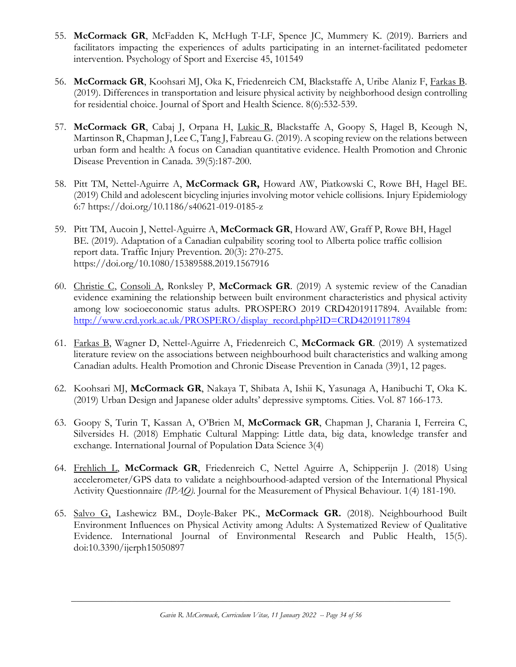- 55. **McCormack GR**, McFadden K, McHugh T-LF, Spence JC, Mummery K. (2019). Barriers and facilitators impacting the experiences of adults participating in an internet-facilitated pedometer intervention. Psychology of Sport and Exercise 45, 101549
- 56. **McCormack GR**, Koohsari MJ, Oka K, Friedenreich CM, Blackstaffe A, Uribe Alaniz F, Farkas B. (2019). Differences in transportation and leisure physical activity by neighborhood design controlling for residential choice. Journal of Sport and Health Science. 8(6):532-539.
- 57. **McCormack GR**, Cabaj J, Orpana H, Lukic R, Blackstaffe A, Goopy S, Hagel B, Keough N, Martinson R, Chapman J, Lee C, Tang J, Fabreau G. (2019). A scoping review on the relations between urban form and health: A focus on Canadian quantitative evidence. Health Promotion and Chronic Disease Prevention in Canada. 39(5):187-200.
- 58. Pitt TM, Nettel-Aguirre A, **McCormack GR,** Howard AW, Piatkowski C, Rowe BH, Hagel BE. (2019) Child and adolescent bicycling injuries involving motor vehicle collisions*.* Injury Epidemiology 6:7 https://doi.org/10.1186/s40621-019-0185-z
- 59. Pitt TM, Aucoin J, Nettel-Aguirre A, **McCormack GR**, Howard AW, Graff P, Rowe BH, Hagel BE. (2019). Adaptation of a Canadian culpability scoring tool to Alberta police traffic collision report data. Traffic Injury Prevention. 20(3): 270-275. https://doi.org/10.1080/15389588.2019.1567916
- 60. Christie C, Consoli A, Ronksley P, **McCormack GR**. (2019) A systemic review of the Canadian evidence examining the relationship between built environment characteristics and physical activity among low socioeconomic status adults. PROSPERO 2019 CRD42019117894. Available from: [http://www.crd.york.ac.uk/PROSPERO/display\\_record.php?ID=CRD42019117894](http://www.crd.york.ac.uk/PROSPERO/display_record.php?ID=CRD42019117894)
- 61. Farkas B, Wagner D, Nettel-Aguirre A, Friedenreich C, **McCormack GR**. (2019) A systematized literature review on the associations between neighbourhood built characteristics and walking among Canadian adults. Health Promotion and Chronic Disease Prevention in Canada (39)1, 12 pages.
- 62. Koohsari MJ, **McCormack GR**, Nakaya T, Shibata A, Ishii K, Yasunaga A, Hanibuchi T, Oka K. (2019) Urban Design and Japanese older adults' depressive symptoms*.* Cities. Vol. 87 166-173.
- 63. Goopy S, Turin T, Kassan A, O'Brien M, **McCormack GR**, Chapman J, Charania I, Ferreira C, Silversides H. (2018) Emphatic Cultural Mapping: Little data, big data, knowledge transfer and exchange*.* International Journal of Population Data Science 3(4)
- 64. Frehlich L, **McCormack GR**, Friedenreich C, Nettel Aguirre A, Schipperijn J. (2018) Using accelerometer/GPS data to validate a neighbourhood-adapted version of the International Physical Activity Questionnaire *(IPAQ).* Journal for the Measurement of Physical Behaviour. 1(4) 181-190.
- 65. Salvo G, Lashewicz BM., Doyle-Baker PK., **McCormack GR.** (2018). Neighbourhood Built Environment Influences on Physical Activity among Adults: A Systematized Review of Qualitative Evidence. International Journal of Environmental Research and Public Health, 15(5). doi:10.3390/ijerph15050897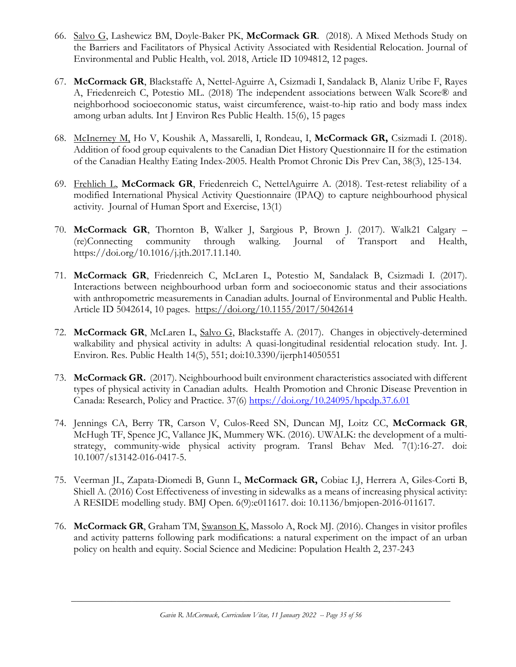- 66. Salvo G, Lashewicz BM, Doyle-Baker PK, **McCormack GR**. (2018). A Mixed Methods Study on the Barriers and Facilitators of Physical Activity Associated with Residential Relocation. Journal of Environmental and Public Health, vol. 2018, Article ID 1094812, 12 pages.
- 67. **McCormack GR**, Blackstaffe A, Nettel-Aguirre A, Csizmadi I, Sandalack B, Alaniz Uribe F, Rayes A, Friedenreich C, Potestio ML. (2018) The independent associations between Walk Score® and neighborhood socioeconomic status, waist circumference, waist-to-hip ratio and body mass index among urban adults*.* Int J Environ Res Public Health. 15(6), 15 pages
- 68. McInerney M, Ho V, Koushik A, Massarelli, I, Rondeau, I, **McCormack GR,** Csizmadi I. (2018). Addition of food group equivalents to the Canadian Diet History Questionnaire II for the estimation of the Canadian Healthy Eating Index-2005. Health Promot Chronic Dis Prev Can, 38(3), 125-134.
- 69. Frehlich L, **McCormack GR**, Friedenreich C, NettelAguirre A. (2018). Test-retest reliability of a modified International Physical Activity Questionnaire (IPAQ) to capture neighbourhood physical activity. Journal of Human Sport and Exercise, 13(1)
- 70. **McCormack GR**, Thornton B, Walker J, Sargious P, Brown J. (2017). Walk21 Calgary (re)Connecting community through walking. Journal of Transport and Health, https://doi.org/10.1016/j.jth.2017.11.140.
- 71. **McCormack GR**, Friedenreich C, McLaren L, Potestio M, Sandalack B, Csizmadi I. (2017). Interactions between neighbourhood urban form and socioeconomic status and their associations with anthropometric measurements in Canadian adults. Journal of Environmental and Public Health. Article ID 5042614, 10 pages. <https://doi.org/10.1155/2017/5042614>
- 72. **McCormack GR**, McLaren L, Salvo G, Blackstaffe A. (2017). Changes in objectively-determined walkability and physical activity in adults: A quasi-longitudinal residential relocation study. Int. J. Environ. Res. Public Health 14(5), 551; doi:10.3390/ijerph14050551
- 73. **McCormack GR.** (2017). Neighbourhood built environment characteristics associated with different types of physical activity in Canadian adults. Health Promotion and Chronic Disease Prevention in Canada: Research, Policy and Practice. 37(6)<https://doi.org/10.24095/hpcdp.37.6.01>
- 74. Jennings CA, Berry TR, Carson V, Culos-Reed SN, Duncan MJ, Loitz CC, **McCormack GR**, McHugh TF, Spence JC, Vallance JK, Mummery WK. (2016). UWALK: the development of a multistrategy, community-wide physical activity program. Transl Behav Med. 7(1):16-27. doi: 10.1007/s13142-016-0417-5.
- 75. Veerman JL, Zapata-Diomedi B, Gunn L, **McCormack GR,** Cobiac LJ, Herrera A, Giles-Corti B, Shiell A. (2016) Cost Effectiveness of investing in sidewalks as a means of increasing physical activity: A RESIDE modelling study. BMJ Open. 6(9):e011617. doi: 10.1136/bmjopen-2016-011617.
- 76. **McCormack GR**, Graham TM, Swanson K, Massolo A, Rock MJ. (2016). Changes in visitor profiles and activity patterns following park modifications: a natural experiment on the impact of an urban policy on health and equity. Social Science and Medicine: Population Health 2, 237-243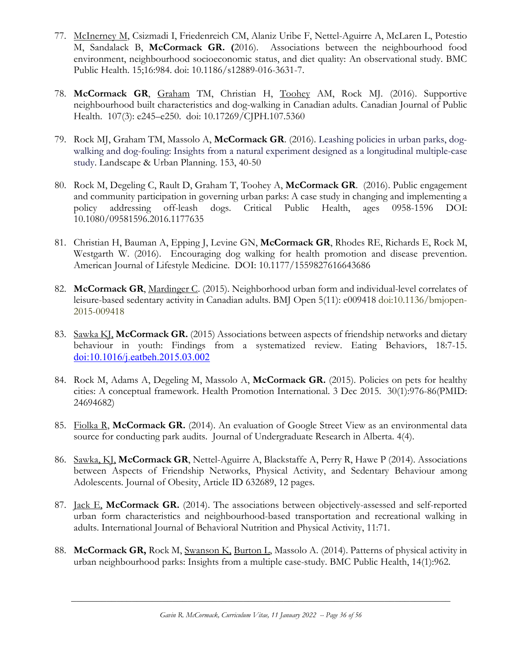- 77. McInerney M, Csizmadi I, Friedenreich CM, Alaniz Uribe F, Nettel-Aguirre A, McLaren L, Potestio M, Sandalack B, **McCormack GR. (**2016). Associations between the neighbourhood food environment, neighbourhood socioeconomic status, and diet quality: An observational study. BMC Public Health. 15;16:984. doi: 10.1186/s12889-016-3631-7.
- 78. **McCormack GR**, Graham TM, Christian H, Toohey AM, Rock MJ. (2016). Supportive neighbourhood built characteristics and dog-walking in Canadian adults. Canadian Journal of Public Health. 107(3): e245–e250. doi: 10.17269/CJPH.107.5360
- 79. Rock MJ, Graham TM, Massolo A, **McCormack GR**. (2016). Leashing policies in urban parks, dogwalking and dog-fouling: Insights from a natural experiment designed as a longitudinal multiple-case study. Landscape & Urban Planning. 153, 40-50
- 80. Rock M, Degeling C, Rault D, Graham T, Toohey A, **McCormack GR**. (2016). Public engagement and community participation in governing urban parks: A case study in changing and implementing a policy addressing off-leash dogs. Critical Public Health, ages 0958-1596 DOI: 10.1080/09581596.2016.1177635
- 81. Christian H, Bauman A, Epping J, Levine GN, **McCormack GR**, Rhodes RE, Richards E, Rock M, Westgarth W. (2016). Encouraging dog walking for health promotion and disease prevention. American Journal of Lifestyle Medicine. DOI: 10.1177/1559827616643686
- 82. **McCormack GR**, Mardinger C. (2015). Neighborhood urban form and individual-level correlates of leisure-based sedentary activity in Canadian adults. BMJ Open 5(11): e009418 doi:10.1136/bmjopen-2015-009418
- 83. Sawka KJ, **McCormack GR.** (2015) Associations between aspects of friendship networks and dietary behaviour in youth: Findings from a systematized review. Eating Behaviors, 18:7-15. [doi:10.1016/j.eatbeh.2015.03.002](http://dx.doi.org.ezproxy.lib.ucalgary.ca/10.1016/j.eatbeh.2015.03.002)
- 84. Rock M, Adams A, Degeling M, Massolo A, **McCormack GR.** (2015). Policies on pets for healthy cities: A conceptual framework. Health Promotion International. 3 Dec 2015. 30(1):976-86(PMID: 24694682)
- 85. Fiolka R, **McCormack GR.** (2014). An evaluation of Google Street View as an environmental data source for conducting park audits. Journal of Undergraduate Research in Alberta. 4(4).
- 86. Sawka, KJ, **McCormack GR**, Nettel-Aguirre A, Blackstaffe A, Perry R, Hawe P (2014). Associations between Aspects of Friendship Networks, Physical Activity, and Sedentary Behaviour among Adolescents. Journal of Obesity, Article ID 632689, 12 pages.
- 87. Jack E, **McCormack GR.** (2014). The associations between objectively-assessed and self-reported urban form characteristics and neighbourhood-based transportation and recreational walking in adults. International Journal of Behavioral Nutrition and Physical Activity, 11:71.
- 88. **McCormack GR,** Rock M, Swanson K, Burton L, Massolo A. (2014). Patterns of physical activity in urban neighbourhood parks: Insights from a multiple case-study. BMC Public Health, 14(1):962.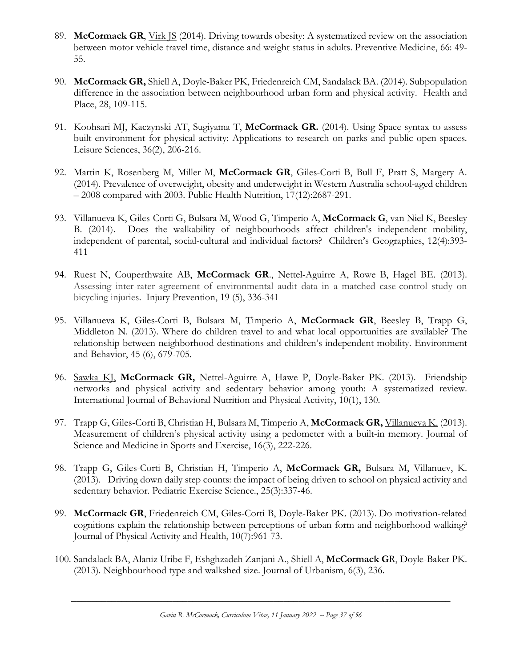- 89. **McCormack GR**, Virk JS (2014). Driving towards obesity: A systematized review on the association between motor vehicle travel time, distance and weight status in adults. Preventive Medicine, 66: 49- 55.
- 90. **McCormack GR,** Shiell A, Doyle-Baker PK, Friedenreich CM, Sandalack BA. (2014). Subpopulation difference in the association between neighbourhood urban form and physical activity. Health and Place, 28, 109-115.
- 91. Koohsari MJ, Kaczynski AT, Sugiyama T, **McCormack GR.** (2014). Using Space syntax to assess built environment for physical activity: Applications to research on parks and public open spaces. Leisure Sciences, 36(2), 206-216.
- 92. Martin K, Rosenberg M, Miller M, **McCormack GR**, Giles-Corti B, Bull F, Pratt S, Margery A. (2014). Prevalence of overweight, obesity and underweight in Western Australia school-aged children – 2008 compared with 2003. Public Health Nutrition, 17(12):2687-291.
- 93. Villanueva K, Giles-Corti G, Bulsara M, Wood G, Timperio A, **McCormack G**, van Niel K, Beesley B. (2014). Does the walkability of neighbourhoods affect children's independent mobility, independent of parental, social-cultural and individual factors? Children's Geographies, 12(4):393- 411
- 94. Ruest N, Couperthwaite AB, **McCormack GR**., Nettel-Aguirre A, Rowe B, Hagel BE. (2013). Assessing inter-rater agreement of environmental audit data in a matched case-control study on bicycling injuries. Injury Prevention, 19 (5), 336-341
- 95. Villanueva K, Giles-Corti B, Bulsara M, Timperio A, **McCormack GR**, Beesley B, Trapp G, Middleton N. (2013). Where do children travel to and what local opportunities are available? The relationship between neighborhood destinations and children's independent mobility. Environment and Behavior, 45 (6), 679-705.
- 96. Sawka KJ, **McCormack GR,** Nettel-Aguirre A, Hawe P, Doyle-Baker PK. (2013). Friendship networks and physical activity and sedentary behavior among youth: A systematized review. International Journal of Behavioral Nutrition and Physical Activity, 10(1), 130.
- 97. Trapp G, Giles-Corti B, Christian H, Bulsara M, Timperio A, **McCormack GR,** Villanueva K. (2013). Measurement of children's physical activity using a pedometer with a built-in memory. Journal of Science and Medicine in Sports and Exercise, 16(3), 222-226.
- 98. Trapp G, Giles-Corti B, Christian H, Timperio A, **McCormack GR,** Bulsara M, Villanuev, K. (2013). Driving down daily step counts: the impact of being driven to school on physical activity and sedentary behavior. Pediatric Exercise Science., 25(3):337-46.
- 99. **McCormack GR**, Friedenreich CM, Giles-Corti B, Doyle-Baker PK. (2013). Do motivation-related cognitions explain the relationship between perceptions of urban form and neighborhood walking? Journal of Physical Activity and Health, 10(7):961-73.
- 100. Sandalack BA, Alaniz Uribe F, Eshghzadeh Zanjani A., Shiell A, **McCormack G**R, Doyle-Baker PK. (2013). Neighbourhood type and walkshed size. Journal of Urbanism, 6(3), 236.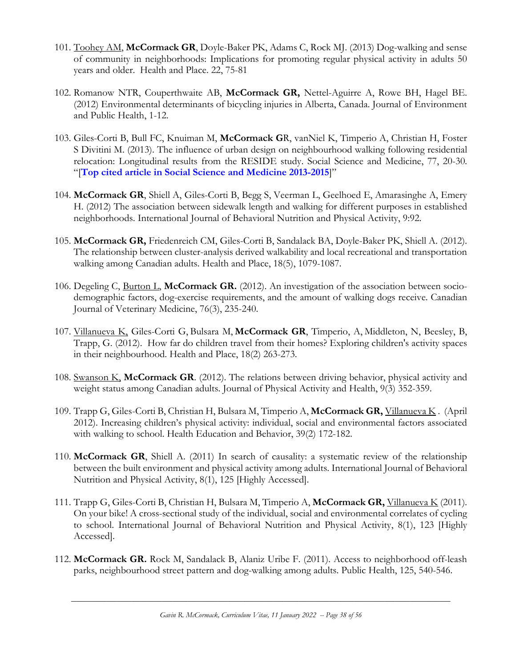- 101. Toohey AM, **McCormack GR**, Doyle-Baker PK, Adams C, Rock MJ. (2013) Dog-walking and sense of community in neighborhoods: Implications for promoting regular physical activity in adults 50 years and older. Health and Place. 22, 75-81
- 102. Romanow NTR, Couperthwaite AB, **McCormack GR,** Nettel-Aguirre A, Rowe BH, Hagel BE. (2012) Environmental determinants of bicycling injuries in Alberta, Canada. Journal of Environment and Public Health, 1-12.
- 103. Giles-Corti B, Bull FC, Knuiman M, **McCormack G**R, vanNiel K, Timperio A, Christian H, Foster S Divitini M. (2013). The influence of urban design on neighbourhood walking following residential relocation: Longitudinal results from the RESIDE study. Social Science and Medicine, 77, 20-30. "[**Top cited article in Social Science and Medicine 2013-2015**]"
- 104. **McCormack GR**, Shiell A, Giles-Corti B, Begg S, Veerman L, Geelhoed E, Amarasinghe A, Emery H. (2012) The association between sidewalk length and walking for different purposes in established neighborhoods. International Journal of Behavioral Nutrition and Physical Activity, 9:92.
- 105. **McCormack GR,** Friedenreich CM, Giles-Corti B, Sandalack BA, Doyle-Baker PK, Shiell A. (2012). The relationship between cluster-analysis derived walkability and local recreational and transportation walking among Canadian adults. Health and Place, 18(5), 1079-1087.
- 106. Degeling C, Burton L, **McCormack GR.** (2012). An investigation of the association between sociodemographic factors, dog-exercise requirements, and the amount of walking dogs receive. Canadian Journal of Veterinary Medicine, 76(3), 235-240.
- 107. Villanueva K, Giles-Corti G, Bulsara M, **McCormack GR**, Timperio, A, Middleton, N, Beesley, B, Trapp, G. (2012). How far do children travel from their homes? Exploring children's activity spaces in their neighbourhood. Health and Place, 18(2) 263-273.
- 108. Swanson K, **McCormack GR**. (2012). The relations between driving behavior, physical activity and weight status among Canadian adults. Journal of Physical Activity and Health, 9(3) 352-359.
- 109. Trapp G, Giles-Corti B, Christian H, Bulsara M, Timperio A, **McCormack GR,** Villanueva K . (April 2012). Increasing children's physical activity: individual, social and environmental factors associated with walking to school. Health Education and Behavior, 39(2) 172-182.
- 110. **McCormack GR**, Shiell A. (2011) In search of causality: a systematic review of the relationship between the built environment and physical activity among adults. International Journal of Behavioral Nutrition and Physical Activity, 8(1), 125 [Highly Accessed].
- 111. Trapp G, Giles-Corti B, Christian H, Bulsara M, Timperio A, **McCormack GR,** Villanueva K (2011). On your bike! A cross-sectional study of the individual, social and environmental correlates of cycling to school. International Journal of Behavioral Nutrition and Physical Activity, 8(1), 123 [Highly Accessed].
- 112. **McCormack GR.** Rock M, Sandalack B, Alaniz Uribe F. (2011). Access to neighborhood off-leash parks, neighbourhood street pattern and dog-walking among adults. Public Health, 125, 540-546.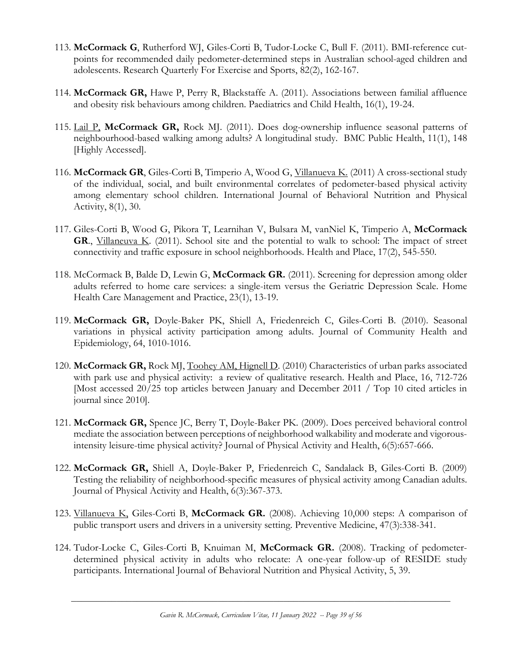- 113. **McCormack G**, Rutherford WJ, Giles-Corti B, Tudor-Locke C, Bull F. (2011). BMI-reference cutpoints for recommended daily pedometer-determined steps in Australian school-aged children and adolescents. Research Quarterly For Exercise and Sports, 82(2), 162-167.
- 114. **McCormack GR,** Hawe P, Perry R, Blackstaffe A. (2011). Associations between familial affluence and obesity risk behaviours among children. Paediatrics and Child Health, 16(1), 19-24.
- 115. Lail P, **McCormack GR,** Rock MJ. (2011). Does dog-ownership influence seasonal patterns of neighbourhood-based walking among adults? A longitudinal study. BMC Public Health, 11(1), 148 [Highly Accessed].
- 116. **McCormack GR**, Giles-Corti B, Timperio A, Wood G, Villanueva K. (2011) A cross-sectional study of the individual, social, and built environmental correlates of pedometer-based physical activity among elementary school children. International Journal of Behavioral Nutrition and Physical Activity, 8(1), 30.
- 117. Giles-Corti B, Wood G, Pikora T, Learnihan V, Bulsara M, vanNiel K, Timperio A, **McCormack** GR., Villaneuva K. (2011). School site and the potential to walk to school: The impact of street [connectivity and traffic exposure in school neighborhoods.](http://www.sciencedirect.com/science?_ob=ArticleURL&_udi=B6VH5-51RJDBY-2&_user=1067480&_coverDate=12%2F19%2F2010&_alid=1668802117&_rdoc=2&_fmt=high&_orig=search&_origin=search&_zone=rslt_list_item&_cdi=6057&_sort=r&_st=13&_docanchor=&view=c&_ct=3&_acct=C000051253&_version=1&_urlVersion=0&_userid=1067480&md5=822f4c168f89c45122c4a5530476f17d&searchtype=a) Health and Place, 17(2), 545-550.
- 118. McCormack B, Balde D, Lewin G, **McCormack GR.** (2011). Screening for depression among older adults referred to home care services: a single-item versus the Geriatric Depression Scale. Home Health Care Management and Practice, 23(1), 13-19.
- 119. **McCormack GR,** Doyle-Baker PK, Shiell A, Friedenreich C, Giles-Corti B. (2010). Seasonal variations in physical activity participation among adults. Journal of Community Health and Epidemiology, 64, 1010-1016.
- 120. **McCormack GR,** Rock MJ, Toohey AM, Hignell D. (2010) Characteristics of urban parks associated with park use and physical activity: a review of qualitative research. Health and Place, 16, 712-726 [Most accessed 20/25 top articles between January and December 2011 / Top 10 cited articles in journal since 2010].
- 121. **McCormack GR,** Spence JC, Berry T, Doyle-Baker PK. (2009). Does perceived behavioral control mediate the association between perceptions of neighborhood walkability and moderate and vigorousintensity leisure-time physical activity? Journal of Physical Activity and Health, 6(5):657-666.
- 122. **McCormack GR,** Shiell A, Doyle-Baker P, Friedenreich C, Sandalack B, Giles-Corti B. (2009) Testing the reliability of neighborhood-specific measures of physical activity among Canadian adults. Journal of Physical Activity and Health, 6(3):367-373.
- 123. Villanueva K, Giles-Corti B, **McCormack GR.** (2008). Achieving 10,000 steps: A comparison of public transport users and drivers in a university setting. Preventive Medicine, 47(3):338-341.
- 124. Tudor-Locke C, Giles-Corti B, Knuiman M, **McCormack GR.** (2008). Tracking of pedometerdetermined physical activity in adults who relocate: A one-year follow-up of RESIDE study participants. International Journal of Behavioral Nutrition and Physical Activity, 5, 39.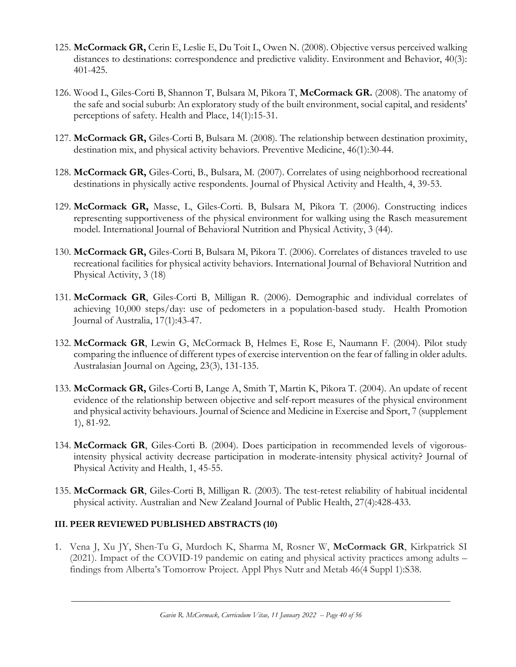- 125. **McCormack GR,** Cerin E, Leslie E, Du Toit L, Owen N. (2008). Objective versus perceived walking distances to destinations: correspondence and predictive validity. Environment and Behavior, 40(3): 401-425.
- 126. Wood L, Giles-Corti B, Shannon T, Bulsara M, Pikora T, **McCormack GR.** (2008). The anatomy of the safe and social suburb: An exploratory study of the built environment, social capital, and residents' perceptions of safety. Health and Place, 14(1):15-31.
- 127. **McCormack GR,** Giles-Corti B, Bulsara M. (2008). The relationship between destination proximity, destination mix, and physical activity behaviors. Preventive Medicine, 46(1):30-44.
- 128. **McCormack GR,** Giles-Corti, B., Bulsara, M. (2007). Correlates of using neighborhood recreational destinations in physically active respondents. Journal of Physical Activity and Health, 4, 39-53.
- 129. **McCormack GR,** Masse, L, Giles-Corti. B, Bulsara M, Pikora T. (2006). Constructing indices representing supportiveness of the physical environment for walking using the Rasch measurement model. International Journal of Behavioral Nutrition and Physical Activity, 3 (44).
- 130. **McCormack GR,** Giles-Corti B, Bulsara M, Pikora T. (2006). Correlates of distances traveled to use recreational facilities for physical activity behaviors. International Journal of Behavioral Nutrition and Physical Activity, 3 (18)
- 131. **McCormack GR**, Giles-Corti B, Milligan R. (2006). Demographic and individual correlates of achieving 10,000 steps/day: use of pedometers in a population-based study. Health Promotion Journal of Australia, 17(1):43-47.
- 132. **McCormack GR**, Lewin G, McCormack B, Helmes E, Rose E, Naumann F. (2004). Pilot study comparing the influence of different types of exercise intervention on the fear of falling in older adults. Australasian Journal on Ageing, 23(3), 131-135.
- 133. **McCormack GR,** Giles-Corti B, Lange A, Smith T, Martin K, Pikora T. (2004). An update of recent evidence of the relationship between objective and self-report measures of the physical environment and physical activity behaviours. Journal of Science and Medicine in Exercise and Sport, 7 (supplement 1), 81-92.
- 134. **McCormack GR**, Giles-Corti B. (2004). Does participation in recommended levels of vigorousintensity physical activity decrease participation in moderate-intensity physical activity? Journal of Physical Activity and Health, 1, 45-55.
- 135. **McCormack GR**, Giles-Corti B, Milligan R. (2003). The test-retest reliability of habitual incidental physical activity. Australian and New Zealand Journal of Public Health, 27(4):428-433.

### **III. PEER REVIEWED PUBLISHED ABSTRACTS (10)**

1. Vena J, Xu JY, Shen-Tu G, Murdoch K, Sharma M, Rosner W, **McCormack GR**, Kirkpatrick SI (2021). Impact of the COVID-19 pandemic on eating and physical activity practices among adults – findings from Alberta's Tomorrow Project. Appl Phys Nutr and Metab 46(4 Suppl 1):S38.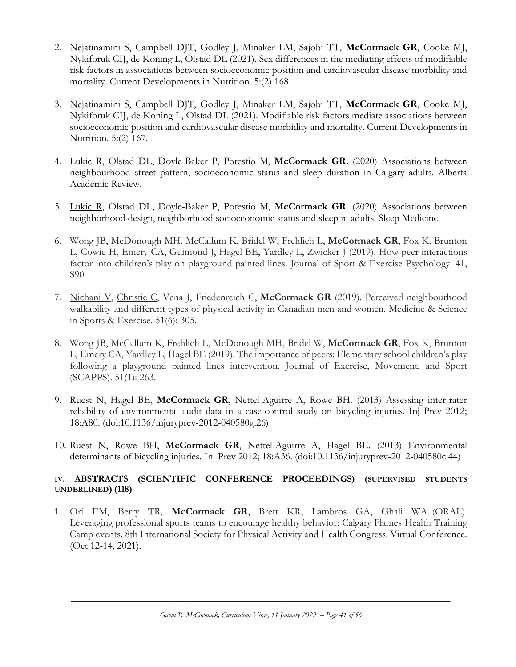- 2. Nejatinamini S, Campbell DJT, Godley J, Minaker LM, Sajobi TT, **McCormack GR**, Cooke MJ, Nykiforuk CIJ, de Koning L, Olstad DL (2021). Sex differences in the mediating effects of modifiable risk factors in associations between socioeconomic position and cardiovascular disease morbidity and mortality. Current Developments in Nutrition. 5:(2) 168.
- 3. Nejatinamini S, Campbell DJT, Godley J, Minaker LM, Sajobi TT, **McCormack GR**, Cooke MJ, Nykiforuk CIJ, de Koning L, Olstad DL (2021). Modifiable risk factors mediate associations between socioeconomic position and cardiovascular disease morbidity and mortality. Current Developments in Nutrition. 5:(2) 167.
- 4. Lukic R, Olstad DL, Doyle-Baker P, Potestio M, **McCormack GR.** (2020) Associations between neighbourhood street pattern, socioeconomic status and sleep duration in Calgary adults. Alberta Academic Review.
- 5. Lukic R, Olstad DL, Doyle-Baker P, Potestio M, **McCormack GR**. (2020) Associations between neighborhood design, neighborhood socioeconomic status and sleep in adults. Sleep Medicine.
- 6. Wong JB, McDonough MH, McCallum K, Bridel W, Frehlich L, **McCormack GR**, Fox K, Brunton L, Cowie H, Emery CA, Guimond J, Hagel BE, Yardley L, Zwicker J (2019). How peer interactions factor into children's play on playground painted lines. Journal of Sport & Exercise Psychology. 41, S90.
- 7. Nichani V, Christie C, Vena J, Friedenreich C, **McCormack GR** (2019). Perceived neighbourhood walkability and different types of physical activity in Canadian men and women. Medicine & Science in Sports & Exercise. 51(6): 305.
- 8. Wong JB, McCallum K, Frehlich L, McDonough MH, Bridel W, **McCormack GR**, Fox K, Brunton L, Emery CA, Yardley L, Hagel BE (2019). The importance of peers: Elementary school children's play following a playground painted lines intervention. Journal of Exercise, Movement, and Sport (SCAPPS). 51(1): 263.
- 9. Ruest N, Hagel BE, **McCormack GR**, Nettel-Aguirre A, Rowe BH. (2013) Assessing inter-rater reliability of environmental audit data in a case-control study on bicycling injuries. Inj Prev 2012; 18:A80. (doi:10.1136/injuryprev-2012-040580g.26)
- 10. Ruest N, Rowe BH, **McCormack GR**, Nettel-Aguirre A, Hagel BE. (2013) Environmental determinants of bicycling injuries. Inj Prev 2012; 18:A36. (doi:10.1136/injuryprev-2012-040580c.44)

### **IV. ABSTRACTS (SCIENTIFIC CONFERENCE PROCEEDINGS) (SUPERVISED STUDENTS UNDERLINED) (118)**

1. Ori EM, Berry TR, **McCormack GR**, Brett KR, Lambros GA, Ghali WA. (ORAL). Leveraging professional sports teams to encourage healthy behavior: Calgary Flames Health Training Camp events. 8th International Society for Physical Activity and Health Congress. Virtual Conference. (Oct 12-14, 2021).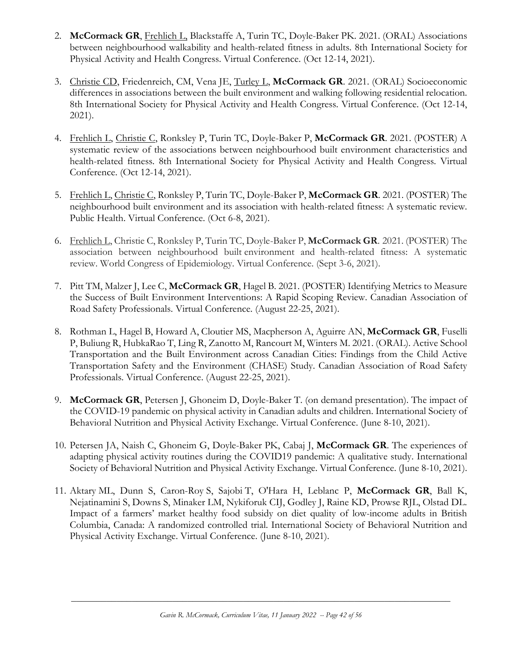- 2. **McCormack GR**, Frehlich L, Blackstaffe A, Turin TC, Doyle-Baker PK. 2021. (ORAL) Associations between neighbourhood walkability and health-related fitness in adults. 8th International Society for Physical Activity and Health Congress. Virtual Conference. (Oct 12-14, 2021).
- 3. Christie CD, Friedenreich, CM, Vena JE, Turley L, **McCormack GR**. 2021. (ORAL) Socioeconomic differences in associations between the built environment and walking following residential relocation. 8th International Society for Physical Activity and Health Congress. Virtual Conference. (Oct 12-14, 2021).
- 4. Frehlich L, Christie C, Ronksley P, Turin TC, Doyle-Baker P, **McCormack GR**. 2021. (POSTER) A systematic review of the associations between neighbourhood built environment characteristics and health-related fitness. 8th International Society for Physical Activity and Health Congress. Virtual Conference. (Oct 12-14, 2021).
- 5. Frehlich L, Christie C, Ronksley P, Turin TC, Doyle-Baker P, **McCormack GR**. 2021. (POSTER) The neighbourhood built environment and its association with health-related fitness: A systematic review. Public Health. Virtual Conference. (Oct 6-8, 2021).
- 6. Frehlich L, Christie C, Ronksley P, Turin TC, Doyle-Baker P, **McCormack GR**. 2021. (POSTER) The association between neighbourhood built environment and health-related fitness: A systematic review. World Congress of Epidemiology. Virtual Conference. (Sept 3-6, 2021).
- 7. Pitt TM, Malzer J, Lee C, **McCormack GR**, Hagel B. 2021. (POSTER) Identifying Metrics to Measure the Success of Built Environment Interventions: A Rapid Scoping Review. Canadian Association of Road Safety Professionals. Virtual Conference. (August 22-25, 2021).
- 8. Rothman L, Hagel B, Howard A, Cloutier MS, Macpherson A, Aguirre AN, **McCormack GR**, Fuselli P, Buliung R, HubkaRao T, Ling R, Zanotto M, Rancourt M, Winters M. 2021. (ORAL). Active School Transportation and the Built Environment across Canadian Cities: Findings from the Child Active Transportation Safety and the Environment (CHASE) Study. Canadian Association of Road Safety Professionals. Virtual Conference. (August 22-25, 2021).
- 9. **McCormack GR**, Petersen J, Ghoneim D, Doyle-Baker T. (on demand presentation). The impact of the COVID-19 pandemic on physical activity in Canadian adults and children. International Society of Behavioral Nutrition and Physical Activity Exchange. Virtual Conference. (June 8-10, 2021).
- 10. Petersen JA, Naish C, Ghoneim G, Doyle-Baker PK, Cabaj J, **McCormack GR**. The experiences of adapting physical activity routines during the COVID19 pandemic: A qualitative study. International Society of Behavioral Nutrition and Physical Activity Exchange. Virtual Conference. (June 8-10, 2021).
- 11. Aktary ML, Dunn S, Caron-Roy S, Sajobi T, O'Hara H, Leblanc P, **McCormack GR**, Ball K, Nejatinamini S, Downs S, Minaker LM, Nykiforuk CIJ, Godley J, Raine KD, Prowse RJL, Olstad DL. Impact of a farmers' market healthy food subsidy on diet quality of low-income adults in British Columbia, Canada: A randomized controlled trial. International Society of Behavioral Nutrition and Physical Activity Exchange. Virtual Conference. (June 8-10, 2021).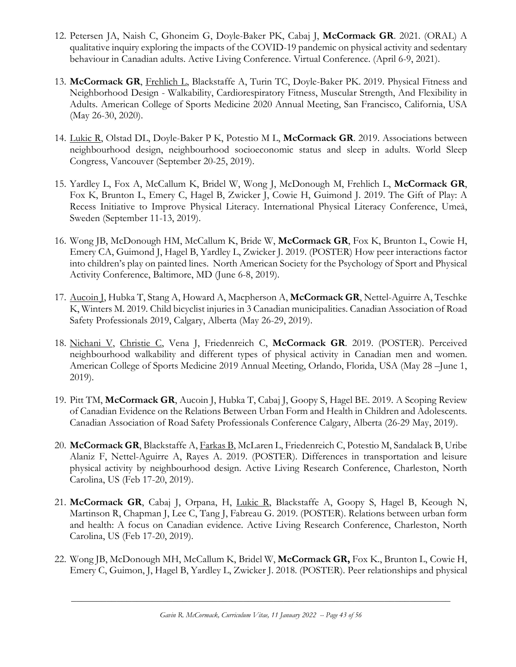- 12. Petersen JA, Naish C, Ghoneim G, Doyle-Baker PK, Cabaj J, **McCormack GR**. 2021. (ORAL) A qualitative inquiry exploring the impacts of the COVID-19 pandemic on physical activity and sedentary behaviour in Canadian adults. Active Living Conference. Virtual Conference. (April 6-9, 2021).
- 13. **McCormack GR**, Frehlich L, Blackstaffe A, Turin TC, Doyle-Baker PK. 2019. Physical Fitness and Neighborhood Design - Walkability, Cardiorespiratory Fitness, Muscular Strength, And Flexibility in Adults. American College of Sports Medicine 2020 Annual Meeting, San Francisco, California, USA (May 26-30, 2020).
- 14. Lukic R, Olstad DL, Doyle-Baker P K, Potestio M L, **McCormack GR**. 2019. Associations between neighbourhood design, neighbourhood socioeconomic status and sleep in adults. World Sleep Congress, Vancouver (September 20-25, 2019).
- 15. Yardley L, Fox A, McCallum K, Bridel W, Wong J, McDonough M, Frehlich L, **McCormack GR**, Fox K, Brunton L, Emery C, Hagel B, Zwicker J, Cowie H, Guimond J. 2019. The Gift of Play: A Recess Initiative to Improve Physical Literacy. International Physical Literacy Conference, Umeå, Sweden (September 11-13, 2019).
- 16. Wong JB, McDonough HM, McCallum K, Bride W, **McCormack GR**, Fox K, Brunton L, Cowie H, Emery CA, Guimond J, Hagel B, Yardley L, Zwicker J. 2019. (POSTER) How peer interactions factor into children's play on painted lines. North American Society for the Psychology of Sport and Physical Activity Conference, Baltimore, MD (June 6-8, 2019).
- 17. Aucoin J, Hubka T, Stang A, Howard A, Macpherson A, **McCormack GR**, Nettel-Aguirre A, Teschke K, Winters M. 2019. Child bicyclist injuries in 3 Canadian municipalities. Canadian Association of Road Safety Professionals 2019, Calgary, Alberta (May 26-29, 2019).
- 18. Nichani V, Christie C, Vena J, Friedenreich C, **McCormack GR**. 2019. (POSTER). Perceived neighbourhood walkability and different types of physical activity in Canadian men and women. American College of Sports Medicine 2019 Annual Meeting, Orlando, Florida, USA (May 28 –June 1, 2019).
- 19. Pitt TM, **McCormack GR**, Aucoin J, Hubka T, Cabaj J, Goopy S, Hagel BE. 2019. A Scoping Review of Canadian Evidence on the Relations Between Urban Form and Health in Children and Adolescents. Canadian Association of Road Safety Professionals Conference Calgary, Alberta (26-29 May, 2019).
- 20. **McCormack GR**, Blackstaffe A, Farkas B, McLaren L, Friedenreich C, Potestio M, Sandalack B, Uribe Alaniz F, Nettel-Aguirre A, Rayes A. 2019. (POSTER). Differences in transportation and leisure physical activity by neighbourhood design. Active Living Research Conference, Charleston, North Carolina, US (Feb 17-20, 2019).
- 21. **McCormack GR**, Cabaj J, Orpana, H, Lukic R, Blackstaffe A, Goopy S, Hagel B, Keough N, Martinson R, Chapman J, Lee C, Tang J, Fabreau G. 2019. (POSTER). Relations between urban form and health: A focus on Canadian evidence. Active Living Research Conference, Charleston, North Carolina, US (Feb 17-20, 2019).
- 22. Wong JB, McDonough MH, McCallum K, Bridel W, **McCormack GR,** Fox K., Brunton L, Cowie H, Emery C, Guimon, J, Hagel B, Yardley L, Zwicker J. 2018. (POSTER). Peer relationships and physical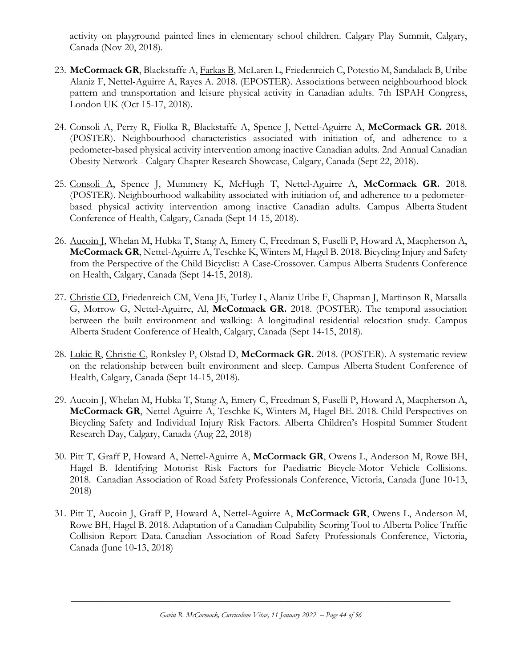activity on playground painted lines in elementary school children. Calgary Play Summit, Calgary, Canada (Nov 20, 2018).

- 23. **McCormack GR**, Blackstaffe A, Farkas B, McLaren L, Friedenreich C, Potestio M, Sandalack B, Uribe Alaniz F, Nettel-Aguirre A, Rayes A. 2018. (EPOSTER). Associations between neighbourhood block pattern and transportation and leisure physical activity in Canadian adults. 7th ISPAH Congress, London UK (Oct 15-17, 2018).
- 24. Consoli A, Perry R, Fiolka R, Blackstaffe A, Spence J, Nettel-Aguirre A, **McCormack GR.** 2018. (POSTER). Neighbourhood characteristics associated with initiation of, and adherence to a pedometer-based physical activity intervention among inactive Canadian adults. 2nd Annual Canadian Obesity Network - Calgary Chapter Research Showcase, Calgary, Canada (Sept 22, 2018).
- 25. Consoli A, Spence J, Mummery K, McHugh T, Nettel-Aguirre A, **McCormack GR.** 2018. (POSTER). Neighbourhood walkability associated with initiation of, and adherence to a pedometerbased physical activity intervention among inactive Canadian adults. Campus Alberta Student Conference of Health, Calgary, Canada (Sept 14-15, 2018).
- 26. Aucoin J, Whelan M, Hubka T, Stang A, Emery C, Freedman S, Fuselli P, Howard A, Macpherson A, **McCormack GR**, Nettel-Aguirre A, Teschke K, Winters M, Hagel B. 2018. Bicycling Injury and Safety from the Perspective of the Child Bicyclist: A Case-Crossover. Campus Alberta Students Conference on Health, Calgary, Canada (Sept 14-15, 2018).
- 27. Christie CD, Friedenreich CM, Vena JE, Turley L, Alaniz Uribe F, Chapman J, Martinson R, Matsalla G, Morrow G, Nettel-Aguirre, Al, **McCormack GR.** 2018. (POSTER). The temporal association between the built environment and walking: A longitudinal residential relocation study*.* Campus Alberta Student Conference of Health, Calgary, Canada (Sept 14-15, 2018).
- 28. Lukic R, Christie C, Ronksley P, Olstad D, **McCormack GR.** 2018. (POSTER). A systematic review on the relationship between built environment and sleep. Campus Alberta Student Conference of Health, Calgary, Canada (Sept 14-15, 2018).
- 29. Aucoin I, Whelan M, Hubka T, Stang A, Emery C, Freedman S, Fuselli P, Howard A, Macpherson A, **McCormack GR**, Nettel-Aguirre A, Teschke K, Winters M, Hagel BE. 2018. Child Perspectives on Bicycling Safety and Individual Injury Risk Factors. Alberta Children's Hospital Summer Student Research Day, Calgary, Canada (Aug 22, 2018)
- 30. Pitt T, Graff P, Howard A, Nettel-Aguirre A, **McCormack GR**, Owens L, Anderson M, Rowe BH, Hagel B. Identifying Motorist Risk Factors for Paediatric Bicycle-Motor Vehicle Collisions. 2018. Canadian Association of Road Safety Professionals Conference, Victoria, Canada (June 10-13, 2018)
- 31. Pitt T, Aucoin J, Graff P, Howard A, Nettel-Aguirre A, **McCormack GR**, Owens L, Anderson M, Rowe BH, Hagel B. 2018. Adaptation of a Canadian Culpability Scoring Tool to Alberta Police Traffic Collision Report Data. Canadian Association of Road Safety Professionals Conference, Victoria, Canada (June 10-13, 2018)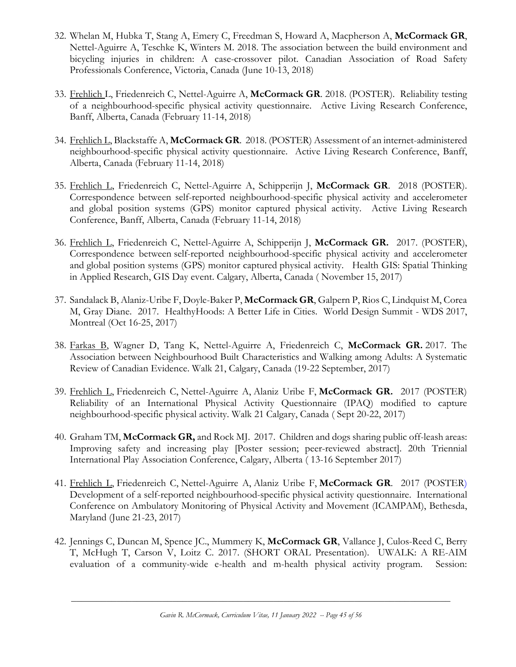- 32. Whelan M, Hubka T, Stang A, Emery C, Freedman S, Howard A, Macpherson A, **McCormack GR**, Nettel-Aguirre A, Teschke K, Winters M. 2018. The association between the build environment and bicycling injuries in children: A case-crossover pilot. Canadian Association of Road Safety Professionals Conference, Victoria, Canada (June 10-13, 2018)
- 33. Frehlich L, Friedenreich C, Nettel-Aguirre A, **McCormack GR**. 2018. (POSTER). Reliability testing of a neighbourhood-specific physical activity questionnaire. Active Living Research Conference, Banff, Alberta, Canada (February 11-14, 2018)
- 34. Frehlich L, Blackstaffe A, **McCormack GR**. 2018. (POSTER) Assessment of an internet-administered neighbourhood-specific physical activity questionnaire. Active Living Research Conference, Banff, Alberta, Canada (February 11-14, 2018)
- 35. Frehlich L, Friedenreich C, Nettel-Aguirre A, Schipperijn J, **McCormack GR**. 2018 (POSTER). Correspondence between self-reported neighbourhood-specific physical activity and accelerometer and global position systems (GPS) monitor captured physical activity. Active Living Research Conference, Banff, Alberta, Canada (February 11-14, 2018)
- 36. Frehlich L, Friedenreich C, Nettel-Aguirre A, Schipperijn J, **McCormack GR.** 2017. (POSTER), Correspondence between self-reported neighbourhood-specific physical activity and accelerometer and global position systems (GPS) monitor captured physical activity. Health GIS: Spatial Thinking in Applied Research, GIS Day event. Calgary, Alberta, Canada ( November 15, 2017)
- 37. Sandalack B, Alaniz-Uribe F, Doyle-Baker P, **McCormack GR**, Galpern P, Rios C, Lindquist M, Corea M, Gray Diane. 2017. HealthyHoods: A Better Life in Cities. World Design Summit - WDS 2017, Montreal (Oct 16-25, 2017)
- 38. Farkas B, Wagner D, Tang K, Nettel-Aguirre A, Friedenreich C, **McCormack GR.** 2017. The Association between Neighbourhood Built Characteristics and Walking among Adults: A Systematic Review of Canadian Evidence. Walk 21, Calgary, Canada (19-22 September, 2017)
- 39. Frehlich L, Friedenreich C, Nettel-Aguirre A, Alaniz Uribe F, **McCormack GR.** 2017 (POSTER) Reliability of an International Physical Activity Questionnaire (IPAQ) modified to capture neighbourhood-specific physical activity. Walk 21 Calgary, Canada ( Sept 20-22, 2017)
- 40. Graham TM, **McCormack GR,** and Rock MJ. 2017. Children and dogs sharing public off-leash areas: Improving safety and increasing play [Poster session; peer-reviewed abstract]. 20th Triennial International Play Association Conference, Calgary, Alberta ( 13-16 September 2017)
- 41. Frehlich L, Friedenreich C, Nettel-Aguirre A, Alaniz Uribe F, **McCormack GR**. 2017 (POSTER) Development of a self-reported neighbourhood-specific physical activity questionnaire. International Conference on Ambulatory Monitoring of Physical Activity and Movement (ICAMPAM), Bethesda, Maryland (June 21-23, 2017)
- 42. Jennings C, Duncan M, Spence JC., Mummery K, **McCormack GR**, Vallance J, Culos-Reed C, Berry T, McHugh T, Carson V, Loitz C. 2017. (SHORT ORAL Presentation). UWALK: A RE-AIM evaluation of a community-wide e-health and m-health physical activity program. Session: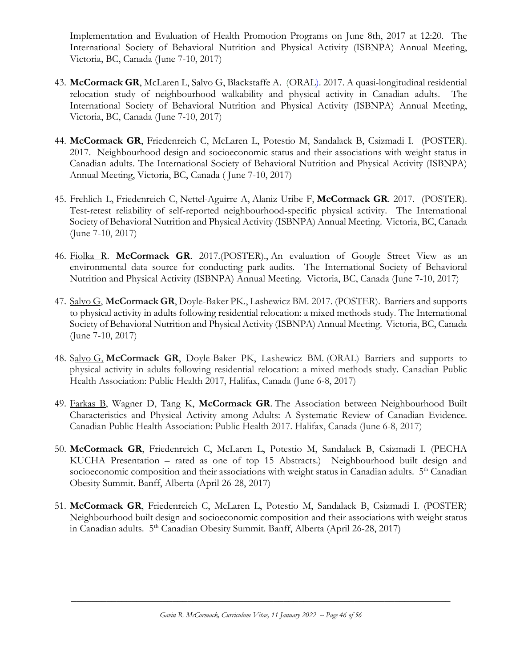Implementation and Evaluation of Health Promotion Programs on June 8th, 2017 at 12:20. The International Society of Behavioral Nutrition and Physical Activity (ISBNPA) Annual Meeting, Victoria, BC, Canada (June 7-10, 2017)

- 43. **McCormack GR**, McLaren L, Salvo G, Blackstaffe A. (ORAL). 2017. A quasi-longitudinal residential relocation study of neighbourhood walkability and physical activity in Canadian adults. The International Society of Behavioral Nutrition and Physical Activity (ISBNPA) Annual Meeting, Victoria, BC, Canada (June 7-10, 2017)
- 44. **McCormack GR**, Friedenreich C, McLaren L, Potestio M, Sandalack B, Csizmadi I. (POSTER). 2017. Neighbourhood design and socioeconomic status and their associations with weight status in Canadian adults. The International Society of Behavioral Nutrition and Physical Activity (ISBNPA) Annual Meeting, Victoria, BC, Canada ( June 7-10, 2017)
- 45. Frehlich L, Friedenreich C, Nettel-Aguirre A, Alaniz Uribe F, **McCormack GR**. 2017. (POSTER). Test-retest reliability of self-reported neighbourhood-specific physical activity. The International Society of Behavioral Nutrition and Physical Activity (ISBNPA) Annual Meeting. Victoria, BC, Canada (June 7-10, 2017)
- 46. Fiolka R. **McCormack GR**. 2017.(POSTER)., An evaluation of Google Street View as an environmental data source for conducting park audits. The International Society of Behavioral Nutrition and Physical Activity (ISBNPA) Annual Meeting. Victoria, BC, Canada (June 7-10, 2017)
- 47. Salvo G, **McCormack GR**, Doyle-Baker PK., Lashewicz BM. 2017. (POSTER). Barriers and supports to physical activity in adults following residential relocation: a mixed methods study. The International Society of Behavioral Nutrition and Physical Activity (ISBNPA) Annual Meeting. Victoria, BC, Canada (June 7-10, 2017)
- 48. Salvo G, **McCormack GR**, Doyle-Baker PK, Lashewicz BM. (ORAL) Barriers and supports to physical activity in adults following residential relocation: a mixed methods study. Canadian Public Health Association: Public Health 2017, Halifax, Canada (June 6-8, 2017)
- 49. Farkas B, Wagner D, Tang K, **McCormack GR**. The Association between Neighbourhood Built Characteristics and Physical Activity among Adults: A Systematic Review of Canadian Evidence. Canadian Public Health Association: Public Health 2017. Halifax, Canada (June 6-8, 2017)
- 50. **McCormack GR**, Friedenreich C, McLaren L, Potestio M, Sandalack B, Csizmadi I. (PECHA KUCHA Presentation – rated as one of top 15 Abstracts.) Neighbourhood built design and socioeconomic composition and their associations with weight status in Canadian adults. 5<sup>th</sup> Canadian Obesity Summit. Banff, Alberta (April 26-28, 2017)
- 51. **McCormack GR**, Friedenreich C, McLaren L, Potestio M, Sandalack B, Csizmadi I. (POSTER) Neighbourhood built design and socioeconomic composition and their associations with weight status in Canadian adults. 5<sup>th</sup> Canadian Obesity Summit. Banff, Alberta (April 26-28, 2017)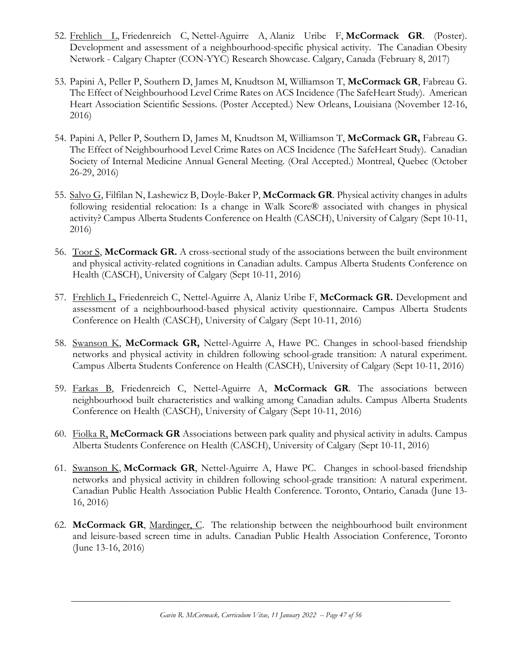- 52. Frehlich L, Friedenreich C, Nettel-Aguirre A, Alaniz Uribe F, **McCormack GR**. (Poster). Development and assessment of a neighbourhood-specific physical activity. The Canadian Obesity Network - Calgary Chapter (CON-YYC) Research Showcase. Calgary, Canada (February 8, 2017)
- 53. Papini A, Peller P, Southern D, James M, Knudtson M, Williamson T, **McCormack GR**, Fabreau G. The Effect of Neighbourhood Level Crime Rates on ACS Incidence (The SafeHeart Study). American Heart Association Scientific Sessions. (Poster Accepted.) New Orleans, Louisiana (November 12-16, 2016)
- 54. Papini A, Peller P, Southern D, James M, Knudtson M, Williamson T, **McCormack GR,** Fabreau G. The Effect of Neighbourhood Level Crime Rates on ACS Incidence (The SafeHeart Study). Canadian Society of Internal Medicine Annual General Meeting. (Oral Accepted.) Montreal, Quebec (October 26-29, 2016)
- 55. Salvo G, Filfilan N, Lashewicz B, Doyle-Baker P, **McCormack GR**. Physical activity changes in adults following residential relocation: Is a change in Walk Score® associated with changes in physical activity? Campus Alberta Students Conference on Health (CASCH), University of Calgary (Sept 10-11, 2016)
- 56. Toor S, **McCormack GR.** A cross-sectional study of the associations between the built environment and physical activity-related cognitions in Canadian adults. Campus Alberta Students Conference on Health (CASCH), University of Calgary (Sept 10-11, 2016)
- 57. Frehlich L, Friedenreich C, Nettel-Aguirre A, Alaniz Uribe F, **McCormack GR.** Development and assessment of a neighbourhood-based physical activity questionnaire. Campus Alberta Students Conference on Health (CASCH), University of Calgary (Sept 10-11, 2016)
- 58. Swanson K, **McCormack GR,** Nettel-Aguirre A, Hawe PC. Changes in school-based friendship networks and physical activity in children following school-grade transition: A natural experiment. Campus Alberta Students Conference on Health (CASCH), University of Calgary (Sept 10-11, 2016)
- 59. Farkas B, Friedenreich C, Nettel-Aguirre A, **McCormack GR**. The associations between neighbourhood built characteristics and walking among Canadian adults. Campus Alberta Students Conference on Health (CASCH), University of Calgary (Sept 10-11, 2016)
- 60. Fiolka R, **McCormack GR** Associations between park quality and physical activity in adults. Campus Alberta Students Conference on Health (CASCH), University of Calgary (Sept 10-11, 2016)
- 61. Swanson K, **McCormack GR**, Nettel-Aguirre A, Hawe PC. Changes in school-based friendship networks and physical activity in children following school-grade transition: A natural experiment. Canadian Public Health Association Public Health Conference. Toronto, Ontario, Canada (June 13- 16, 2016)
- 62. **McCormack GR**, Mardinger, C. The relationship between the neighbourhood built environment and leisure-based screen time in adults. Canadian Public Health Association Conference, Toronto (June 13-16, 2016)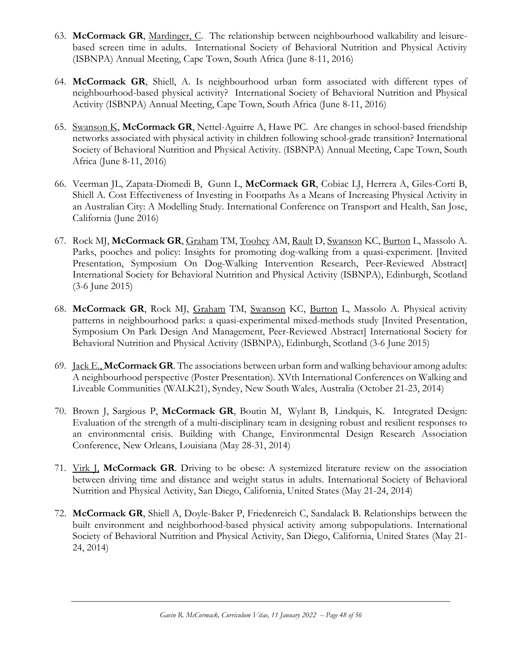- 63. **McCormack GR**, Mardinger, C. The relationship between neighbourhood walkability and leisurebased screen time in adults. International Society of Behavioral Nutrition and Physical Activity (ISBNPA) Annual Meeting, Cape Town, South Africa (June 8-11, 2016)
- 64. **McCormack GR**, Shiell, A. Is neighbourhood urban form associated with different types of neighbourhood-based physical activity? International Society of Behavioral Nutrition and Physical Activity (ISBNPA) Annual Meeting, Cape Town, South Africa (June 8-11, 2016)
- 65. Swanson K, **McCormack GR**, Nettel-Aguirre A, Hawe PC. Are changes in school-based friendship networks associated with physical activity in children following school-grade transition? International Society of Behavioral Nutrition and Physical Activity. (ISBNPA) Annual Meeting, Cape Town, South Africa (June 8-11, 2016)
- 66. Veerman JL, Zapata-Diomedi B, Gunn L, **McCormack GR**, Cobiac LJ, Herrera A, Giles-Corti B, Shiell A. Cost Effectiveness of Investing in Footpaths As a Means of Increasing Physical Activity in an Australian City: A Modelling Study. International Conference on Transport and Health, San Jose, California (June 2016)
- 67. Rock MJ, **McCormack GR**, Graham TM, Toohey AM, Rault D, Swanson KC, Burton L, Massolo A. Parks, pooches and policy: Insights for promoting dog-walking from a quasi-experiment. [Invited Presentation, Symposium On Dog-Walking Intervention Research, Peer-Reviewed Abstract] International Society for Behavioral Nutrition and Physical Activity (ISBNPA), Edinburgh, Scotland (3-6 June 2015)
- 68. **McCormack GR**, Rock MJ, Graham TM, Swanson KC, Burton L, Massolo A. Physical activity patterns in neighbourhood parks: a quasi-experimental mixed-methods study [Invited Presentation, Symposium On Park Design And Management, Peer-Reviewed Abstract] International Society for Behavioral Nutrition and Physical Activity (ISBNPA), Edinburgh, Scotland (3-6 June 2015)
- 69. Jack E., **McCormack GR**. The associations between urban form and walking behaviour among adults: A neighbourhood perspective (Poster Presentation). XVth International Conferences on Walking and Liveable Communities (WALK21), Syndey, New South Wales, Australia (October 21-23, 2014)
- 70. Brown J, Sargious P, **McCormack GR**, Boutin M, Wylant B, Lindquis, K. Integrated Design: Evaluation of the strength of a multi-disciplinary team in designing robust and resilient responses to an environmental crisis. Building with Change, Environmental Design Research Association Conference, New Orleans, Louisiana (May 28-31, 2014)
- 71. Virk J, **McCormack GR**. Driving to be obese: A systemized literature review on the association between driving time and distance and weight status in adults. International Society of Behavioral Nutrition and Physical Activity, San Diego, California, United States (May 21-24, 2014)
- 72. **McCormack GR**, Shiell A, Doyle-Baker P, Friedenreich C, Sandalack B. Relationships between the built environment and neighborhood-based physical activity among subpopulations. International Society of Behavioral Nutrition and Physical Activity, San Diego, California, United States (May 21- 24, 2014)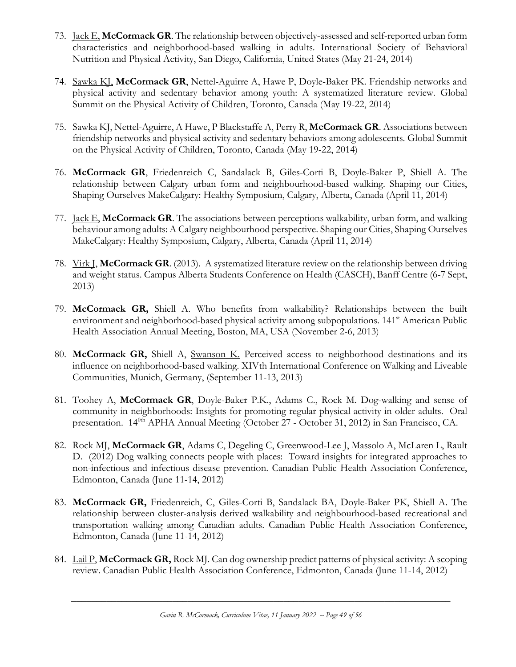- 73. Jack E, **McCormack GR**. The relationship between objectively-assessed and self-reported urban form characteristics and neighborhood-based walking in adults. International Society of Behavioral Nutrition and Physical Activity, San Diego, California, United States (May 21-24, 2014)
- 74. Sawka KJ, **McCormack GR**, Nettel-Aguirre A, Hawe P, Doyle-Baker PK. Friendship networks and physical activity and sedentary behavior among youth: A systematized literature review. Global Summit on the Physical Activity of Children, Toronto, Canada (May 19-22, 2014)
- 75. Sawka KJ, Nettel-Aguirre, A Hawe, P Blackstaffe A, Perry R, **McCormack GR**. Associations between friendship networks and physical activity and sedentary behaviors among adolescents. Global Summit on the Physical Activity of Children, Toronto, Canada (May 19-22, 2014)
- 76. **McCormack GR**, Friedenreich C, Sandalack B, Giles-Corti B, Doyle-Baker P, Shiell A. The relationship between Calgary urban form and neighbourhood-based walking. Shaping our Cities, Shaping Ourselves MakeCalgary: Healthy Symposium, Calgary, Alberta, Canada (April 11, 2014)
- 77. Jack E, **McCormack GR**. The associations between perceptions walkability, urban form, and walking behaviour among adults: A Calgary neighbourhood perspective. Shaping our Cities, Shaping Ourselves MakeCalgary: Healthy Symposium, Calgary, Alberta, Canada (April 11, 2014)
- 78. Virk J, **McCormack GR**. (2013). A systematized literature review on the relationship between driving and weight status. Campus Alberta Students Conference on Health (CASCH), Banff Centre (6-7 Sept, 2013)
- 79. **McCormack GR,** Shiell A. Who benefits from walkability? Relationships between the built environment and neighborhood-based physical activity among subpopulations. 141<sup>st</sup> American Public Health Association Annual Meeting, Boston, MA, USA (November 2-6, 2013)
- 80. McCormack GR, Shiell A, Swanson K. Perceived access to neighborhood destinations and its influence on neighborhood-based walking. XIVth International Conference on Walking and Liveable Communities, Munich, Germany, (September 11-13, 2013)
- 81. Toohey A, **McCormack GR**, Doyle-Baker P.K., Adams C., Rock M. Dog-walking and sense of community in neighborhoods: Insights for promoting regular physical activity in older adults. Oral presentation. 14<sup>0th</sup> APHA Annual Meeting (October 27 - October 31, 2012) in San Francisco, CA.
- 82. Rock MJ, **McCormack GR**, Adams C, Degeling C, Greenwood-Lee J, Massolo A, McLaren L, Rault D. (2012) Dog walking connects people with places: Toward insights for integrated approaches to non-infectious and infectious disease prevention. Canadian Public Health Association Conference, Edmonton, Canada (June 11-14, 2012)
- 83. **McCormack GR,** Friedenreich, C, Giles-Corti B, Sandalack BA, Doyle-Baker PK, Shiell A. The relationship between cluster-analysis derived walkability and neighbourhood-based recreational and transportation walking among Canadian adults. Canadian Public Health Association Conference, Edmonton, Canada (June 11-14, 2012)
- 84. Lail P, **McCormack GR,** Rock MJ. Can dog ownership predict patterns of physical activity: A scoping review. Canadian Public Health Association Conference, Edmonton, Canada (June 11-14, 2012)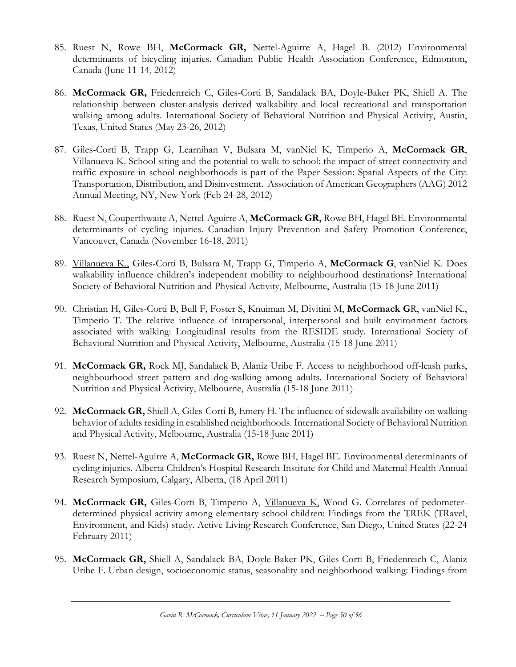- 85. Ruest N, Rowe BH, **McCormack GR,** Nettel-Aguirre A, Hagel B. (2012) Environmental determinants of bicycling injuries. Canadian Public Health Association Conference, Edmonton, Canada (June 11-14, 2012)
- 86. **McCormack GR,** Friedenreich C, Giles-Corti B, Sandalack BA, Doyle-Baker PK, Shiell A. The relationship between cluster-analysis derived walkability and local recreational and transportation walking among adults. International Society of Behavioral Nutrition and Physical Activity, Austin, Texas, United States (May 23-26, 2012)
- 87. Giles-Corti B, Trapp G, Learnihan V, Bulsara M, vanNiel K, Timperio A, **McCormack GR**, Villanueva K. School siting and the potential to walk to school: the impact of street connectivity and traffic exposure in school neighborhoods is part of the Paper Session: Spatial Aspects of the City: Transportation, Distribution, and Disinvestment. Association of American Geographers (AAG) 2012 Annual Meeting, NY, New York (Feb 24-28, 2012)
- 88. Ruest N, Couperthwaite A, Nettel-Aguirre A, **McCormack GR,** Rowe BH, Hagel BE. Environmental determinants of cycling injuries. Canadian Injury Prevention and Safety Promotion Conference, Vancouver, Canada (November 16-18, 2011)
- 89. Villanueva K., Giles-Corti B, Bulsara M, Trapp G, Timperio A, **McCormack G**, vanNiel K. Does walkability influence children's independent mobility to neighbourhood destinations? International Society of Behavioral Nutrition and Physical Activity, Melbourne, Australia (15-18 June 2011)
- 90. Christian H, Giles-Corti B, Bull F, Foster S, Knuiman M, Divitini M, **McCormack G**R, vanNiel K., Timperio T. The relative influence of intrapersonal, interpersonal and built environment factors associated with walking: Longitudinal results from the RESIDE study. International Society of Behavioral Nutrition and Physical Activity, Melbourne, Australia (15-18 June 2011)
- 91. **McCormack GR,** Rock MJ, Sandalack B, Alaniz Uribe F. Access to neighborhood off-leash parks, neighbourhood street pattern and dog-walking among adults. International Society of Behavioral Nutrition and Physical Activity, Melbourne, Australia (15-18 June 2011)
- 92. **McCormack GR,** Shiell A, Giles-Corti B, Emery H. The influence of sidewalk availability on walking behavior of adults residing in established neighborhoods. International Society of Behavioral Nutrition and Physical Activity, Melbourne, Australia (15-18 June 2011)
- 93. Ruest N, Nettel-Aguirre A, **McCormack GR,** Rowe BH, Hagel BE. Environmental determinants of cycling injuries. Alberta Children's Hospital Research Institute for Child and Maternal Health Annual Research Symposium, Calgary, Alberta, (18 April 2011)
- 94. **McCormack GR,** Giles-Corti B, Timperio A, Villanueva K, Wood G. Correlates of pedometerdetermined physical activity among elementary school children: Findings from the TREK (TRavel, Environment, and Kids) study. Active Living Research Conference, San Diego, United States (22-24 February 2011)
- 95. **McCormack GR,** Shiell A, Sandalack BA, Doyle-Baker PK, Giles-Corti B, Friedenreich C, Alaniz Uribe F. Urban design, socioeconomic status, seasonality and neighborhood walking: Findings from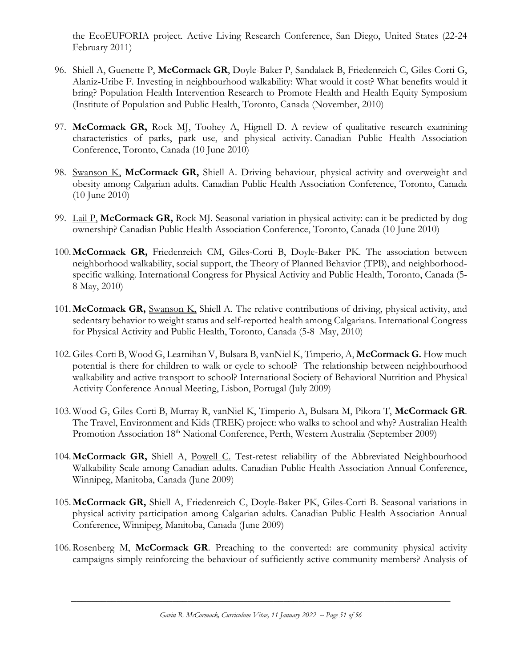the EcoEUFORIA project. Active Living Research Conference, San Diego, United States (22-24 February 2011)

- 96. Shiell A, Guenette P, **McCormack GR**, Doyle-Baker P, Sandalack B, Friedenreich C, Giles-Corti G, Alaniz-Uribe F. Investing in neighbourhood walkability: What would it cost? What benefits would it bring? Population Health Intervention Research to Promote Health and Health Equity Symposium (Institute of Population and Public Health, Toronto, Canada (November, 2010)
- 97. **McCormack GR,** Rock MJ, Toohey A, Hignell D. A review of qualitative research examining characteristics of parks, park use, and physical activity. Canadian Public Health Association Conference, Toronto, Canada (10 June 2010)
- 98. Swanson K, **McCormack GR,** Shiell A. Driving behaviour, physical activity and overweight and obesity among Calgarian adults. Canadian Public Health Association Conference, Toronto, Canada (10 June 2010)
- 99. Lail P, **McCormack GR,** Rock MJ. Seasonal variation in physical activity: can it be predicted by dog ownership? Canadian Public Health Association Conference, Toronto, Canada (10 June 2010)
- 100.**McCormack GR,** Friedenreich CM, Giles-Corti B, Doyle-Baker PK. The association between neighborhood walkability, social support, the Theory of Planned Behavior (TPB), and neighborhoodspecific walking. International Congress for Physical Activity and Public Health, Toronto, Canada (5- 8 May, 2010)
- 101.**McCormack GR,** Swanson K, Shiell A. The relative contributions of driving, physical activity, and sedentary behavior to weight status and self-reported health among Calgarians. International Congress for Physical Activity and Public Health, Toronto, Canada (5-8 May, 2010)
- 102.Giles-Corti B, Wood G, Learnihan V, Bulsara B, vanNiel K, Timperio, A, **McCormack G.** How much potential is there for children to walk or cycle to school? The relationship between neighbourhood walkability and active transport to school? International Society of Behavioral Nutrition and Physical Activity Conference Annual Meeting, Lisbon, Portugal (July 2009)
- 103. Wood G, Giles-Corti B, Murray R, vanNiel K, Timperio A, Bulsara M, Pikora T, **McCormack GR**. The Travel, Environment and Kids (TREK) project: who walks to school and why? Australian Health Promotion Association 18<sup>th</sup> National Conference, Perth, Western Australia (September 2009)
- 104.**McCormack GR,** Shiell A, Powell C. Test-retest reliability of the Abbreviated Neighbourhood Walkability Scale among Canadian adults. Canadian Public Health Association Annual Conference, Winnipeg, Manitoba, Canada (June 2009)
- 105.**McCormack GR,** Shiell A, Friedenreich C, Doyle-Baker PK, Giles-Corti B. Seasonal variations in physical activity participation among Calgarian adults. Canadian Public Health Association Annual Conference, Winnipeg, Manitoba, Canada (June 2009)
- 106.Rosenberg M, **McCormack GR**. Preaching to the converted: are community physical activity campaigns simply reinforcing the behaviour of sufficiently active community members? Analysis of

*Gavin R. McCormack, Curriculum Vitae, 11 January 2022 -- Page 51 of 56*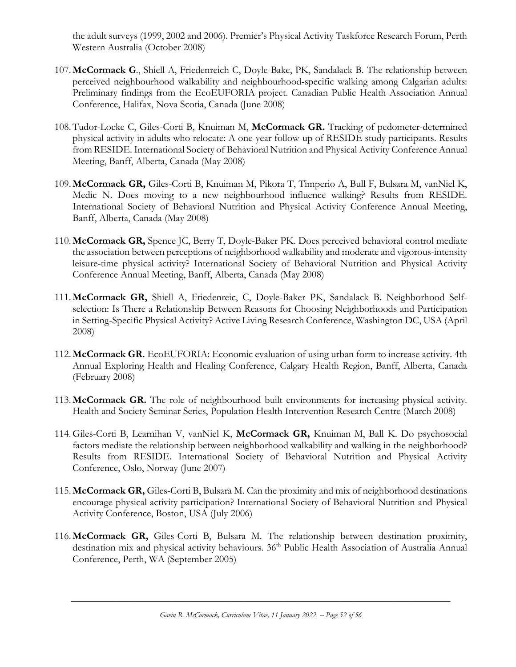the adult surveys (1999, 2002 and 2006). Premier's Physical Activity Taskforce Research Forum, Perth Western Australia (October 2008)

- 107.**McCormack G**., Shiell A, Friedenreich C, Doyle-Bake, PK, Sandalack B. The relationship between perceived neighbourhood walkability and neighbourhood-specific walking among Calgarian adults: Preliminary findings from the EcoEUFORIA project. Canadian Public Health Association Annual Conference, Halifax, Nova Scotia, Canada (June 2008)
- 108.Tudor-Locke C, Giles-Corti B, Knuiman M, **McCormack GR.** Tracking of pedometer-determined physical activity in adults who relocate: A one-year follow-up of RESIDE study participants. Results from RESIDE. International Society of Behavioral Nutrition and Physical Activity Conference Annual Meeting, Banff, Alberta, Canada (May 2008)
- 109.**McCormack GR,** Giles-Corti B, Knuiman M, Pikora T, Timperio A, Bull F, Bulsara M, vanNiel K, Medic N. Does moving to a new neighbourhood influence walking? Results from RESIDE. International Society of Behavioral Nutrition and Physical Activity Conference Annual Meeting, Banff, Alberta, Canada (May 2008)
- 110.**McCormack GR,** Spence JC, Berry T, Doyle-Baker PK. Does perceived behavioral control mediate the association between perceptions of neighborhood walkability and moderate and vigorous-intensity leisure-time physical activity? International Society of Behavioral Nutrition and Physical Activity Conference Annual Meeting, Banff, Alberta, Canada (May 2008)
- 111.**McCormack GR,** Shiell A, Friedenreic, C, Doyle-Baker PK, Sandalack B. Neighborhood Selfselection: Is There a Relationship Between Reasons for Choosing Neighborhoods and Participation in Setting-Specific Physical Activity? Active Living Research Conference, Washington DC, USA (April 2008)
- 112.**McCormack GR.** EcoEUFORIA: Economic evaluation of using urban form to increase activity. 4th Annual Exploring Health and Healing Conference, Calgary Health Region, Banff, Alberta, Canada (February 2008)
- 113.**McCormack GR.** The role of neighbourhood built environments for increasing physical activity. Health and Society Seminar Series, Population Health Intervention Research Centre (March 2008)
- 114.Giles-Corti B, Learnihan V, vanNiel K, **McCormack GR,** Knuiman M, Ball K. Do psychosocial factors mediate the relationship between neighborhood walkability and walking in the neighborhood? Results from RESIDE. International Society of Behavioral Nutrition and Physical Activity Conference, Oslo, Norway (June 2007)
- 115.**McCormack GR,** Giles-Corti B, Bulsara M. Can the proximity and mix of neighborhood destinations encourage physical activity participation? International Society of Behavioral Nutrition and Physical Activity Conference, Boston, USA (July 2006)
- 116.**McCormack GR,** Giles-Corti B, Bulsara M. The relationship between destination proximity, destination mix and physical activity behaviours. 36<sup>th</sup> Public Health Association of Australia Annual Conference, Perth, WA (September 2005)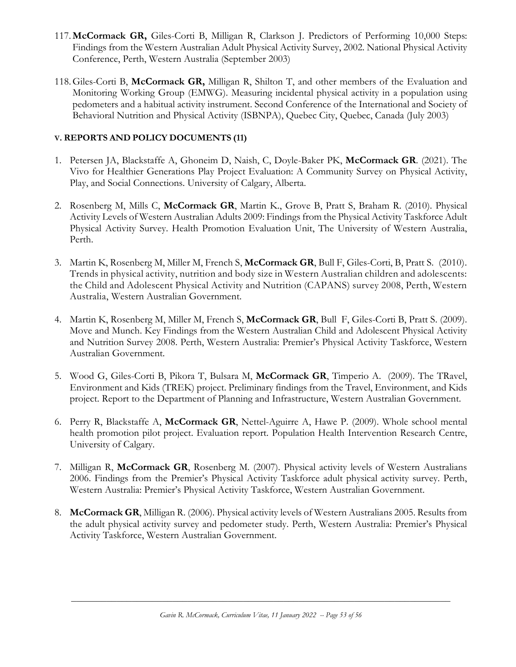- 117.**McCormack GR,** Giles-Corti B, Milligan R, Clarkson J. Predictors of Performing 10,000 Steps: Findings from the Western Australian Adult Physical Activity Survey, 2002. National Physical Activity Conference, Perth, Western Australia (September 2003)
- 118.Giles-Corti B, **McCormack GR,** Milligan R, Shilton T, and other members of the Evaluation and Monitoring Working Group (EMWG). Measuring incidental physical activity in a population using pedometers and a habitual activity instrument. Second Conference of the International and Society of Behavioral Nutrition and Physical Activity (ISBNPA), Quebec City, Quebec, Canada (July 2003)

### **V. REPORTS AND POLICY DOCUMENTS (11)**

- 1. Petersen JA, Blackstaffe A, Ghoneim D, Naish, C, Doyle-Baker PK, **McCormack GR**. (2021). The Vivo for Healthier Generations Play Project Evaluation: A Community Survey on Physical Activity, Play, and Social Connections. University of Calgary, Alberta.
- 2. Rosenberg M, Mills C, **McCormack GR**, Martin K., Grove B, Pratt S, Braham R. (2010). Physical Activity Levels of Western Australian Adults 2009: Findings from the Physical Activity Taskforce Adult Physical Activity Survey. Health Promotion Evaluation Unit, The University of Western Australia, Perth.
- 3. Martin K, Rosenberg M, Miller M, French S, **McCormack GR**, Bull F, Giles-Corti, B, Pratt S. (2010). Trends in physical activity, nutrition and body size in Western Australian children and adolescents: the Child and Adolescent Physical Activity and Nutrition (CAPANS) survey 2008, Perth, Western Australia, Western Australian Government.
- 4. Martin K, Rosenberg M, Miller M, French S, **McCormack GR**, Bull F, Giles-Corti B, Pratt S. (2009). Move and Munch. Key Findings from the Western Australian Child and Adolescent Physical Activity and Nutrition Survey 2008. Perth, Western Australia: Premier's Physical Activity Taskforce, Western Australian Government.
- 5. Wood G, Giles-Corti B, Pikora T, Bulsara M, **McCormack GR**, Timperio A. (2009). The TRavel, Environment and Kids (TREK) project. Preliminary findings from the Travel, Environment, and Kids project. Report to the Department of Planning and Infrastructure, Western Australian Government.
- 6. Perry R, Blackstaffe A, **McCormack GR**, Nettel-Aguirre A, Hawe P. (2009). Whole school mental health promotion pilot project. Evaluation report. Population Health Intervention Research Centre, University of Calgary.
- 7. Milligan R, **McCormack GR**, Rosenberg M. (2007). Physical activity levels of Western Australians 2006. Findings from the Premier's Physical Activity Taskforce adult physical activity survey. Perth, Western Australia: Premier's Physical Activity Taskforce, Western Australian Government.
- 8. **McCormack GR**, Milligan R. (2006). Physical activity levels of Western Australians 2005. Results from the adult physical activity survey and pedometer study. Perth, Western Australia: Premier's Physical Activity Taskforce, Western Australian Government.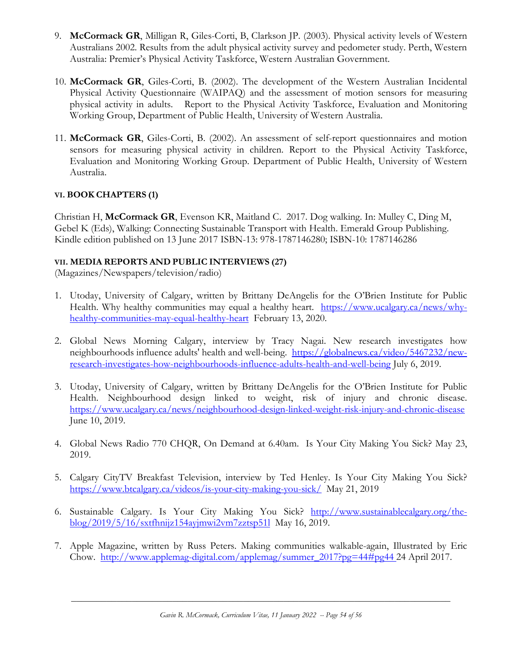- 9. **McCormack GR**, Milligan R, Giles-Corti, B, Clarkson JP. (2003). Physical activity levels of Western Australians 2002. Results from the adult physical activity survey and pedometer study. Perth, Western Australia: Premier's Physical Activity Taskforce, Western Australian Government.
- 10. **McCormack GR**, Giles-Corti, B. (2002). The development of the Western Australian Incidental Physical Activity Questionnaire (WAIPAQ) and the assessment of motion sensors for measuring physical activity in adults. Report to the Physical Activity Taskforce, Evaluation and Monitoring Working Group, Department of Public Health, University of Western Australia.
- 11. **McCormack GR**, Giles-Corti, B. (2002). An assessment of self-report questionnaires and motion sensors for measuring physical activity in children. Report to the Physical Activity Taskforce, Evaluation and Monitoring Working Group. Department of Public Health, University of Western Australia.

### **VI. BOOK CHAPTERS (1)**

Christian H, **McCormack GR**, Evenson KR, Maitland C. 2017. Dog walking. In: Mulley C, Ding M, Gebel K (Eds), Walking: Connecting Sustainable Transport with Health. Emerald Group Publishing. Kindle edition published on 13 June 2017 ISBN-13: 978-1787146280; ISBN-10: 1787146286

### **VII. MEDIA REPORTS AND PUBLIC INTERVIEWS (27)**

(Magazines/Newspapers/television/radio)

- 1. Utoday, University of Calgary, written by Brittany DeAngelis for the O'Brien Institute for Public Health. Why healthy communities may equal a healthy heart. [https://www.ucalgary.ca/news/why](https://www.ucalgary.ca/news/why-healthy-communities-may-equal-healthy-heart)[healthy-communities-may-equal-healthy-heart](https://www.ucalgary.ca/news/why-healthy-communities-may-equal-healthy-heart) February 13, 2020.
- 2. Global News Morning Calgary, interview by Tracy Nagai. New research investigates how neighbourhoods influence adults' health and well-being. [https://globalnews.ca/video/5467232/new](https://globalnews.ca/video/5467232/new-research-investigates-how-neighbourhoods-influence-adults-health-and-well-being)[research-investigates-how-neighbourhoods-influence-adults-health-and-well-being](https://globalnews.ca/video/5467232/new-research-investigates-how-neighbourhoods-influence-adults-health-and-well-being) July 6, 2019.
- 3. Utoday, University of Calgary, written by Brittany DeAngelis for the O'Brien Institute for Public Health. Neighbourhood design linked to weight, risk of injury and chronic disease. <https://www.ucalgary.ca/news/neighbourhood-design-linked-weight-risk-injury-and-chronic-disease> June 10, 2019.
- 4. Global News Radio 770 CHQR, On Demand at 6.40am. Is Your City Making You Sick? May 23, 2019.
- 5. Calgary CityTV Breakfast Television, interview by Ted Henley. Is Your City Making You Sick? <https://www.btcalgary.ca/videos/is-your-city-making-you-sick/>May 21, 2019
- 6. Sustainable Calgary. Is Your City Making You Sick? [http://www.sustainablecalgary.org/the](http://www.sustainablecalgary.org/the-blog/2019/5/16/sxtfhnijz154ayjmwi2vm7zztsp51l)[blog/2019/5/16/sxtfhnijz154ayjmwi2vm7zztsp51l](http://www.sustainablecalgary.org/the-blog/2019/5/16/sxtfhnijz154ayjmwi2vm7zztsp51l) May 16, 2019.
- 7. Apple Magazine, written by Russ Peters. Making communities walkable-again, Illustrated by Eric Chow. [http://www.applemag-digital.com/applemag/summer\\_2017?pg=44#pg44](http://www.applemag-digital.com/applemag/summer_2017?pg=44#pg44) 24 April 2017.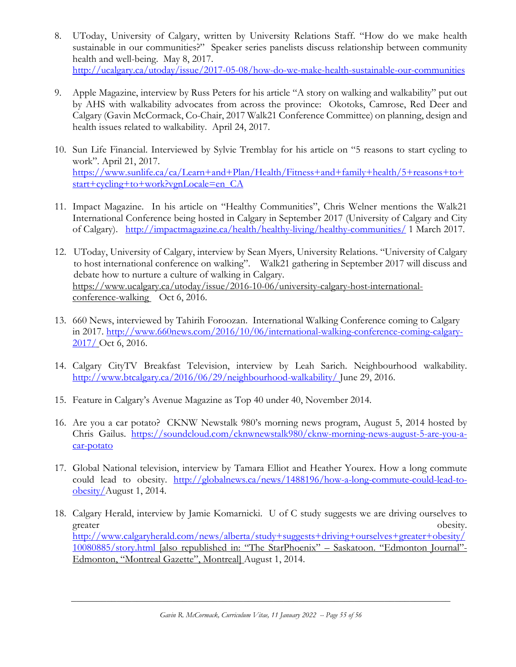- 8. UToday, University of Calgary, written by University Relations Staff. "How do we make health sustainable in our communities?" Speaker series panelists discuss relationship between community health and well-being. May 8, 2017. <http://ucalgary.ca/utoday/issue/2017-05-08/how-do-we-make-health-sustainable-our-communities>
- 9. Apple Magazine, interview by Russ Peters for his article "A story on walking and walkability" put out by AHS with walkability advocates from across the province: Okotoks, Camrose, Red Deer and Calgary (Gavin McCormack, Co-Chair, 2017 Walk21 Conference Committee) on planning, design and health issues related to walkability. April 24, 2017.
- 10. Sun Life Financial. Interviewed by Sylvie Tremblay for his article on "5 reasons to start cycling to work". April 21, 2017. [https://www.sunlife.ca/ca/Learn+and+Plan/Health/Fitness+and+family+health/5+reasons+to+](https://www.sunlife.ca/ca/Learn+and+Plan/Health/Fitness+and+family+health/5+reasons+to+start+cycling+to+work?vgnLocale=en_CA) [start+cycling+to+work?vgnLocale=en\\_CA](https://www.sunlife.ca/ca/Learn+and+Plan/Health/Fitness+and+family+health/5+reasons+to+start+cycling+to+work?vgnLocale=en_CA)
- 11. Impact Magazine. In his article on "Healthy Communities", Chris Welner mentions the Walk21 International Conference being hosted in Calgary in September 2017 (University of Calgary and City of Calgary). <http://impactmagazine.ca/health/healthy-living/healthy-communities/> 1 March 2017.
- 12. UToday, University of Calgary, interview by Sean Myers, University Relations. "University of Calgary to host international conference on walking". Walk21 gathering in September 2017 will discuss and debate how to nurture a culture of walking in Calgary. [https://www.ucalgary.ca/utoday/issue/2016-10-06/university-calgary-host-international](https://www.ucalgary.ca/utoday/issue/2016-10-06/university-calgary-host-international-conference-walking)[conference-walking](https://www.ucalgary.ca/utoday/issue/2016-10-06/university-calgary-host-international-conference-walking) Oct 6, 2016.
- 13. 660 News, interviewed by Tahirih Foroozan. International Walking Conference coming to Calgary in 2017. [http://www.660news.com/2016/10/06/international-walking-conference-coming-calgary-](http://www.660news.com/2016/10/06/international-walking-conference-coming-calgary-2017/)[2017/](http://www.660news.com/2016/10/06/international-walking-conference-coming-calgary-2017/) Oct 6, 2016.
- 14. Calgary CityTV Breakfast Television, interview by Leah Sarich. Neighbourhood walkability. <http://www.btcalgary.ca/2016/06/29/neighbourhood-walkability/> June 29, 2016.
- 15. Feature in Calgary's Avenue Magazine as Top 40 under 40, November 2014.
- 16. Are you a car potato?CKNW Newstalk 980's morning news program, August 5, 2014 hosted by Chris Gailus. [https://soundcloud.com/cknwnewstalk980/cknw-morning-news-august-5-are-you-a](https://soundcloud.com/cknwnewstalk980/cknw-morning-news-august-5-are-you-a-car-potato)[car-potato](https://soundcloud.com/cknwnewstalk980/cknw-morning-news-august-5-are-you-a-car-potato)
- 17. Global National television, interview by Tamara Elliot and Heather Yourex. How a long commute could lead to obesity. [http://globalnews.ca/news/1488196/how-a-long-commute-could-lead-to](http://globalnews.ca/news/1488196/how-a-long-commute-could-lead-to-obesity/)[obesity/A](http://globalnews.ca/news/1488196/how-a-long-commute-could-lead-to-obesity/)ugust 1, 2014.
- 18. Calgary Herald, interview by Jamie Komarnicki. U of C study suggests we are driving ourselves to greater obesity. [http://www.calgaryherald.com/news/alberta/study+suggests+driving+ourselves+greater+obesity/](http://www.calgaryherald.com/news/alberta/study+suggests+driving+ourselves+greater+obesity/10080885/story.html) [10080885/story.html](http://www.calgaryherald.com/news/alberta/study+suggests+driving+ourselves+greater+obesity/10080885/story.html) [also republished in: "The StarPhoenix" – Saskatoon. "Edmonton Journal"- Edmonton, "Montreal Gazette", Montreal] August 1, 2014.